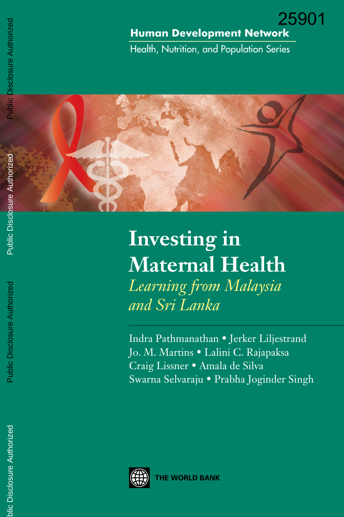Health, Nutrition, and Population Series



## **Investing in Maternal Health**  *Learning from Malaysia and Sri Lanka*

Indra Pathmanathan • Jerker Liljestrand Jo. M. Martins • Lalini C. Rajapaksa Craig Lissner • Amala de Silva Swarna Selvaraju • Prabha Joginder Singh

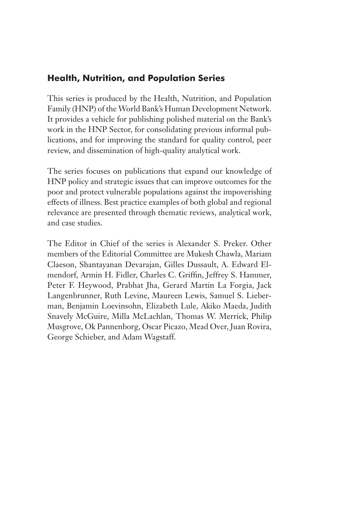### **Health, Nutrition, and Population Series**

This series is produced by the Health, Nutrition, and Population Family (HNP) of the World Bank's Human Development Network. It provides a vehicle for publishing polished material on the Bank's work in the HNP Sector, for consolidating previous informal publications, and for improving the standard for quality control, peer review, and dissemination of high-quality analytical work.

The series focuses on publications that expand our knowledge of HNP policy and strategic issues that can improve outcomes for the poor and protect vulnerable populations against the impoverishing effects of illness. Best practice examples of both global and regional relevance are presented through thematic reviews, analytical work, and case studies.

The Editor in Chief of the series is Alexander S. Preker. Other members of the Editorial Committee are Mukesh Chawla, Mariam Claeson, Shantayanan Devarajan, Gilles Dussault, A. Edward Elmendorf, Armin H. Fidler, Charles C. Griffin, Jeffrey S. Hammer, Peter F. Heywood, Prabhat Jha, Gerard Martin La Forgia, Jack Langenbrunner, Ruth Levine, Maureen Lewis, Samuel S. Lieberman, Benjamin Loevinsohn, Elizabeth Lule, Akiko Maeda, Judith Snavely McGuire, Milla McLachlan, Thomas W. Merrick, Philip Musgrove, Ok Pannenborg, Oscar Picazo, Mead Over, Juan Rovira, George Schieber, and Adam Wagstaff.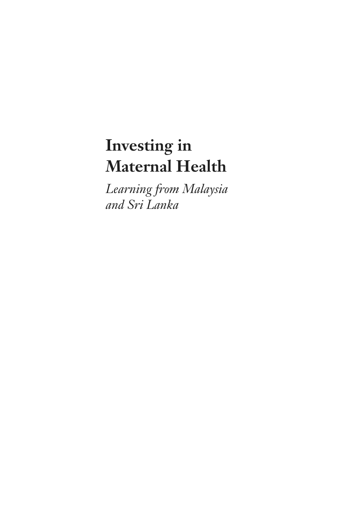## **Investing in Maternal Health**

*Learning from Malaysia and Sri Lanka*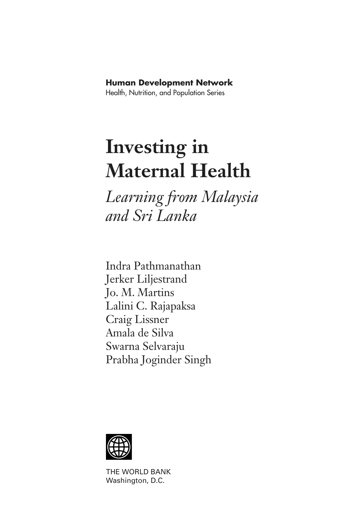### **Human Development Network**

Health, Nutrition, and Population Series

# **Investing in Maternal Health**

*Learning from Malaysia and Sri Lanka*

Indra Pathmanathan Jerker Liljestrand Jo. M. Martins Lalini C. Rajapaksa Craig Lissner Amala de Silva Swarna Selvaraju Prabha Joginder Singh



THE WORLD BANK Washington, D.C.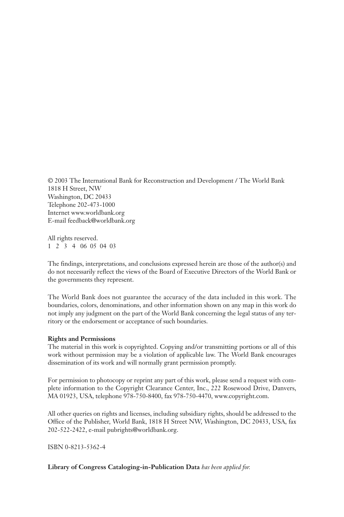© 2003 The International Bank for Reconstruction and Development / The World Bank 1818 H Street, NW Washington, DC 20433 Telephone 202-473-1000 Internet www.worldbank.org E-mail feedback@worldbank.org

All rights reserved. 1 2 3 4 06 05 04 03

The findings, interpretations, and conclusions expressed herein are those of the author(s) and do not necessarily reflect the views of the Board of Executive Directors of the World Bank or the governments they represent.

The World Bank does not guarantee the accuracy of the data included in this work. The boundaries, colors, denominations, and other information shown on any map in this work do not imply any judgment on the part of the World Bank concerning the legal status of any territory or the endorsement or acceptance of such boundaries.

#### **Rights and Permissions**

The material in this work is copyrighted. Copying and/or transmitting portions or all of this work without permission may be a violation of applicable law. The World Bank encourages dissemination of its work and will normally grant permission promptly.

For permission to photocopy or reprint any part of this work, please send a request with complete information to the Copyright Clearance Center, Inc., 222 Rosewood Drive, Danvers, MA 01923, USA, telephone 978-750-8400, fax 978-750-4470, www.copyright.com.

All other queries on rights and licenses, including subsidiary rights, should be addressed to the Office of the Publisher, World Bank, 1818 H Street NW, Washington, DC 20433, USA, fax 202-522-2422, e-mail pubrights@worldbank.org.

ISBN 0-8213-5362-4

**Library of Congress Cataloging-in-Publication Data** *has been applied for.*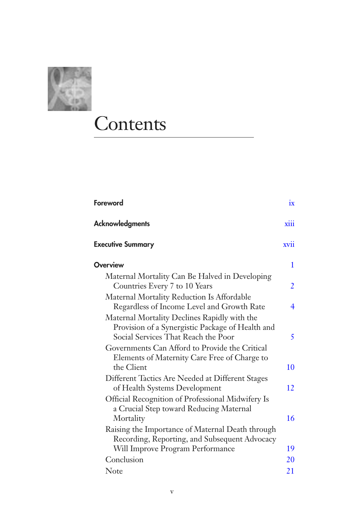

## **Contents**

| Foreword                                                                                                                                | ix             |
|-----------------------------------------------------------------------------------------------------------------------------------------|----------------|
| Acknowledgments                                                                                                                         | xiii           |
| Executive Summary                                                                                                                       | xvii           |
| Overview                                                                                                                                | 1              |
| Maternal Mortality Can Be Halved in Developing<br>Countries Every 7 to 10 Years                                                         | $\overline{2}$ |
| Maternal Mortality Reduction Is Affordable<br>Regardless of Income Level and Growth Rate                                                | 4              |
| Maternal Mortality Declines Rapidly with the<br>Provision of a Synergistic Package of Health and<br>Social Services That Reach the Poor | 5              |
| Governments Can Afford to Provide the Critical<br>Elements of Maternity Care Free of Charge to<br>the Client                            | 10             |
| Different Tactics Are Needed at Different Stages<br>of Health Systems Development                                                       | 12             |
| Official Recognition of Professional Midwifery Is<br>a Crucial Step toward Reducing Maternal                                            |                |
| Mortality                                                                                                                               | 16             |
| Raising the Importance of Maternal Death through<br>Recording, Reporting, and Subsequent Advocacy                                       |                |
| Will Improve Program Performance                                                                                                        | 19             |
| Conclusion                                                                                                                              | 20             |
| Note                                                                                                                                    | 21             |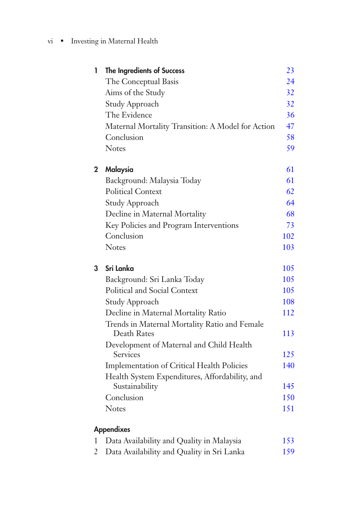## vi • Investing in Maternal Health

| 1            | The Ingredients of Success                                       | 23  |
|--------------|------------------------------------------------------------------|-----|
|              | The Conceptual Basis                                             | 24  |
|              | Aims of the Study                                                | 32  |
|              | Study Approach                                                   | 32  |
|              | The Evidence                                                     | 36  |
|              | Maternal Mortality Transition: A Model for Action                | 47  |
|              | Conclusion                                                       | 58  |
|              | <b>Notes</b>                                                     | 59  |
| $\mathbf{2}$ | Malaysia                                                         | 61  |
|              | Background: Malaysia Today                                       | 61  |
|              | <b>Political Context</b>                                         | 62  |
|              | Study Approach                                                   | 64  |
|              | Decline in Maternal Mortality                                    | 68  |
|              | Key Policies and Program Interventions                           | 73  |
|              | Conclusion                                                       | 102 |
|              | <b>Notes</b>                                                     | 103 |
| 3            | Sri Lanka                                                        | 105 |
|              | Background: Sri Lanka Today                                      | 105 |
|              | Political and Social Context                                     | 105 |
|              | Study Approach                                                   | 108 |
|              | Decline in Maternal Mortality Ratio                              | 112 |
|              | Trends in Maternal Mortality Ratio and Female                    |     |
|              | Death Rates                                                      | 113 |
|              | Development of Maternal and Child Health                         |     |
|              | <b>Services</b>                                                  | 125 |
|              | <b>Implementation of Critical Health Policies</b>                | 140 |
|              | Health System Expenditures, Affordability, and<br>Sustainability | 145 |
|              | Conclusion                                                       | 150 |
|              | <b>Notes</b>                                                     | 151 |
|              |                                                                  |     |
|              | ٠.                                                               |     |

## **[Appendixes](#page-174-0)**

|   | Data Availability and Quality in Malaysia  | 153  |
|---|--------------------------------------------|------|
| 2 | Data Availability and Quality in Sri Lanka | 159. |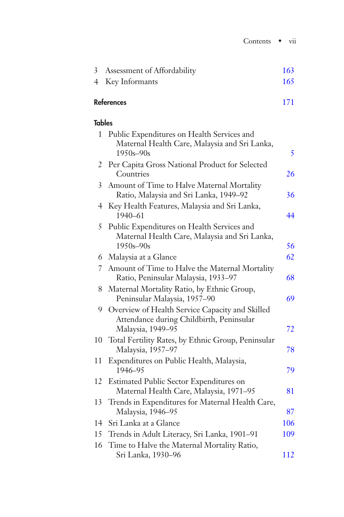| Contents |  | V11 |
|----------|--|-----|
|----------|--|-----|

| 3 Assessment of Affordability | 163 |
|-------------------------------|-----|
| 4 Key Informants              | 165 |

### **[References](#page-192-0)** 171

#### **[Tables](#page-26-0)**

| 1              | Public Expenditures on Health Services and<br>Maternal Health Care, Malaysia and Sri Lanka,<br>$1950s - 90s$     | 5   |
|----------------|------------------------------------------------------------------------------------------------------------------|-----|
| $\overline{2}$ | Per Capita Gross National Product for Selected<br>Countries                                                      | 26  |
| 3              | Amount of Time to Halve Maternal Mortality<br>Ratio, Malaysia and Sri Lanka, 1949-92                             | 36  |
| 4              | Key Health Features, Malaysia and Sri Lanka,<br>1940-61                                                          | 44  |
| 5              | Public Expenditures on Health Services and<br>Maternal Health Care, Malaysia and Sri Lanka,<br>$1950s - 90s$     | 56  |
| 6              | Malaysia at a Glance                                                                                             | 62  |
| 7              | Amount of Time to Halve the Maternal Mortality<br>Ratio, Peninsular Malaysia, 1933-97                            | 68  |
| 8              | Maternal Mortality Ratio, by Ethnic Group,<br>Peninsular Malaysia, 1957-90                                       | 69  |
| 9              | Overview of Health Service Capacity and Skilled<br>Attendance during Childbirth, Peninsular<br>Malaysia, 1949-95 | 72  |
| 10             | Total Fertility Rates, by Ethnic Group, Peninsular<br>Malaysia, 1957-97                                          | 78  |
| 11             | Expenditures on Public Health, Malaysia,<br>1946-95                                                              | 79  |
| 12             | Estimated Public Sector Expenditures on<br>Maternal Health Care, Malaysia, 1971-95                               | 81  |
| 13             | Trends in Expenditures for Maternal Health Care,<br>Malaysia, 1946-95                                            | 87  |
| 14             | Sri Lanka at a Glance                                                                                            | 106 |
| 15             | Trends in Adult Literacy, Sri Lanka, 1901-91                                                                     | 109 |
| 16             | Time to Halve the Maternal Mortality Ratio,<br>Sri Lanka, 1930–96                                                | 112 |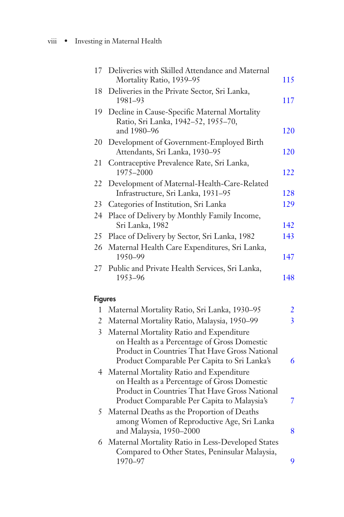## viii • Investing in Maternal Health

|    | 17 Deliveries with Skilled Attendance and Maternal<br>Mortality Ratio, 1939-95                        | 115 |
|----|-------------------------------------------------------------------------------------------------------|-----|
|    | 18 Deliveries in the Private Sector, Sri Lanka,<br>1981-93                                            | 117 |
|    | 19 Decline in Cause-Specific Maternal Mortality<br>Ratio, Sri Lanka, 1942-52, 1955-70,<br>and 1980–96 | 120 |
|    | 20 Development of Government-Employed Birth<br>Attendants, Sri Lanka, 1930-95                         | 120 |
|    | 21 Contraceptive Prevalence Rate, Sri Lanka,<br>1975-2000                                             | 122 |
|    | 22 Development of Maternal-Health-Care-Related<br>Infrastructure, Sri Lanka, 1931-95                  | 128 |
|    | 23 Categories of Institution, Sri Lanka                                                               | 129 |
|    | 24 Place of Delivery by Monthly Family Income,<br>Sri Lanka, 1982                                     | 142 |
| 25 | Place of Delivery by Sector, Sri Lanka, 1982                                                          | 143 |
| 26 | Maternal Health Care Expenditures, Sri Lanka,<br>1950-99                                              | 147 |
|    | 27 Public and Private Health Services, Sri Lanka,<br>1953–96                                          | 148 |

### **[Figures](#page-23-0)**

| Maternal Mortality Ratio, Sri Lanka, 1930-95                                                                                                                                              | $\mathfrak z$                                                                               |
|-------------------------------------------------------------------------------------------------------------------------------------------------------------------------------------------|---------------------------------------------------------------------------------------------|
| Maternal Mortality Ratio, Malaysia, 1950–99                                                                                                                                               | 3                                                                                           |
| Maternal Mortality Ratio and Expenditure                                                                                                                                                  |                                                                                             |
| Product in Countries That Have Gross National                                                                                                                                             | 6                                                                                           |
| 4 Maternal Mortality Ratio and Expenditure<br>on Health as a Percentage of Gross Domestic<br>Product in Countries That Have Gross National<br>Product Comparable Per Capita to Malaysia's | 7                                                                                           |
| 5 Maternal Deaths as the Proportion of Deaths<br>among Women of Reproductive Age, Sri Lanka<br>and Malaysia, 1950-2000                                                                    | 8                                                                                           |
| 6 Maternal Mortality Ratio in Less-Developed States<br>Compared to Other States, Peninsular Malaysia,<br>$1970 - 97$                                                                      | 9                                                                                           |
|                                                                                                                                                                                           | on Health as a Percentage of Gross Domestic<br>Product Comparable Per Capita to Sri Lanka's |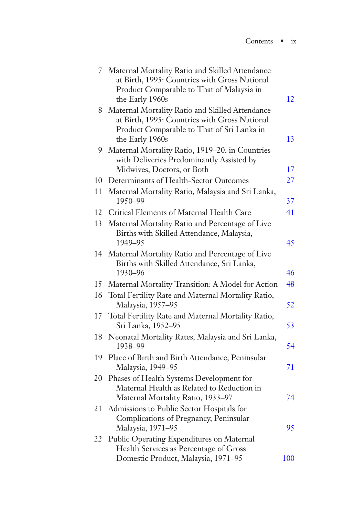| 7  | Maternal Mortality Ratio and Skilled Attendance<br>at Birth, 1995: Countries with Gross National<br>Product Comparable to That of Malaysia in<br>the Early 1960s  | 12       |
|----|-------------------------------------------------------------------------------------------------------------------------------------------------------------------|----------|
| 8  | Maternal Mortality Ratio and Skilled Attendance<br>at Birth, 1995: Countries with Gross National<br>Product Comparable to That of Sri Lanka in<br>the Early 1960s | 13       |
| 9  | Maternal Mortality Ratio, 1919-20, in Countries<br>with Deliveries Predominantly Assisted by                                                                      |          |
| 10 | Midwives, Doctors, or Both<br>Determinants of Health-Sector Outcomes                                                                                              | 17<br>27 |
| 11 | Maternal Mortality Ratio, Malaysia and Sri Lanka,<br>1950-99                                                                                                      | 37       |
| 12 | Critical Elements of Maternal Health Care                                                                                                                         | 41       |
| 13 | Maternal Mortality Ratio and Percentage of Live<br>Births with Skilled Attendance, Malaysia,                                                                      |          |
| 14 | 1949-95<br>Maternal Mortality Ratio and Percentage of Live<br>Births with Skilled Attendance, Sri Lanka,<br>1930-96                                               | 45<br>46 |
| 15 | Maternal Mortality Transition: A Model for Action                                                                                                                 | 48       |
| 16 | Total Fertility Rate and Maternal Mortality Ratio,<br>Malaysia, 1957-95                                                                                           | 52       |
| 17 | Total Fertility Rate and Maternal Mortality Ratio,<br>Sri Lanka, 1952-95                                                                                          | 53       |
| 18 | Neonatal Mortality Rates, Malaysia and Sri Lanka,<br>1938-99                                                                                                      | 54       |
| 19 | Place of Birth and Birth Attendance, Peninsular<br>Malaysia, 1949-95                                                                                              | 71       |
| 20 | Phases of Health Systems Development for<br>Maternal Health as Related to Reduction in<br>Maternal Mortality Ratio, 1933-97                                       | 74       |
| 21 | Admissions to Public Sector Hospitals for<br>Complications of Pregnancy, Peninsular<br>Malaysia, 1971-95                                                          | 95       |
| 22 | Public Operating Expenditures on Maternal<br>Health Services as Percentage of Gross<br>Domestic Product, Malaysia, 1971-95                                        | 100      |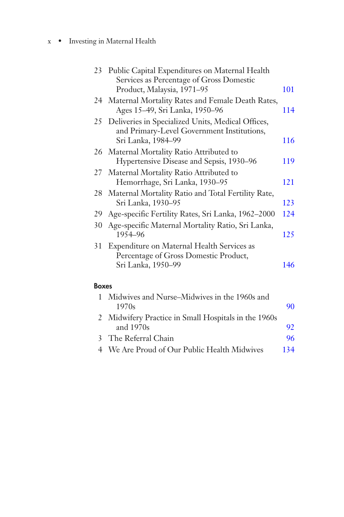## x • Investing in Maternal Health

|              | 23 Public Capital Expenditures on Maternal Health<br>Services as Percentage of Gross Domestic                            |     |
|--------------|--------------------------------------------------------------------------------------------------------------------------|-----|
|              | Product, Malaysia, 1971-95                                                                                               | 101 |
|              | 24 Maternal Mortality Rates and Female Death Rates,<br>Ages 15-49, Sri Lanka, 1950-96                                    | 114 |
|              | 25 Deliveries in Specialized Units, Medical Offices,<br>and Primary-Level Government Institutions,<br>Sri Lanka, 1984-99 | 116 |
|              | 26 Maternal Mortality Ratio Attributed to<br>Hypertensive Disease and Sepsis, 1930–96                                    | 119 |
|              | 27 Maternal Mortality Ratio Attributed to<br>Hemorrhage, Sri Lanka, 1930-95                                              | 121 |
|              | 28 Maternal Mortality Ratio and Total Fertility Rate,<br>Sri Lanka, 1930–95                                              | 123 |
| 29           | Age-specific Fertility Rates, Sri Lanka, 1962-2000                                                                       | 124 |
| 30           | Age-specific Maternal Mortality Ratio, Sri Lanka,<br>1954-96                                                             | 125 |
| 31           | Expenditure on Maternal Health Services as<br>Percentage of Gross Domestic Product,<br>Sri Lanka, 1950–99                | 146 |
| <b>Boxes</b> |                                                                                                                          |     |
|              | Midwives and Nurse-Midwives in the 1960s and<br>1070-                                                                    | ΩΩ  |

| 1970s                                                | 90  |
|------------------------------------------------------|-----|
| 2 Midwifery Practice in Small Hospitals in the 1960s |     |
| and $1970s$                                          | 92  |
| 3 The Referral Chain                                 | 96  |
| 4 We Are Proud of Our Public Health Midwives         | 134 |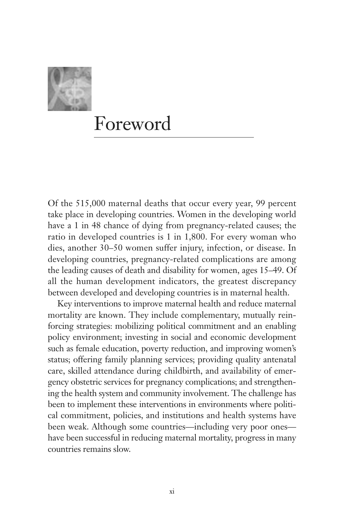

## Foreword

Of the 515,000 maternal deaths that occur every year, 99 percent take place in developing countries. Women in the developing world have a 1 in 48 chance of dying from pregnancy-related causes; the ratio in developed countries is 1 in 1,800. For every woman who dies, another 30–50 women suffer injury, infection, or disease. In developing countries, pregnancy-related complications are among the leading causes of death and disability for women, ages 15–49. Of all the human development indicators, the greatest discrepancy between developed and developing countries is in maternal health.

Key interventions to improve maternal health and reduce maternal mortality are known. They include complementary, mutually reinforcing strategies: mobilizing political commitment and an enabling policy environment; investing in social and economic development such as female education, poverty reduction, and improving women's status; offering family planning services; providing quality antenatal care, skilled attendance during childbirth, and availability of emergency obstetric services for pregnancy complications; and strengthening the health system and community involvement. The challenge has been to implement these interventions in environments where political commitment, policies, and institutions and health systems have been weak. Although some countries—including very poor ones have been successful in reducing maternal mortality, progress in many countries remains slow.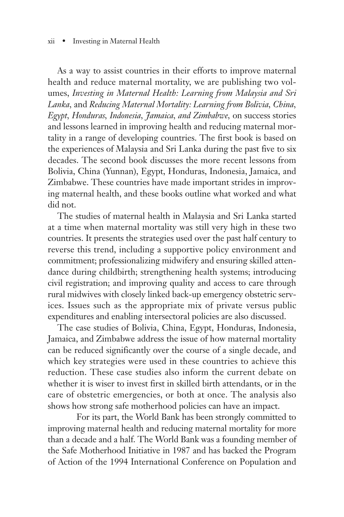#### xii • Investing in Maternal Health

As a way to assist countries in their efforts to improve maternal health and reduce maternal mortality, we are publishing two volumes, *Investing in Maternal Health: Learning from Malaysia and Sri Lanka,* and *Reducing Maternal Mortality: Learning from Bolivia, China, Egypt, Honduras, Indonesia, Jamaica, and Zimbabwe,* on success stories and lessons learned in improving health and reducing maternal mortality in a range of developing countries. The first book is based on the experiences of Malaysia and Sri Lanka during the past five to six decades. The second book discusses the more recent lessons from Bolivia, China (Yunnan), Egypt, Honduras, Indonesia, Jamaica, and Zimbabwe. These countries have made important strides in improving maternal health, and these books outline what worked and what did not.

The studies of maternal health in Malaysia and Sri Lanka started at a time when maternal mortality was still very high in these two countries. It presents the strategies used over the past half century to reverse this trend, including a supportive policy environment and commitment; professionalizing midwifery and ensuring skilled attendance during childbirth; strengthening health systems; introducing civil registration; and improving quality and access to care through rural midwives with closely linked back-up emergency obstetric services. Issues such as the appropriate mix of private versus public expenditures and enabling intersectoral policies are also discussed.

The case studies of Bolivia, China, Egypt, Honduras, Indonesia, Jamaica, and Zimbabwe address the issue of how maternal mortality can be reduced significantly over the course of a single decade, and which key strategies were used in these countries to achieve this reduction. These case studies also inform the current debate on whether it is wiser to invest first in skilled birth attendants, or in the care of obstetric emergencies, or both at once. The analysis also shows how strong safe motherhood policies can have an impact.

For its part, the World Bank has been strongly committed to improving maternal health and reducing maternal mortality for more than a decade and a half. The World Bank was a founding member of the Safe Motherhood Initiative in 1987 and has backed the Program of Action of the 1994 International Conference on Population and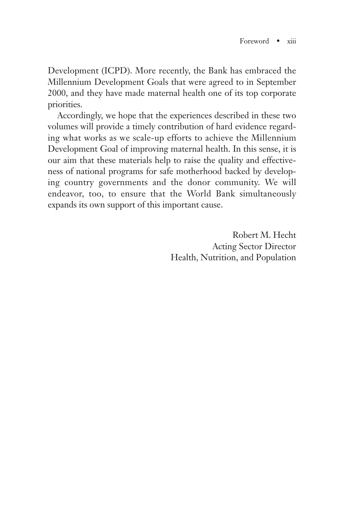Development (ICPD). More recently, the Bank has embraced the Millennium Development Goals that were agreed to in September 2000, and they have made maternal health one of its top corporate priorities.

Accordingly, we hope that the experiences described in these two volumes will provide a timely contribution of hard evidence regarding what works as we scale-up efforts to achieve the Millennium Development Goal of improving maternal health. In this sense, it is our aim that these materials help to raise the quality and effectiveness of national programs for safe motherhood backed by developing country governments and the donor community. We will endeavor, too, to ensure that the World Bank simultaneously expands its own support of this important cause.

> Robert M. Hecht Acting Sector Director Health, Nutrition, and Population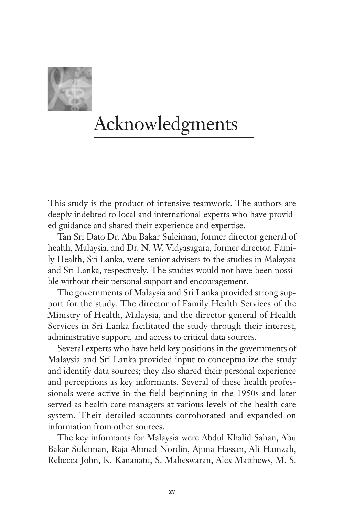

## Acknowledgments

This study is the product of intensive teamwork. The authors are deeply indebted to local and international experts who have provided guidance and shared their experience and expertise.

Tan Sri Dato Dr. Abu Bakar Suleiman, former director general of health, Malaysia, and Dr. N. W. Vidyasagara, former director, Family Health, Sri Lanka, were senior advisers to the studies in Malaysia and Sri Lanka, respectively. The studies would not have been possible without their personal support and encouragement.

The governments of Malaysia and Sri Lanka provided strong support for the study. The director of Family Health Services of the Ministry of Health, Malaysia, and the director general of Health Services in Sri Lanka facilitated the study through their interest, administrative support, and access to critical data sources.

Several experts who have held key positions in the governments of Malaysia and Sri Lanka provided input to conceptualize the study and identify data sources; they also shared their personal experience and perceptions as key informants. Several of these health professionals were active in the field beginning in the 1950s and later served as health care managers at various levels of the health care system. Their detailed accounts corroborated and expanded on information from other sources.

The key informants for Malaysia were Abdul Khalid Sahan, Abu Bakar Suleiman, Raja Ahmad Nordin, Ajima Hassan, Ali Hamzah, Rebecca John, K. Kananatu, S. Maheswaran, Alex Matthews, M. S.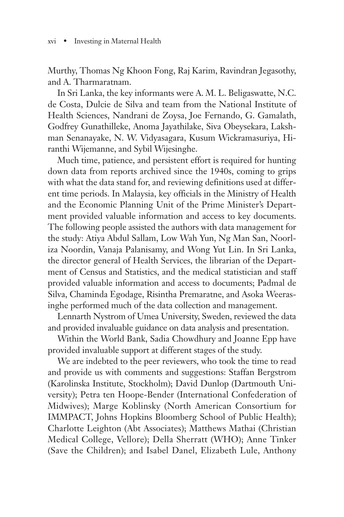Murthy, Thomas Ng Khoon Fong, Raj Karim, Ravindran Jegasothy, and A. Tharmaratnam.

In Sri Lanka, the key informants were A. M. L. Beligaswatte, N.C. de Costa, Dulcie de Silva and team from the National Institute of Health Sciences, Nandrani de Zoysa, Joe Fernando, G. Gamalath, Godfrey Gunathilleke, Anoma Jayathilake, Siva Obeysekara, Lakshman Senanayake, N. W. Vidyasagara, Kusum Wickramasuriya, Hiranthi Wijemanne, and Sybil Wijesinghe.

Much time, patience, and persistent effort is required for hunting down data from reports archived since the 1940s, coming to grips with what the data stand for, and reviewing definitions used at different time periods. In Malaysia, key officials in the Ministry of Health and the Economic Planning Unit of the Prime Minister's Department provided valuable information and access to key documents. The following people assisted the authors with data management for the study: Atiya Abdul Sallam, Low Wah Yun, Ng Man San, Noorliza Noordin, Vanaja Palanisamy, and Wong Yut Lin. In Sri Lanka, the director general of Health Services, the librarian of the Department of Census and Statistics, and the medical statistician and staff provided valuable information and access to documents; Padmal de Silva, Chaminda Egodage, Risintha Premaratne, and Asoka Weerasinghe performed much of the data collection and management.

Lennarth Nystrom of Umea University, Sweden, reviewed the data and provided invaluable guidance on data analysis and presentation.

Within the World Bank, Sadia Chowdhury and Joanne Epp have provided invaluable support at different stages of the study.

We are indebted to the peer reviewers, who took the time to read and provide us with comments and suggestions: Staffan Bergstrom (Karolinska Institute, Stockholm); David Dunlop (Dartmouth University); Petra ten Hoope-Bender (International Confederation of Midwives); Marge Koblinsky (North American Consortium for IMMPACT, Johns Hopkins Bloomberg School of Public Health); Charlotte Leighton (Abt Associates); Matthews Mathai (Christian Medical College, Vellore); Della Sherratt (WHO); Anne Tinker (Save the Children); and Isabel Danel, Elizabeth Lule, Anthony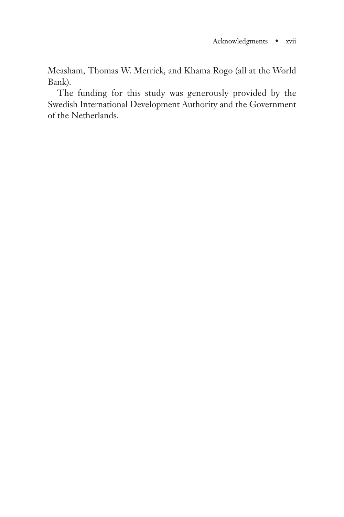Measham, Thomas W. Merrick, and Khama Rogo (all at the World Bank).

The funding for this study was generously provided by the Swedish International Development Authority and the Government of the Netherlands.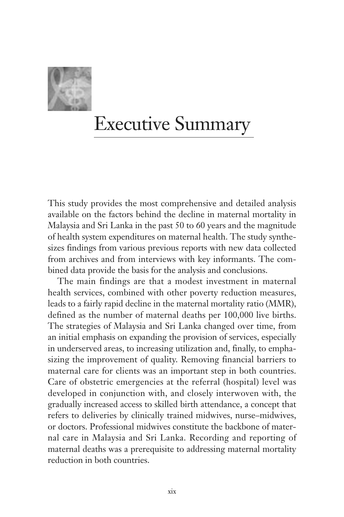

## Executive Summary

This study provides the most comprehensive and detailed analysis available on the factors behind the decline in maternal mortality in Malaysia and Sri Lanka in the past 50 to 60 years and the magnitude of health system expenditures on maternal health. The study synthesizes findings from various previous reports with new data collected from archives and from interviews with key informants. The combined data provide the basis for the analysis and conclusions.

The main findings are that a modest investment in maternal health services, combined with other poverty reduction measures, leads to a fairly rapid decline in the maternal mortality ratio (MMR), defined as the number of maternal deaths per 100,000 live births. The strategies of Malaysia and Sri Lanka changed over time, from an initial emphasis on expanding the provision of services, especially in underserved areas, to increasing utilization and, finally, to emphasizing the improvement of quality. Removing financial barriers to maternal care for clients was an important step in both countries. Care of obstetric emergencies at the referral (hospital) level was developed in conjunction with, and closely interwoven with, the gradually increased access to skilled birth attendance, a concept that refers to deliveries by clinically trained midwives, nurse–midwives, or doctors. Professional midwives constitute the backbone of maternal care in Malaysia and Sri Lanka. Recording and reporting of maternal deaths was a prerequisite to addressing maternal mortality reduction in both countries.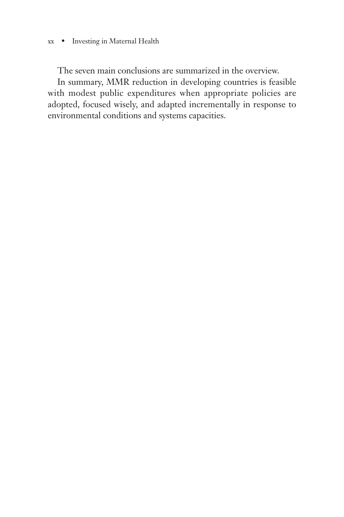### xx • Investing in Maternal Health

The seven main conclusions are summarized in the overview.

In summary, MMR reduction in developing countries is feasible with modest public expenditures when appropriate policies are adopted, focused wisely, and adapted incrementally in response to environmental conditions and systems capacities.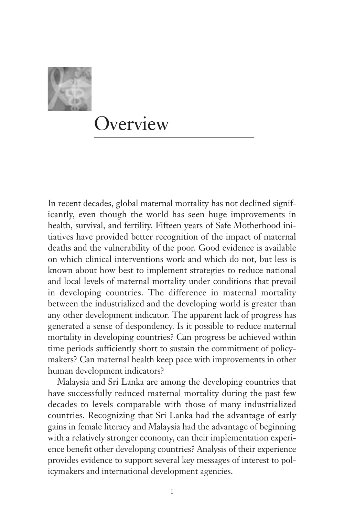

## Overview

In recent decades, global maternal mortality has not declined significantly, even though the world has seen huge improvements in health, survival, and fertility. Fifteen years of Safe Motherhood initiatives have provided better recognition of the impact of maternal deaths and the vulnerability of the poor. Good evidence is available on which clinical interventions work and which do not, but less is known about how best to implement strategies to reduce national and local levels of maternal mortality under conditions that prevail in developing countries. The difference in maternal mortality between the industrialized and the developing world is greater than any other development indicator. The apparent lack of progress has generated a sense of despondency. Is it possible to reduce maternal mortality in developing countries? Can progress be achieved within time periods sufficiently short to sustain the commitment of policymakers? Can maternal health keep pace with improvements in other human development indicators?

Malaysia and Sri Lanka are among the developing countries that have successfully reduced maternal mortality during the past few decades to levels comparable with those of many industrialized countries. Recognizing that Sri Lanka had the advantage of early gains in female literacy and Malaysia had the advantage of beginning with a relatively stronger economy, can their implementation experience benefit other developing countries? Analysis of their experience provides evidence to support several key messages of interest to policymakers and international development agencies.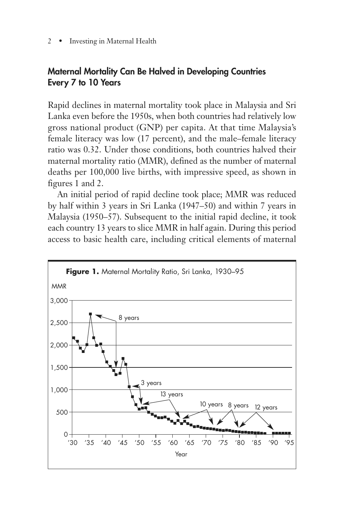<span id="page-23-0"></span>2 • Investing in Maternal Health

## **Maternal Mortality Can Be Halved in Developing Countries Every 7 to 10 Years**

Rapid declines in maternal mortality took place in Malaysia and Sri Lanka even before the 1950s, when both countries had relatively low gross national product (GNP) per capita. At that time Malaysia's female literacy was low (17 percent), and the male–female literacy ratio was 0.32. Under those conditions, both countries halved their maternal mortality ratio (MMR), defined as the number of maternal deaths per 100,000 live births, with impressive speed, as shown in figures 1 and 2.

An initial period of rapid decline took place; MMR was reduced by half within 3 years in Sri Lanka (1947–50) and within 7 years in Malaysia (1950–57). Subsequent to the initial rapid decline, it took each country 13 years to slice MMR in half again. During this period access to basic health care, including critical elements of maternal

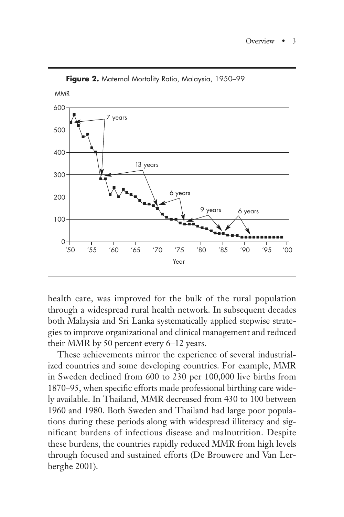<span id="page-24-0"></span>

health care, was improved for the bulk of the rural population through a widespread rural health network. In subsequent decades both Malaysia and Sri Lanka systematically applied stepwise strategies to improve organizational and clinical management and reduced their MMR by 50 percent every 6–12 years.

These achievements mirror the experience of several industrialized countries and some developing countries. For example, MMR in Sweden declined from 600 to 230 per 100,000 live births from 1870–95, when specific efforts made professional birthing care widely available. In Thailand, MMR decreased from 430 to 100 between 1960 and 1980. Both Sweden and Thailand had large poor populations during these periods along with widespread illiteracy and significant burdens of infectious disease and malnutrition. Despite these burdens, the countries rapidly reduced MMR from high levels through focused and sustained efforts (De Brouwere and Van Lerberghe 2001).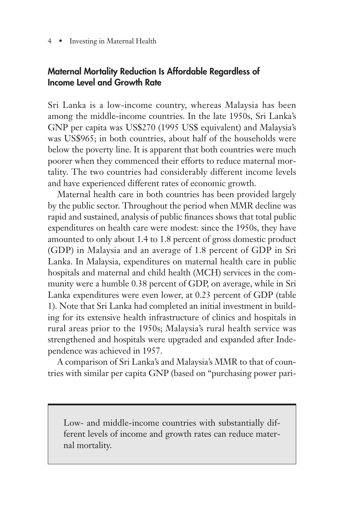#### 4 • Investing in Maternal Health

## **Maternal Mortality Reduction Is Affordable Regardless of Income Level and Growth Rate**

Sri Lanka is a low-income country, whereas Malaysia has been among the middle-income countries. In the late 1950s, Sri Lanka's GNP per capita was US\$270 (1995 US\$ equivalent) and Malaysia's was US\$965; in both countries, about half of the households were below the poverty line. It is apparent that both countries were much poorer when they commenced their efforts to reduce maternal mortality. The two countries had considerably different income levels and have experienced different rates of economic growth.

Maternal health care in both countries has been provided largely by the public sector. Throughout the period when MMR decline was rapid and sustained, analysis of public finances shows that total public expenditures on health care were modest: since the 1950s, they have amounted to only about 1.4 to 1.8 percent of gross domestic product (GDP) in Malaysia and an average of 1.8 percent of GDP in Sri Lanka. In Malaysia, expenditures on maternal health care in public hospitals and maternal and child health (MCH) services in the community were a humble 0.38 percent of GDP, on average, while in Sri Lanka expenditures were even lower, at 0.23 percent of GDP (table 1). Note that Sri Lanka had completed an initial investment in building for its extensive health infrastructure of clinics and hospitals in rural areas prior to the 1950s; Malaysia's rural health service was strengthened and hospitals were upgraded and expanded after Independence was achieved in 1957.

A comparison of Sri Lanka's and Malaysia's MMR to that of countries with similar per capita GNP (based on "purchasing power pari-

Low- and middle-income countries with substantially different levels of income and growth rates can reduce maternal mortality.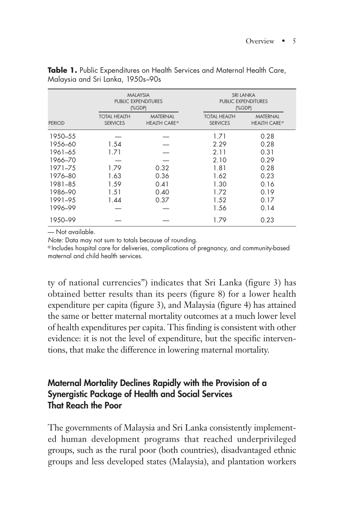| <b>MALAYSIA</b><br><b>PUBLIC EXPENDITURES</b><br>$(*GDP)$ |                                        | <b>SRI LANKA</b><br><b>PUBLIC EXPENDITURES</b><br>$(\%GDP)$ |                                        |                                             |
|-----------------------------------------------------------|----------------------------------------|-------------------------------------------------------------|----------------------------------------|---------------------------------------------|
| <b>PERIOD</b>                                             | <b>TOTAL HEALTH</b><br><b>SERVICES</b> | <b>MATERNAL</b><br>HEALTH CARE <sup>a</sup>                 | <b>TOTAL HEALTH</b><br><b>SERVICES</b> | <b>MATERNAL</b><br>HEALTH CARE <sup>a</sup> |
| 1950-55                                                   |                                        |                                                             | 1.71                                   | 0.28                                        |
| 1956–60                                                   | 1.54                                   |                                                             | 2.29                                   | 0.28                                        |
| 1961-65                                                   | 1.71                                   |                                                             | 2.11                                   | 0.31                                        |
| 1966–70                                                   |                                        |                                                             | 2.10                                   | 0.29                                        |
| 1971–75                                                   | 1.79                                   | 0.32                                                        | 1.81                                   | 0.28                                        |
| 1976–80                                                   | 1.63                                   | 0.36                                                        | 1.62                                   | 0.23                                        |
| 1981-85                                                   | 1.59                                   | 0.41                                                        | 1.30                                   | 0.16                                        |
| 1986-90                                                   | 1.51                                   | 0.40                                                        | 1.72                                   | 0.19                                        |
| 1991–95                                                   | 1.44                                   | 0.37                                                        | 1.52                                   | 0.17                                        |
| 1996–99                                                   |                                        |                                                             | 1.56                                   | 0.14                                        |
| 1950-99                                                   |                                        |                                                             | 1.79                                   | 0.23                                        |

<span id="page-26-0"></span>Table 1. Public Expenditures on Health Services and Maternal Health Care, Malaysia and Sri Lanka, 1950s–90s

— Not available.

*Note:* Data may not sum to totals because of rounding.

<sup>a</sup> Includes hospital care for deliveries, complications of pregnancy, and community-based maternal and child health services.

ty of national currencies") indicates that Sri Lanka (figure 3) has obtained better results than its peers (figure 8) for a lower health expenditure per capita (figure 3), and Malaysia (figure 4) has attained the same or better maternal mortality outcomes at a much lower level of health expenditures per capita. This finding is consistent with other evidence: it is not the level of expenditure, but the specific interventions, that make the difference in lowering maternal mortality.

## **Maternal Mortality Declines Rapidly with the Provision of a Synergistic Package of Health and Social Services That Reach the Poor**

The governments of Malaysia and Sri Lanka consistently implemented human development programs that reached underprivileged groups, such as the rural poor (both countries), disadvantaged ethnic groups and less developed states (Malaysia), and plantation workers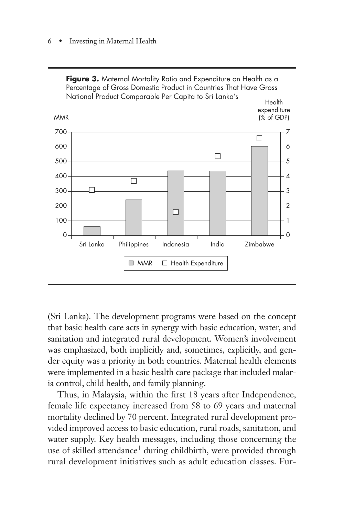#### <span id="page-27-0"></span>6 • Investing in Maternal Health



(Sri Lanka). The development programs were based on the concept that basic health care acts in synergy with basic education, water, and sanitation and integrated rural development. Women's involvement was emphasized, both implicitly and, sometimes, explicitly, and gender equity was a priority in both countries. Maternal health elements were implemented in a basic health care package that included malaria control, child health, and family planning.

Thus, in Malaysia, within the first 18 years after Independence, female life expectancy increased from 58 to 69 years and maternal mortality declined by 70 percent. Integrated rural development provided improved access to basic education, rural roads, sanitation, and water supply. Key health messages, including those concerning the use of skilled attendance<sup>1</sup> during childbirth, were provided through rural development initiatives such as adult education classes. Fur-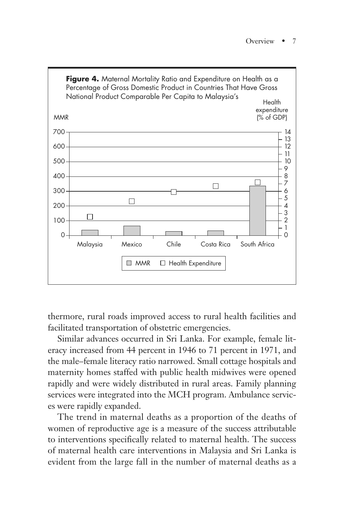<span id="page-28-0"></span>

thermore, rural roads improved access to rural health facilities and facilitated transportation of obstetric emergencies.

Similar advances occurred in Sri Lanka. For example, female literacy increased from 44 percent in 1946 to 71 percent in 1971, and the male–female literacy ratio narrowed. Small cottage hospitals and maternity homes staffed with public health midwives were opened rapidly and were widely distributed in rural areas. Family planning services were integrated into the MCH program. Ambulance services were rapidly expanded.

The trend in maternal deaths as a proportion of the deaths of women of reproductive age is a measure of the success attributable to interventions specifically related to maternal health. The success of maternal health care interventions in Malaysia and Sri Lanka is evident from the large fall in the number of maternal deaths as a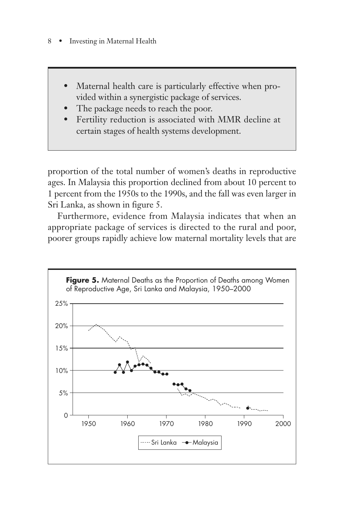- <span id="page-29-0"></span>• Maternal health care is particularly effective when provided within a synergistic package of services.
- The package needs to reach the poor.
- Fertility reduction is associated with MMR decline at certain stages of health systems development.

proportion of the total number of women's deaths in reproductive ages. In Malaysia this proportion declined from about 10 percent to 1 percent from the 1950s to the 1990s, and the fall was even larger in Sri Lanka, as shown in figure 5.

Furthermore, evidence from Malaysia indicates that when an appropriate package of services is directed to the rural and poor, poorer groups rapidly achieve low maternal mortality levels that are

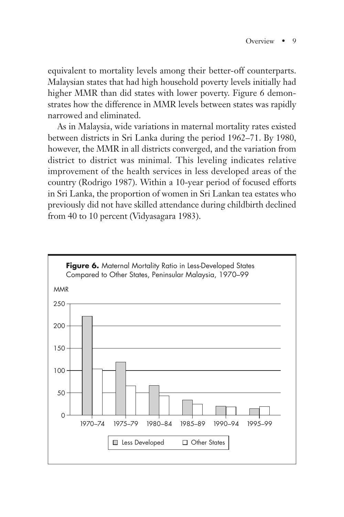<span id="page-30-0"></span>equivalent to mortality levels among their better-off counterparts. Malaysian states that had high household poverty levels initially had higher MMR than did states with lower poverty. Figure 6 demonstrates how the difference in MMR levels between states was rapidly narrowed and eliminated.

As in Malaysia, wide variations in maternal mortality rates existed between districts in Sri Lanka during the period 1962–71. By 1980, however, the MMR in all districts converged, and the variation from district to district was minimal. This leveling indicates relative improvement of the health services in less developed areas of the country (Rodrigo 1987). Within a 10-year period of focused efforts in Sri Lanka, the proportion of women in Sri Lankan tea estates who previously did not have skilled attendance during childbirth declined from 40 to 10 percent (Vidyasagara 1983).

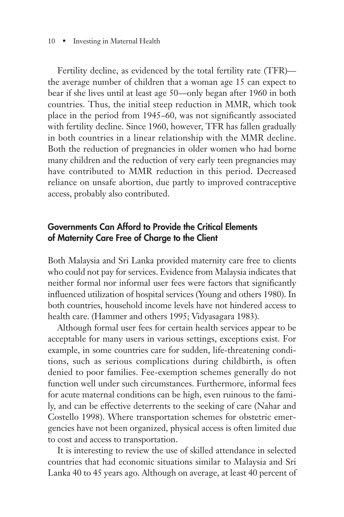#### 10 • Investing in Maternal Health

Fertility decline, as evidenced by the total fertility rate (TFR) the average number of children that a woman age 15 can expect to bear if she lives until at least age 50—only began after 1960 in both countries. Thus, the initial steep reduction in MMR, which took place in the period from 1945–60, was not significantly associated with fertility decline. Since 1960, however, TFR has fallen gradually in both countries in a linear relationship with the MMR decline. Both the reduction of pregnancies in older women who had borne many children and the reduction of very early teen pregnancies may have contributed to MMR reduction in this period. Decreased reliance on unsafe abortion, due partly to improved contraceptive access, probably also contributed.

### **Governments Can Afford to Provide the Critical Elements of Maternity Care Free of Charge to the Client**

Both Malaysia and Sri Lanka provided maternity care free to clients who could not pay for services. Evidence from Malaysia indicates that neither formal nor informal user fees were factors that significantly influenced utilization of hospital services (Young and others 1980). In both countries, household income levels have not hindered access to health care. (Hammer and others 1995; Vidyasagara 1983).

Although formal user fees for certain health services appear to be acceptable for many users in various settings, exceptions exist. For example, in some countries care for sudden, life-threatening conditions, such as serious complications during childbirth, is often denied to poor families. Fee-exemption schemes generally do not function well under such circumstances. Furthermore, informal fees for acute maternal conditions can be high, even ruinous to the family, and can be effective deterrents to the seeking of care (Nahar and Costello 1998). Where transportation schemes for obstetric emergencies have not been organized, physical access is often limited due to cost and access to transportation.

It is interesting to review the use of skilled attendance in selected countries that had economic situations similar to Malaysia and Sri Lanka 40 to 45 years ago. Although on average, at least 40 percent of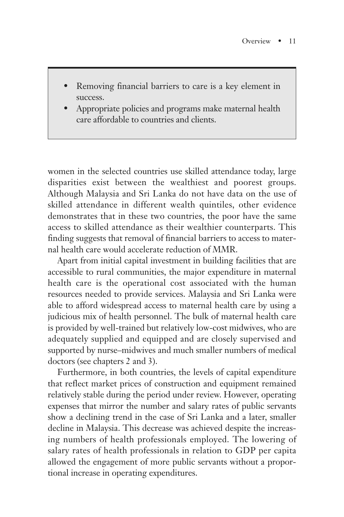- Removing financial barriers to care is a key element in success.
- Appropriate policies and programs make maternal health care affordable to countries and clients.

women in the selected countries use skilled attendance today, large disparities exist between the wealthiest and poorest groups. Although Malaysia and Sri Lanka do not have data on the use of skilled attendance in different wealth quintiles, other evidence demonstrates that in these two countries, the poor have the same access to skilled attendance as their wealthier counterparts. This finding suggests that removal of financial barriers to access to maternal health care would accelerate reduction of MMR.

Apart from initial capital investment in building facilities that are accessible to rural communities, the major expenditure in maternal health care is the operational cost associated with the human resources needed to provide services. Malaysia and Sri Lanka were able to afford widespread access to maternal health care by using a judicious mix of health personnel. The bulk of maternal health care is provided by well-trained but relatively low-cost midwives, who are adequately supplied and equipped and are closely supervised and supported by nurse–midwives and much smaller numbers of medical doctors (see chapters 2 and 3).

Furthermore, in both countries, the levels of capital expenditure that reflect market prices of construction and equipment remained relatively stable during the period under review. However, operating expenses that mirror the number and salary rates of public servants show a declining trend in the case of Sri Lanka and a later, smaller decline in Malaysia. This decrease was achieved despite the increasing numbers of health professionals employed. The lowering of salary rates of health professionals in relation to GDP per capita allowed the engagement of more public servants without a proportional increase in operating expenditures.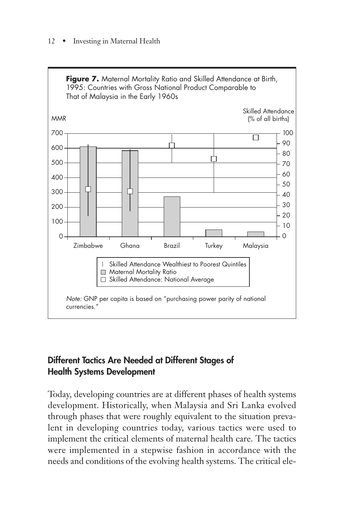#### <span id="page-33-0"></span>12 • Investing in Maternal Health



### **Different Tactics Are Needed at Different Stages of Health Systems Development**

Today, developing countries are at different phases of health systems development. Historically, when Malaysia and Sri Lanka evolved through phases that were roughly equivalent to the situation prevalent in developing countries today, various tactics were used to implement the critical elements of maternal health care. The tactics were implemented in a stepwise fashion in accordance with the needs and conditions of the evolving health systems. The critical ele-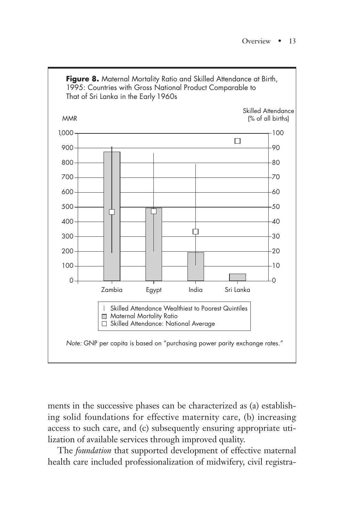<span id="page-34-0"></span>

ments in the successive phases can be characterized as (a) establishing solid foundations for effective maternity care, (b) increasing access to such care, and (c) subsequently ensuring appropriate utilization of available services through improved quality.

The *foundation* that supported development of effective maternal health care included professionalization of midwifery, civil registra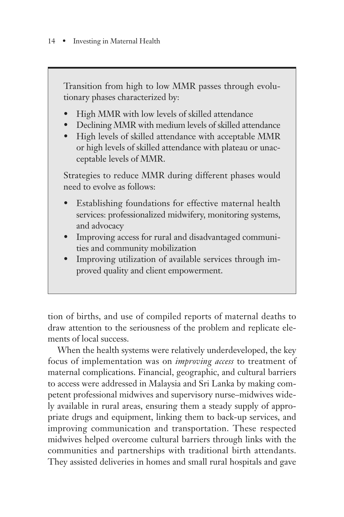Transition from high to low MMR passes through evolutionary phases characterized by:

- High MMR with low levels of skilled attendance
- Declining MMR with medium levels of skilled attendance
- High levels of skilled attendance with acceptable MMR or high levels of skilled attendance with plateau or unacceptable levels of MMR.

Strategies to reduce MMR during different phases would need to evolve as follows:

- Establishing foundations for effective maternal health services: professionalized midwifery, monitoring systems, and advocacy
- Improving access for rural and disadvantaged communities and community mobilization
- Improving utilization of available services through improved quality and client empowerment.

tion of births, and use of compiled reports of maternal deaths to draw attention to the seriousness of the problem and replicate elements of local success.

When the health systems were relatively underdeveloped, the key focus of implementation was on *improving access* to treatment of maternal complications. Financial, geographic, and cultural barriers to access were addressed in Malaysia and Sri Lanka by making competent professional midwives and supervisory nurse–midwives widely available in rural areas, ensuring them a steady supply of appropriate drugs and equipment, linking them to back-up services, and improving communication and transportation. These respected midwives helped overcome cultural barriers through links with the communities and partnerships with traditional birth attendants. They assisted deliveries in homes and small rural hospitals and gave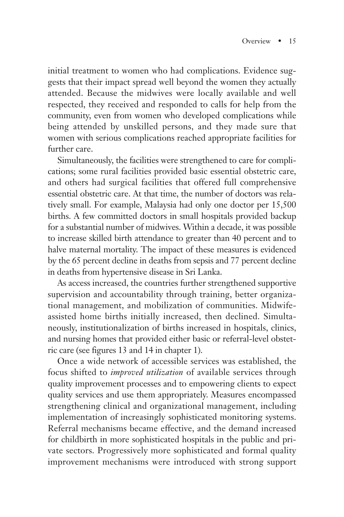initial treatment to women who had complications. Evidence suggests that their impact spread well beyond the women they actually attended. Because the midwives were locally available and well respected, they received and responded to calls for help from the community, even from women who developed complications while being attended by unskilled persons, and they made sure that women with serious complications reached appropriate facilities for further care.

Simultaneously, the facilities were strengthened to care for complications; some rural facilities provided basic essential obstetric care, and others had surgical facilities that offered full comprehensive essential obstetric care. At that time, the number of doctors was relatively small. For example, Malaysia had only one doctor per 15,500 births. A few committed doctors in small hospitals provided backup for a substantial number of midwives. Within a decade, it was possible to increase skilled birth attendance to greater than 40 percent and to halve maternal mortality. The impact of these measures is evidenced by the 65 percent decline in deaths from sepsis and 77 percent decline in deaths from hypertensive disease in Sri Lanka.

As access increased, the countries further strengthened supportive supervision and accountability through training, better organizational management, and mobilization of communities. Midwifeassisted home births initially increased, then declined. Simultaneously, institutionalization of births increased in hospitals, clinics, and nursing homes that provided either basic or referral-level obstetric care (see figures 13 and 14 in chapter 1).

Once a wide network of accessible services was established, the focus shifted to *improved utilization* of available services through quality improvement processes and to empowering clients to expect quality services and use them appropriately. Measures encompassed strengthening clinical and organizational management, including implementation of increasingly sophisticated monitoring systems. Referral mechanisms became effective, and the demand increased for childbirth in more sophisticated hospitals in the public and private sectors. Progressively more sophisticated and formal quality improvement mechanisms were introduced with strong support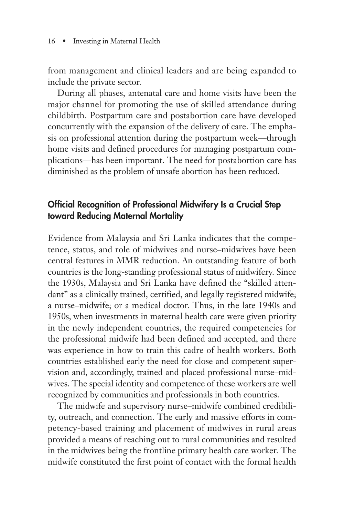from management and clinical leaders and are being expanded to include the private sector.

During all phases, antenatal care and home visits have been the major channel for promoting the use of skilled attendance during childbirth. Postpartum care and postabortion care have developed concurrently with the expansion of the delivery of care. The emphasis on professional attention during the postpartum week—through home visits and defined procedures for managing postpartum complications—has been important. The need for postabortion care has diminished as the problem of unsafe abortion has been reduced.

## **Official Recognition of Professional Midwifery Is a Crucial Step toward Reducing Maternal Mortality**

Evidence from Malaysia and Sri Lanka indicates that the competence, status, and role of midwives and nurse–midwives have been central features in MMR reduction. An outstanding feature of both countries is the long-standing professional status of midwifery. Since the 1930s, Malaysia and Sri Lanka have defined the "skilled attendant" as a clinically trained, certified, and legally registered midwife; a nurse–midwife; or a medical doctor. Thus, in the late 1940s and 1950s, when investments in maternal health care were given priority in the newly independent countries, the required competencies for the professional midwife had been defined and accepted, and there was experience in how to train this cadre of health workers. Both countries established early the need for close and competent supervision and, accordingly, trained and placed professional nurse–midwives. The special identity and competence of these workers are well recognized by communities and professionals in both countries.

The midwife and supervisory nurse–midwife combined credibility, outreach, and connection. The early and massive efforts in competency-based training and placement of midwives in rural areas provided a means of reaching out to rural communities and resulted in the midwives being the frontline primary health care worker. The midwife constituted the first point of contact with the formal health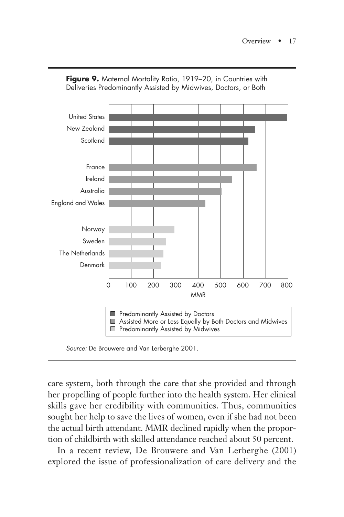

care system, both through the care that she provided and through her propelling of people further into the health system. Her clinical skills gave her credibility with communities. Thus, communities sought her help to save the lives of women, even if she had not been the actual birth attendant. MMR declined rapidly when the proportion of childbirth with skilled attendance reached about 50 percent.

In a recent review, De Brouwere and Van Lerberghe (2001) explored the issue of professionalization of care delivery and the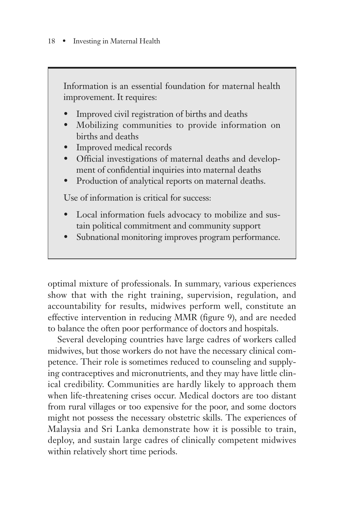Information is an essential foundation for maternal health improvement. It requires:

- Improved civil registration of births and deaths
- Mobilizing communities to provide information on births and deaths
- Improved medical records
- Official investigations of maternal deaths and development of confidential inquiries into maternal deaths
- Production of analytical reports on maternal deaths.

Use of information is critical for success:

- Local information fuels advocacy to mobilize and sustain political commitment and community support
- Subnational monitoring improves program performance.

optimal mixture of professionals. In summary, various experiences show that with the right training, supervision, regulation, and accountability for results, midwives perform well, constitute an effective intervention in reducing MMR (figure 9), and are needed to balance the often poor performance of doctors and hospitals.

Several developing countries have large cadres of workers called midwives, but those workers do not have the necessary clinical competence. Their role is sometimes reduced to counseling and supplying contraceptives and micronutrients, and they may have little clinical credibility. Communities are hardly likely to approach them when life-threatening crises occur. Medical doctors are too distant from rural villages or too expensive for the poor, and some doctors might not possess the necessary obstetric skills. The experiences of Malaysia and Sri Lanka demonstrate how it is possible to train, deploy, and sustain large cadres of clinically competent midwives within relatively short time periods.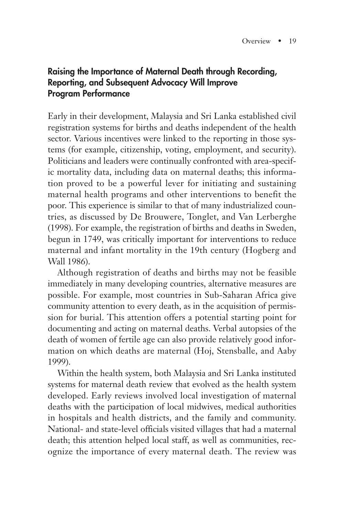# **Raising the Importance of Maternal Death through Recording, Reporting, and Subsequent Advocacy Will Improve Program Performance**

Early in their development, Malaysia and Sri Lanka established civil registration systems for births and deaths independent of the health sector. Various incentives were linked to the reporting in those systems (for example, citizenship, voting, employment, and security). Politicians and leaders were continually confronted with area-specific mortality data, including data on maternal deaths; this information proved to be a powerful lever for initiating and sustaining maternal health programs and other interventions to benefit the poor. This experience is similar to that of many industrialized countries, as discussed by De Brouwere, Tonglet, and Van Lerberghe (1998). For example, the registration of births and deaths in Sweden, begun in 1749, was critically important for interventions to reduce maternal and infant mortality in the 19th century (Hogberg and Wall 1986).

Although registration of deaths and births may not be feasible immediately in many developing countries, alternative measures are possible. For example, most countries in Sub-Saharan Africa give community attention to every death, as in the acquisition of permission for burial. This attention offers a potential starting point for documenting and acting on maternal deaths. Verbal autopsies of the death of women of fertile age can also provide relatively good information on which deaths are maternal (Hoj, Stensballe, and Aaby 1999).

Within the health system, both Malaysia and Sri Lanka instituted systems for maternal death review that evolved as the health system developed. Early reviews involved local investigation of maternal deaths with the participation of local midwives, medical authorities in hospitals and health districts, and the family and community. National- and state-level officials visited villages that had a maternal death; this attention helped local staff, as well as communities, recognize the importance of every maternal death. The review was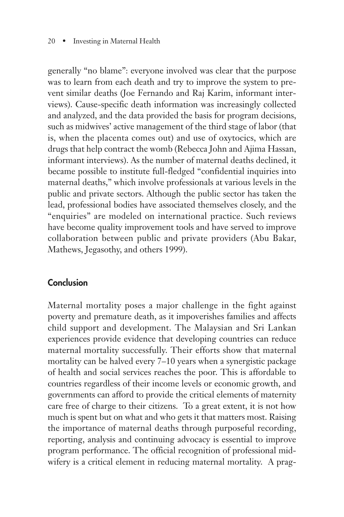generally "no blame": everyone involved was clear that the purpose was to learn from each death and try to improve the system to prevent similar deaths (Joe Fernando and Raj Karim, informant interviews). Cause-specific death information was increasingly collected and analyzed, and the data provided the basis for program decisions, such as midwives' active management of the third stage of labor (that is, when the placenta comes out) and use of oxytocics, which are drugs that help contract the womb (Rebecca John and Ajima Hassan, informant interviews). As the number of maternal deaths declined, it became possible to institute full-fledged "confidential inquiries into maternal deaths," which involve professionals at various levels in the public and private sectors. Although the public sector has taken the lead, professional bodies have associated themselves closely, and the "enquiries" are modeled on international practice. Such reviews have become quality improvement tools and have served to improve collaboration between public and private providers (Abu Bakar, Mathews, Jegasothy, and others 1999).

### **Conclusion**

Maternal mortality poses a major challenge in the fight against poverty and premature death, as it impoverishes families and affects child support and development. The Malaysian and Sri Lankan experiences provide evidence that developing countries can reduce maternal mortality successfully. Their efforts show that maternal mortality can be halved every 7–10 years when a synergistic package of health and social services reaches the poor. This is affordable to countries regardless of their income levels or economic growth, and governments can afford to provide the critical elements of maternity care free of charge to their citizens. To a great extent, it is not how much is spent but on what and who gets it that matters most. Raising the importance of maternal deaths through purposeful recording, reporting, analysis and continuing advocacy is essential to improve program performance. The official recognition of professional midwifery is a critical element in reducing maternal mortality. A prag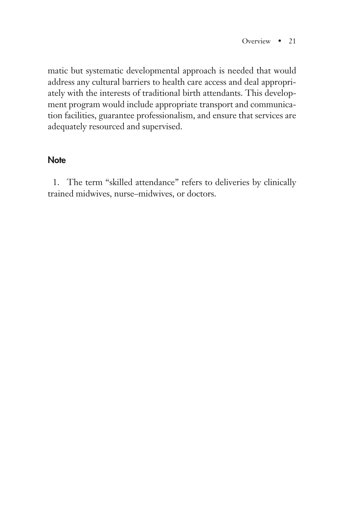matic but systematic developmental approach is needed that would address any cultural barriers to health care access and deal appropriately with the interests of traditional birth attendants. This development program would include appropriate transport and communication facilities, guarantee professionalism, and ensure that services are adequately resourced and supervised.

### **Note**

1. The term "skilled attendance" refers to deliveries by clinically trained midwives, nurse–midwives, or doctors.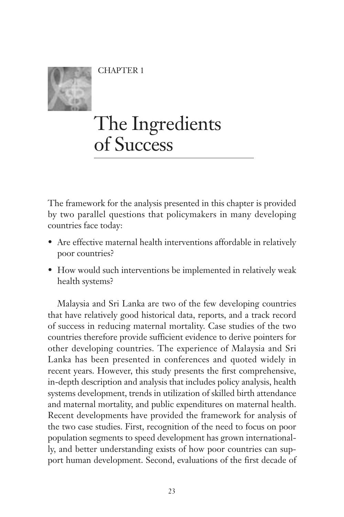CHAPTER 1



# The Ingredients of Success

The framework for the analysis presented in this chapter is provided by two parallel questions that policymakers in many developing countries face today:

- Are effective maternal health interventions affordable in relatively poor countries?
- How would such interventions be implemented in relatively weak health systems?

Malaysia and Sri Lanka are two of the few developing countries that have relatively good historical data, reports, and a track record of success in reducing maternal mortality. Case studies of the two countries therefore provide sufficient evidence to derive pointers for other developing countries. The experience of Malaysia and Sri Lanka has been presented in conferences and quoted widely in recent years. However, this study presents the first comprehensive, in-depth description and analysis that includes policy analysis, health systems development, trends in utilization of skilled birth attendance and maternal mortality, and public expenditures on maternal health. Recent developments have provided the framework for analysis of the two case studies. First, recognition of the need to focus on poor population segments to speed development has grown internationally, and better understanding exists of how poor countries can support human development. Second, evaluations of the first decade of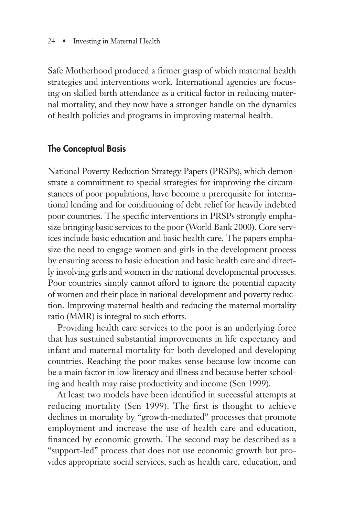Safe Motherhood produced a firmer grasp of which maternal health strategies and interventions work. International agencies are focusing on skilled birth attendance as a critical factor in reducing maternal mortality, and they now have a stronger handle on the dynamics of health policies and programs in improving maternal health.

### **The Conceptual Basis**

National Poverty Reduction Strategy Papers (PRSPs), which demonstrate a commitment to special strategies for improving the circumstances of poor populations, have become a prerequisite for international lending and for conditioning of debt relief for heavily indebted poor countries. The specific interventions in PRSPs strongly emphasize bringing basic services to the poor (World Bank 2000). Core services include basic education and basic health care. The papers emphasize the need to engage women and girls in the development process by ensuring access to basic education and basic health care and directly involving girls and women in the national developmental processes. Poor countries simply cannot afford to ignore the potential capacity of women and their place in national development and poverty reduction. Improving maternal health and reducing the maternal mortality ratio (MMR) is integral to such efforts.

Providing health care services to the poor is an underlying force that has sustained substantial improvements in life expectancy and infant and maternal mortality for both developed and developing countries. Reaching the poor makes sense because low income can be a main factor in low literacy and illness and because better schooling and health may raise productivity and income (Sen 1999).

At least two models have been identified in successful attempts at reducing mortality (Sen 1999). The first is thought to achieve declines in mortality by "growth-mediated" processes that promote employment and increase the use of health care and education, financed by economic growth. The second may be described as a "support-led" process that does not use economic growth but provides appropriate social services, such as health care, education, and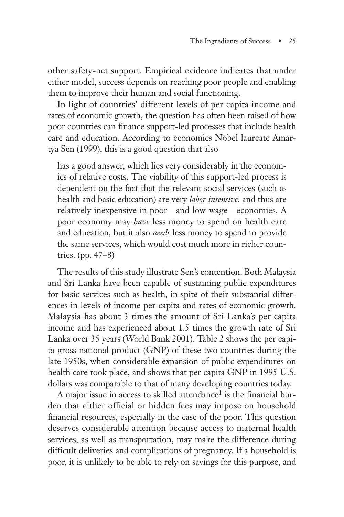other safety-net support. Empirical evidence indicates that under either model, success depends on reaching poor people and enabling them to improve their human and social functioning.

In light of countries' different levels of per capita income and rates of economic growth, the question has often been raised of how poor countries can finance support-led processes that include health care and education. According to economics Nobel laureate Amartya Sen (1999), this is a good question that also

has a good answer, which lies very considerably in the economics of relative costs. The viability of this support-led process is dependent on the fact that the relevant social services (such as health and basic education) are very *labor intensive,* and thus are relatively inexpensive in poor—and low-wage—economies. A poor economy may *have* less money to spend on health care and education, but it also *needs* less money to spend to provide the same services, which would cost much more in richer countries. (pp. 47–8)

The results of this study illustrate Sen's contention. Both Malaysia and Sri Lanka have been capable of sustaining public expenditures for basic services such as health, in spite of their substantial differences in levels of income per capita and rates of economic growth. Malaysia has about 3 times the amount of Sri Lanka's per capita income and has experienced about 1.5 times the growth rate of Sri Lanka over 35 years (World Bank 2001). Table 2 shows the per capita gross national product (GNP) of these two countries during the late 1950s, when considerable expansion of public expenditures on health care took place, and shows that per capita GNP in 1995 U.S. dollars was comparable to that of many developing countries today.

A major issue in access to skilled attendance<sup>1</sup> is the financial burden that either official or hidden fees may impose on household financial resources, especially in the case of the poor. This question deserves considerable attention because access to maternal health services, as well as transportation, may make the difference during difficult deliveries and complications of pregnancy. If a household is poor, it is unlikely to be able to rely on savings for this purpose, and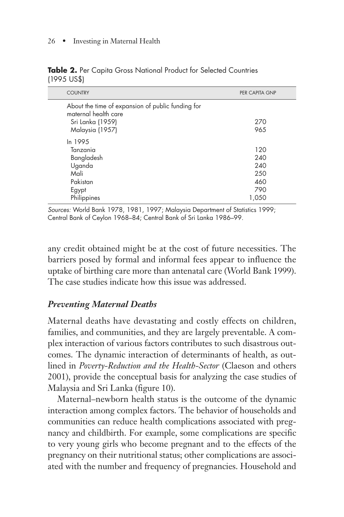| <b>COUNTRY</b> |                                                                           | <b>PER CAPITA GNP</b> |
|----------------|---------------------------------------------------------------------------|-----------------------|
|                | About the time of expansion of public funding for<br>maternal health care | 270                   |
|                | Sri Lanka (1959)<br>Malaysia (1957)                                       | 965                   |
| In 1995        |                                                                           |                       |
|                | Tanzania                                                                  | 120                   |
|                | Bangladesh                                                                | 240                   |
| Uganda         |                                                                           | 240                   |
| Mali           |                                                                           | 250                   |
| Pakistan       |                                                                           | 460                   |
| Egypt          |                                                                           | 790                   |
|                | Philippines                                                               | 1,050                 |

**Table 2.** Per Capita Gross National Product for Selected Countries (1995 US\$)

*Sources:* World Bank 1978, 1981, 1997; Malaysia Department of Statistics 1999; Central Bank of Ceylon 1968–84; Central Bank of Sri Lanka 1986–99.

any credit obtained might be at the cost of future necessities. The barriers posed by formal and informal fees appear to influence the uptake of birthing care more than antenatal care (World Bank 1999). The case studies indicate how this issue was addressed.

### *Preventing Maternal Deaths*

Maternal deaths have devastating and costly effects on children, families, and communities, and they are largely preventable. A complex interaction of various factors contributes to such disastrous outcomes. The dynamic interaction of determinants of health, as outlined in *Poverty-Reduction and the Health-Sector* (Claeson and others 2001), provide the conceptual basis for analyzing the case studies of Malaysia and Sri Lanka (figure 10).

Maternal–newborn health status is the outcome of the dynamic interaction among complex factors. The behavior of households and communities can reduce health complications associated with pregnancy and childbirth. For example, some complications are specific to very young girls who become pregnant and to the effects of the pregnancy on their nutritional status; other complications are associated with the number and frequency of pregnancies. Household and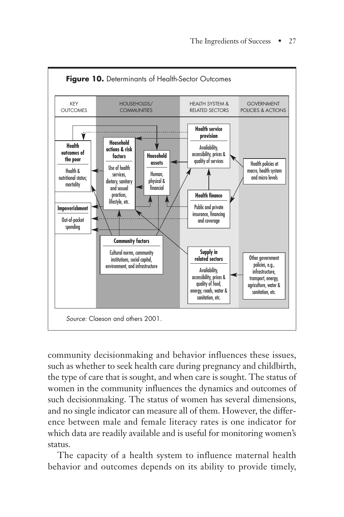

community decisionmaking and behavior influences these issues, such as whether to seek health care during pregnancy and childbirth, the type of care that is sought, and when care is sought. The status of women in the community influences the dynamics and outcomes of such decisionmaking. The status of women has several dimensions, and no single indicator can measure all of them. However, the difference between male and female literacy rates is one indicator for which data are readily available and is useful for monitoring women's status.

The capacity of a health system to influence maternal health behavior and outcomes depends on its ability to provide timely,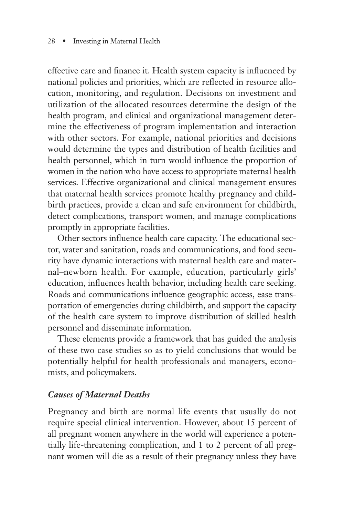effective care and finance it. Health system capacity is influenced by national policies and priorities, which are reflected in resource allocation, monitoring, and regulation. Decisions on investment and utilization of the allocated resources determine the design of the health program, and clinical and organizational management determine the effectiveness of program implementation and interaction with other sectors. For example, national priorities and decisions would determine the types and distribution of health facilities and health personnel, which in turn would influence the proportion of women in the nation who have access to appropriate maternal health services. Effective organizational and clinical management ensures that maternal health services promote healthy pregnancy and childbirth practices, provide a clean and safe environment for childbirth, detect complications, transport women, and manage complications promptly in appropriate facilities.

Other sectors influence health care capacity. The educational sector, water and sanitation, roads and communications, and food security have dynamic interactions with maternal health care and maternal–newborn health. For example, education, particularly girls' education, influences health behavior, including health care seeking. Roads and communications influence geographic access, ease transportation of emergencies during childbirth, and support the capacity of the health care system to improve distribution of skilled health personnel and disseminate information.

These elements provide a framework that has guided the analysis of these two case studies so as to yield conclusions that would be potentially helpful for health professionals and managers, economists, and policymakers.

### *Causes of Maternal Deaths*

Pregnancy and birth are normal life events that usually do not require special clinical intervention. However, about 15 percent of all pregnant women anywhere in the world will experience a potentially life-threatening complication, and 1 to 2 percent of all pregnant women will die as a result of their pregnancy unless they have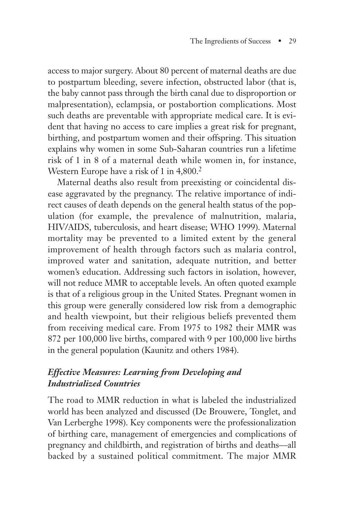access to major surgery. About 80 percent of maternal deaths are due to postpartum bleeding, severe infection, obstructed labor (that is, the baby cannot pass through the birth canal due to disproportion or malpresentation), eclampsia, or postabortion complications. Most such deaths are preventable with appropriate medical care. It is evident that having no access to care implies a great risk for pregnant, birthing, and postpartum women and their offspring. This situation explains why women in some Sub-Saharan countries run a lifetime risk of 1 in 8 of a maternal death while women in, for instance, Western Europe have a risk of 1 in 4,800.<sup>2</sup>

Maternal deaths also result from preexisting or coincidental disease aggravated by the pregnancy. The relative importance of indirect causes of death depends on the general health status of the population (for example, the prevalence of malnutrition, malaria, HIV/AIDS, tuberculosis, and heart disease; WHO 1999). Maternal mortality may be prevented to a limited extent by the general improvement of health through factors such as malaria control, improved water and sanitation, adequate nutrition, and better women's education. Addressing such factors in isolation, however, will not reduce MMR to acceptable levels. An often quoted example is that of a religious group in the United States. Pregnant women in this group were generally considered low risk from a demographic and health viewpoint, but their religious beliefs prevented them from receiving medical care. From 1975 to 1982 their MMR was 872 per 100,000 live births, compared with 9 per 100,000 live births in the general population (Kaunitz and others 1984).

### *Effective Measures: Learning from Developing and Industrialized Countries*

The road to MMR reduction in what is labeled the industrialized world has been analyzed and discussed (De Brouwere, Tonglet, and Van Lerberghe 1998). Key components were the professionalization of birthing care, management of emergencies and complications of pregnancy and childbirth, and registration of births and deaths—all backed by a sustained political commitment. The major MMR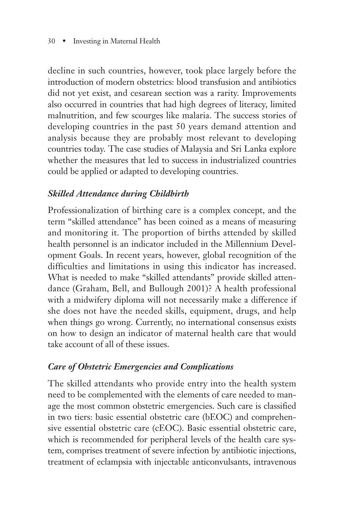decline in such countries, however, took place largely before the introduction of modern obstetrics: blood transfusion and antibiotics did not yet exist, and cesarean section was a rarity. Improvements also occurred in countries that had high degrees of literacy, limited malnutrition, and few scourges like malaria. The success stories of developing countries in the past 50 years demand attention and analysis because they are probably most relevant to developing countries today. The case studies of Malaysia and Sri Lanka explore whether the measures that led to success in industrialized countries could be applied or adapted to developing countries.

### *Skilled Attendance during Childbirth*

Professionalization of birthing care is a complex concept, and the term "skilled attendance" has been coined as a means of measuring and monitoring it. The proportion of births attended by skilled health personnel is an indicator included in the Millennium Development Goals. In recent years, however, global recognition of the difficulties and limitations in using this indicator has increased. What is needed to make "skilled attendants" provide skilled attendance (Graham, Bell, and Bullough 2001)? A health professional with a midwifery diploma will not necessarily make a difference if she does not have the needed skills, equipment, drugs, and help when things go wrong. Currently, no international consensus exists on how to design an indicator of maternal health care that would take account of all of these issues.

### *Care of Obstetric Emergencies and Complications*

The skilled attendants who provide entry into the health system need to be complemented with the elements of care needed to manage the most common obstetric emergencies. Such care is classified in two tiers: basic essential obstetric care (bEOC) and comprehensive essential obstetric care (cEOC). Basic essential obstetric care, which is recommended for peripheral levels of the health care system, comprises treatment of severe infection by antibiotic injections, treatment of eclampsia with injectable anticonvulsants, intravenous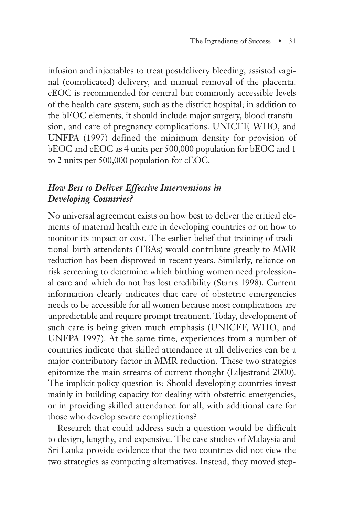infusion and injectables to treat postdelivery bleeding, assisted vaginal (complicated) delivery, and manual removal of the placenta. cEOC is recommended for central but commonly accessible levels of the health care system, such as the district hospital; in addition to the bEOC elements, it should include major surgery, blood transfusion, and care of pregnancy complications. UNICEF, WHO, and UNFPA (1997) defined the minimum density for provision of bEOC and cEOC as 4 units per 500,000 population for bEOC and 1 to 2 units per 500,000 population for cEOC.

### *How Best to Deliver Effective Interventions in Developing Countries?*

No universal agreement exists on how best to deliver the critical elements of maternal health care in developing countries or on how to monitor its impact or cost. The earlier belief that training of traditional birth attendants (TBAs) would contribute greatly to MMR reduction has been disproved in recent years. Similarly, reliance on risk screening to determine which birthing women need professional care and which do not has lost credibility (Starrs 1998). Current information clearly indicates that care of obstetric emergencies needs to be accessible for all women because most complications are unpredictable and require prompt treatment. Today, development of such care is being given much emphasis (UNICEF, WHO, and UNFPA 1997). At the same time, experiences from a number of countries indicate that skilled attendance at all deliveries can be a major contributory factor in MMR reduction. These two strategies epitomize the main streams of current thought (Liljestrand 2000). The implicit policy question is: Should developing countries invest mainly in building capacity for dealing with obstetric emergencies, or in providing skilled attendance for all, with additional care for those who develop severe complications?

Research that could address such a question would be difficult to design, lengthy, and expensive. The case studies of Malaysia and Sri Lanka provide evidence that the two countries did not view the two strategies as competing alternatives. Instead, they moved step-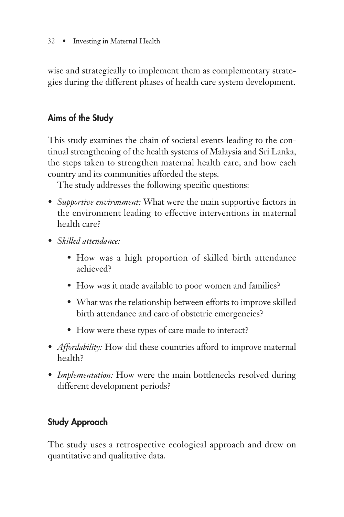wise and strategically to implement them as complementary strategies during the different phases of health care system development.

# **Aims of the Study**

This study examines the chain of societal events leading to the continual strengthening of the health systems of Malaysia and Sri Lanka, the steps taken to strengthen maternal health care, and how each country and its communities afforded the steps.

The study addresses the following specific questions:

- *Supportive environment:* What were the main supportive factors in the environment leading to effective interventions in maternal health care?
- *Skilled attendance:*
	- How was a high proportion of skilled birth attendance achieved?
	- How was it made available to poor women and families?
	- What was the relationship between efforts to improve skilled birth attendance and care of obstetric emergencies?
	- How were these types of care made to interact?
- *Affordability*: How did these countries afford to improve maternal health?
- *Implementation:* How were the main bottlenecks resolved during different development periods?

# **Study Approach**

The study uses a retrospective ecological approach and drew on quantitative and qualitative data.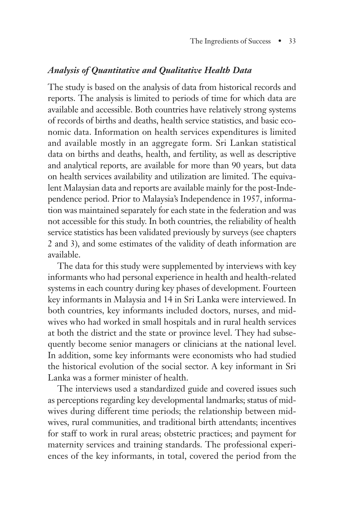### *Analysis of Quantitative and Qualitative Health Data*

The study is based on the analysis of data from historical records and reports. The analysis is limited to periods of time for which data are available and accessible. Both countries have relatively strong systems of records of births and deaths, health service statistics, and basic economic data. Information on health services expenditures is limited and available mostly in an aggregate form. Sri Lankan statistical data on births and deaths, health, and fertility, as well as descriptive and analytical reports, are available for more than 90 years, but data on health services availability and utilization are limited. The equivalent Malaysian data and reports are available mainly for the post-Independence period. Prior to Malaysia's Independence in 1957, information was maintained separately for each state in the federation and was not accessible for this study. In both countries, the reliability of health service statistics has been validated previously by surveys (see chapters 2 and 3), and some estimates of the validity of death information are available.

The data for this study were supplemented by interviews with key informants who had personal experience in health and health-related systems in each country during key phases of development. Fourteen key informants in Malaysia and 14 in Sri Lanka were interviewed. In both countries, key informants included doctors, nurses, and midwives who had worked in small hospitals and in rural health services at both the district and the state or province level. They had subsequently become senior managers or clinicians at the national level. In addition, some key informants were economists who had studied the historical evolution of the social sector. A key informant in Sri Lanka was a former minister of health.

The interviews used a standardized guide and covered issues such as perceptions regarding key developmental landmarks; status of midwives during different time periods; the relationship between midwives, rural communities, and traditional birth attendants; incentives for staff to work in rural areas; obstetric practices; and payment for maternity services and training standards. The professional experiences of the key informants, in total, covered the period from the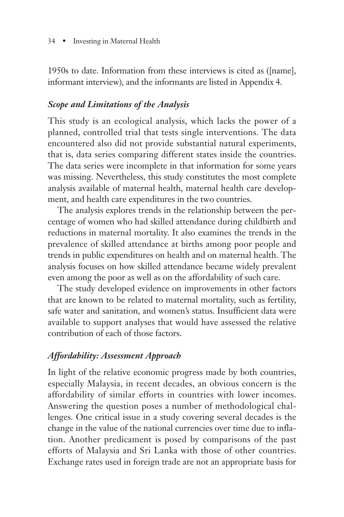1950s to date. Information from these interviews is cited as ([name], informant interview), and the informants are listed in Appendix 4.

### *Scope and Limitations of the Analysis*

This study is an ecological analysis, which lacks the power of a planned, controlled trial that tests single interventions. The data encountered also did not provide substantial natural experiments, that is, data series comparing different states inside the countries. The data series were incomplete in that information for some years was missing. Nevertheless, this study constitutes the most complete analysis available of maternal health, maternal health care development, and health care expenditures in the two countries.

The analysis explores trends in the relationship between the percentage of women who had skilled attendance during childbirth and reductions in maternal mortality. It also examines the trends in the prevalence of skilled attendance at births among poor people and trends in public expenditures on health and on maternal health. The analysis focuses on how skilled attendance became widely prevalent even among the poor as well as on the affordability of such care.

The study developed evidence on improvements in other factors that are known to be related to maternal mortality, such as fertility, safe water and sanitation, and women's status. Insufficient data were available to support analyses that would have assessed the relative contribution of each of those factors.

### *Affordability: Assessment Approach*

In light of the relative economic progress made by both countries, especially Malaysia, in recent decades, an obvious concern is the affordability of similar efforts in countries with lower incomes. Answering the question poses a number of methodological challenges. One critical issue in a study covering several decades is the change in the value of the national currencies over time due to inflation. Another predicament is posed by comparisons of the past efforts of Malaysia and Sri Lanka with those of other countries. Exchange rates used in foreign trade are not an appropriate basis for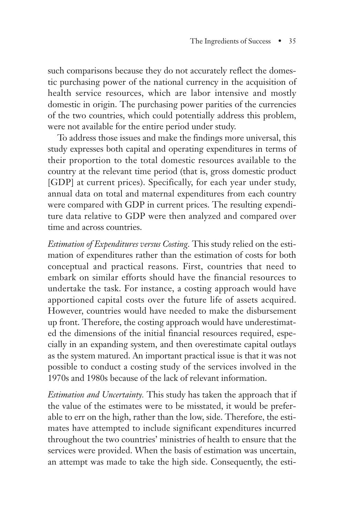such comparisons because they do not accurately reflect the domestic purchasing power of the national currency in the acquisition of health service resources, which are labor intensive and mostly domestic in origin. The purchasing power parities of the currencies of the two countries, which could potentially address this problem, were not available for the entire period under study.

To address those issues and make the findings more universal, this study expresses both capital and operating expenditures in terms of their proportion to the total domestic resources available to the country at the relevant time period (that is, gross domestic product [GDP] at current prices). Specifically, for each year under study, annual data on total and maternal expenditures from each country were compared with GDP in current prices. The resulting expenditure data relative to GDP were then analyzed and compared over time and across countries.

*Estimation of Expenditures versus Costing.* This study relied on the estimation of expenditures rather than the estimation of costs for both conceptual and practical reasons. First, countries that need to embark on similar efforts should have the financial resources to undertake the task. For instance, a costing approach would have apportioned capital costs over the future life of assets acquired. However, countries would have needed to make the disbursement up front. Therefore, the costing approach would have underestimated the dimensions of the initial financial resources required, especially in an expanding system, and then overestimate capital outlays as the system matured. An important practical issue is that it was not possible to conduct a costing study of the services involved in the 1970s and 1980s because of the lack of relevant information.

*Estimation and Uncertainty.* This study has taken the approach that if the value of the estimates were to be misstated, it would be preferable to err on the high, rather than the low, side. Therefore, the estimates have attempted to include significant expenditures incurred throughout the two countries' ministries of health to ensure that the services were provided. When the basis of estimation was uncertain, an attempt was made to take the high side. Consequently, the esti-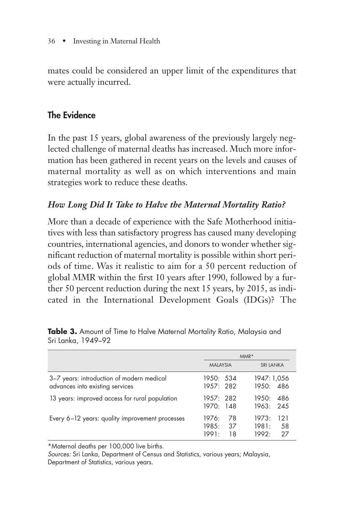mates could be considered an upper limit of the expenditures that were actually incurred.

# **The Evidence**

In the past 15 years, global awareness of the previously largely neglected challenge of maternal deaths has increased. Much more information has been gathered in recent years on the levels and causes of maternal mortality as well as on which interventions and main strategies work to reduce these deaths.

## *How Long Did It Take to Halve the Maternal Mortality Ratio?*

More than a decade of experience with the Safe Motherhood initiatives with less than satisfactory progress has caused many developing countries, international agencies, and donors to wonder whether significant reduction of maternal mortality is possible within short periods of time. Was it realistic to aim for a 50 percent reduction of global MMR within the first 10 years after 1990, followed by a further 50 percent reduction during the next 15 years, by 2015, as indicated in the International Development Goals (IDGs)? The

|                                                                              | MMR*                                      |                                             |  |  |
|------------------------------------------------------------------------------|-------------------------------------------|---------------------------------------------|--|--|
|                                                                              | <b>MALAYSIA</b>                           | <b>SRI LANKA</b>                            |  |  |
| 3-7 years: introduction of modern medical<br>advances into existing services | 1950: 534<br>1957: 282                    | 1947: 1,056<br>1950: 486                    |  |  |
| 13 years: improved access for rural population                               | 1957: 282<br>$1970 \cdot 148$             | 1950:<br>486<br>$1963 \cdot 245$            |  |  |
| Every 6-12 years: quality improvement processes                              | 78<br>1976:<br>1985:<br>37<br>1991:<br>18 | 1973:<br>-121<br>1981:<br>58<br>1992.<br>27 |  |  |

**Table 3.** Amount of Time to Halve Maternal Mortality Ratio, Malaysia and Sri Lanka, 1949–92

\*Maternal deaths per 100,000 live births.

*Sources:* Sri Lanka, Department of Census and Statistics, various years; Malaysia, Department of Statistics, various years.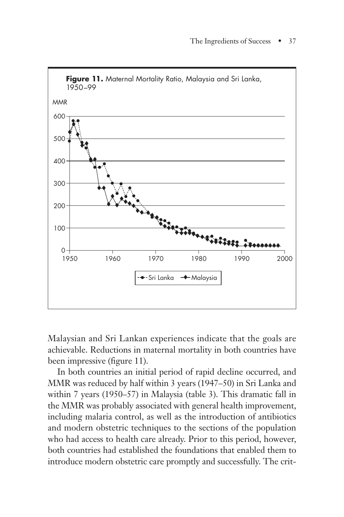

Malaysian and Sri Lankan experiences indicate that the goals are achievable. Reductions in maternal mortality in both countries have been impressive (figure 11).

In both countries an initial period of rapid decline occurred, and MMR was reduced by half within 3 years (1947–50) in Sri Lanka and within 7 years (1950–57) in Malaysia (table 3). This dramatic fall in the MMR was probably associated with general health improvement, including malaria control, as well as the introduction of antibiotics and modern obstetric techniques to the sections of the population who had access to health care already. Prior to this period, however, both countries had established the foundations that enabled them to introduce modern obstetric care promptly and successfully. The crit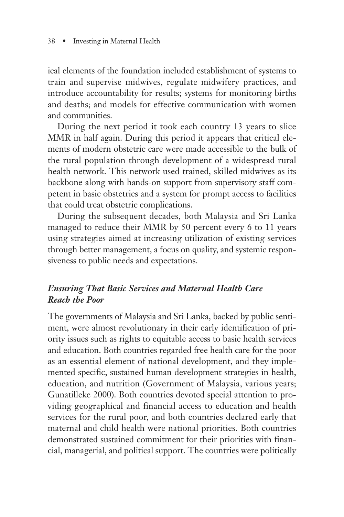ical elements of the foundation included establishment of systems to train and supervise midwives, regulate midwifery practices, and introduce accountability for results; systems for monitoring births and deaths; and models for effective communication with women and communities.

During the next period it took each country 13 years to slice MMR in half again. During this period it appears that critical elements of modern obstetric care were made accessible to the bulk of the rural population through development of a widespread rural health network. This network used trained, skilled midwives as its backbone along with hands-on support from supervisory staff competent in basic obstetrics and a system for prompt access to facilities that could treat obstetric complications.

During the subsequent decades, both Malaysia and Sri Lanka managed to reduce their MMR by 50 percent every 6 to 11 years using strategies aimed at increasing utilization of existing services through better management, a focus on quality, and systemic responsiveness to public needs and expectations.

## *Ensuring That Basic Services and Maternal Health Care Reach the Poor*

The governments of Malaysia and Sri Lanka, backed by public sentiment, were almost revolutionary in their early identification of priority issues such as rights to equitable access to basic health services and education. Both countries regarded free health care for the poor as an essential element of national development, and they implemented specific, sustained human development strategies in health, education, and nutrition (Government of Malaysia, various years; Gunatilleke 2000). Both countries devoted special attention to providing geographical and financial access to education and health services for the rural poor, and both countries declared early that maternal and child health were national priorities. Both countries demonstrated sustained commitment for their priorities with financial, managerial, and political support. The countries were politically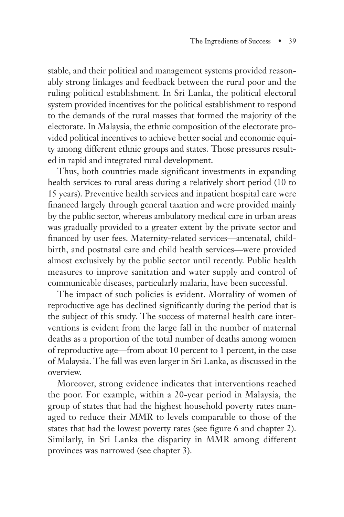stable, and their political and management systems provided reasonably strong linkages and feedback between the rural poor and the ruling political establishment. In Sri Lanka, the political electoral system provided incentives for the political establishment to respond to the demands of the rural masses that formed the majority of the electorate. In Malaysia, the ethnic composition of the electorate provided political incentives to achieve better social and economic equity among different ethnic groups and states. Those pressures resulted in rapid and integrated rural development.

Thus, both countries made significant investments in expanding health services to rural areas during a relatively short period (10 to 15 years). Preventive health services and inpatient hospital care were financed largely through general taxation and were provided mainly by the public sector, whereas ambulatory medical care in urban areas was gradually provided to a greater extent by the private sector and financed by user fees. Maternity-related services—antenatal, childbirth, and postnatal care and child health services—were provided almost exclusively by the public sector until recently. Public health measures to improve sanitation and water supply and control of communicable diseases, particularly malaria, have been successful.

The impact of such policies is evident. Mortality of women of reproductive age has declined significantly during the period that is the subject of this study. The success of maternal health care interventions is evident from the large fall in the number of maternal deaths as a proportion of the total number of deaths among women of reproductive age—from about 10 percent to 1 percent, in the case of Malaysia. The fall was even larger in Sri Lanka, as discussed in the overview.

Moreover, strong evidence indicates that interventions reached the poor. For example, within a 20-year period in Malaysia, the group of states that had the highest household poverty rates managed to reduce their MMR to levels comparable to those of the states that had the lowest poverty rates (see figure 6 and chapter 2). Similarly, in Sri Lanka the disparity in MMR among different provinces was narrowed (see chapter 3).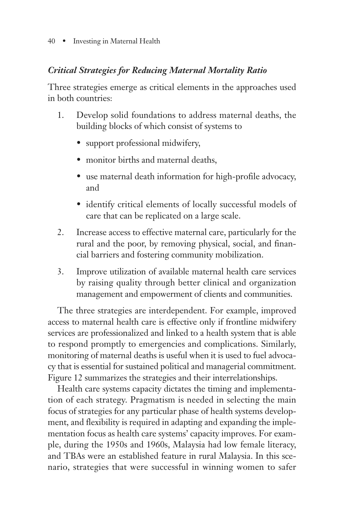## *Critical Strategies for Reducing Maternal Mortality Ratio*

Three strategies emerge as critical elements in the approaches used in both countries:

- 1. Develop solid foundations to address maternal deaths, the building blocks of which consist of systems to
	- support professional midwifery,
	- monitor births and maternal deaths,
	- use maternal death information for high-profile advocacy, and
	- identify critical elements of locally successful models of care that can be replicated on a large scale.
- 2. Increase access to effective maternal care, particularly for the rural and the poor, by removing physical, social, and financial barriers and fostering community mobilization.
- 3. Improve utilization of available maternal health care services by raising quality through better clinical and organization management and empowerment of clients and communities.

The three strategies are interdependent. For example, improved access to maternal health care is effective only if frontline midwifery services are professionalized and linked to a health system that is able to respond promptly to emergencies and complications. Similarly, monitoring of maternal deaths is useful when it is used to fuel advocacy that is essential for sustained political and managerial commitment. Figure 12 summarizes the strategies and their interrelationships.

Health care systems capacity dictates the timing and implementation of each strategy. Pragmatism is needed in selecting the main focus of strategies for any particular phase of health systems development, and flexibility is required in adapting and expanding the implementation focus as health care systems' capacity improves. For example, during the 1950s and 1960s, Malaysia had low female literacy, and TBAs were an established feature in rural Malaysia. In this scenario, strategies that were successful in winning women to safer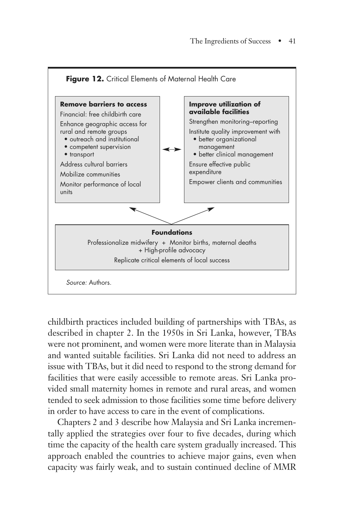

childbirth practices included building of partnerships with TBAs, as described in chapter 2. In the 1950s in Sri Lanka, however, TBAs were not prominent, and women were more literate than in Malaysia and wanted suitable facilities. Sri Lanka did not need to address an issue with TBAs, but it did need to respond to the strong demand for facilities that were easily accessible to remote areas. Sri Lanka provided small maternity homes in remote and rural areas, and women tended to seek admission to those facilities some time before delivery in order to have access to care in the event of complications.

Chapters 2 and 3 describe how Malaysia and Sri Lanka incrementally applied the strategies over four to five decades, during which time the capacity of the health care system gradually increased. This approach enabled the countries to achieve major gains, even when capacity was fairly weak, and to sustain continued decline of MMR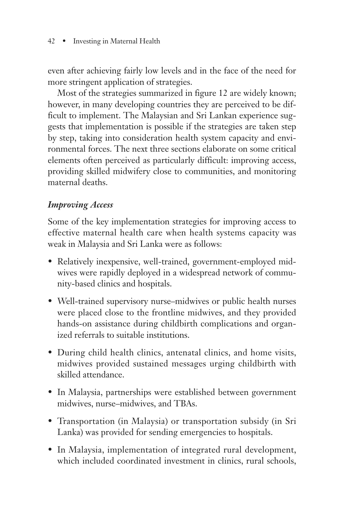even after achieving fairly low levels and in the face of the need for more stringent application of strategies.

Most of the strategies summarized in figure 12 are widely known; however, in many developing countries they are perceived to be difficult to implement. The Malaysian and Sri Lankan experience suggests that implementation is possible if the strategies are taken step by step, taking into consideration health system capacity and environmental forces. The next three sections elaborate on some critical elements often perceived as particularly difficult: improving access, providing skilled midwifery close to communities, and monitoring maternal deaths.

# *Improving Access*

Some of the key implementation strategies for improving access to effective maternal health care when health systems capacity was weak in Malaysia and Sri Lanka were as follows:

- Relatively inexpensive, well-trained, government-employed midwives were rapidly deployed in a widespread network of community-based clinics and hospitals.
- Well-trained supervisory nurse–midwives or public health nurses were placed close to the frontline midwives, and they provided hands-on assistance during childbirth complications and organized referrals to suitable institutions.
- During child health clinics, antenatal clinics, and home visits, midwives provided sustained messages urging childbirth with skilled attendance.
- In Malaysia, partnerships were established between government midwives, nurse–midwives, and TBAs.
- Transportation (in Malaysia) or transportation subsidy (in Sri Lanka) was provided for sending emergencies to hospitals.
- In Malaysia, implementation of integrated rural development, which included coordinated investment in clinics, rural schools,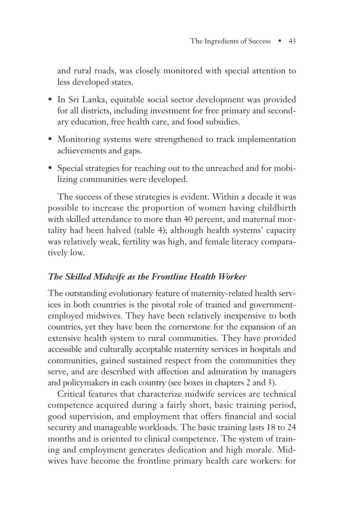and rural roads, was closely monitored with special attention to less developed states.

- In Sri Lanka, equitable social sector development was provided for all districts, including investment for free primary and secondary education, free health care, and food subsidies.
- Monitoring systems were strengthened to track implementation achievements and gaps.
- Special strategies for reaching out to the unreached and for mobilizing communities were developed.

The success of these strategies is evident. Within a decade it was possible to increase the proportion of women having childbirth with skilled attendance to more than 40 percent, and maternal mortality had been halved (table 4); although health systems' capacity was relatively weak, fertility was high, and female literacy comparatively low.

### *The Skilled Midwife as the Frontline Health Worker*

The outstanding evolutionary feature of maternity-related health services in both countries is the pivotal role of trained and governmentemployed midwives. They have been relatively inexpensive to both countries, yet they have been the cornerstone for the expansion of an extensive health system to rural communities. They have provided accessible and culturally acceptable maternity services in hospitals and communities, gained sustained respect from the communities they serve, and are described with affection and admiration by managers and policymakers in each country (see boxes in chapters 2 and 3).

Critical features that characterize midwife services are technical competence acquired during a fairly short, basic training period, good supervision, and employment that offers financial and social security and manageable workloads. The basic training lasts 18 to 24 months and is oriented to clinical competence. The system of training and employment generates dedication and high morale. Midwives have become the frontline primary health care workers: for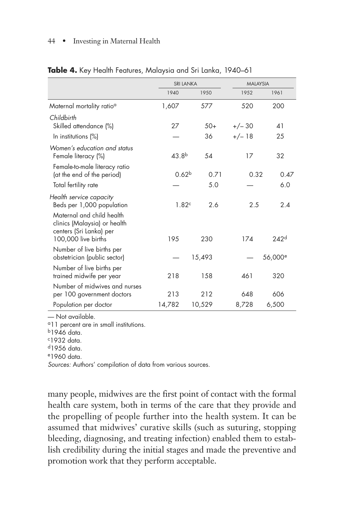|                                                                                                             | <b>SRI LANKA</b>  |        | <b>MALAYSIA</b> |                     |
|-------------------------------------------------------------------------------------------------------------|-------------------|--------|-----------------|---------------------|
|                                                                                                             | 1940              | 1950   | 1952            | 1961                |
| Maternal mortality ratio <sup>a</sup>                                                                       | 1,607             | 577    | 520             | 200                 |
| Childbirth<br>Skilled attendance (%)                                                                        | 27                | $50+$  | $+/-30$         | 41                  |
| In institutions (%)                                                                                         |                   | 36     | $+/-18$         | 25                  |
| Women's education and status<br>Female literacy (%)                                                         | 43.8 <sup>b</sup> | 54     | 17              | 32                  |
| Female-to-male literacy ratio<br>(at the end of the period)                                                 | 0.62 <sup>b</sup> | 0.71   | 0.32            | 0.47                |
| Total fertility rate                                                                                        |                   | 5.0    |                 | 6.0                 |
| Health service capacity<br>Beds per 1,000 population                                                        | 1.82c             | 2.6    | 2.5             | 2.4                 |
| Maternal and child health<br>clinics (Malaysia) or health<br>centers (Sri Lanka) per<br>100,000 live births | 195               | 230    | 174             | 242 <sup>d</sup>    |
| Number of live births per<br>obstetrician (public sector)                                                   |                   | 15,493 |                 | 56,000 <sup>e</sup> |
| Number of live births per<br>trained midwife per year                                                       | 218               | 158    | 461             | 320                 |
| Number of midwives and nurses<br>per 100 government doctors                                                 | 213               | 212    | 648             | 606                 |
| Population per doctor                                                                                       | 14,782            | 10,529 | 8,728           | 6,500               |

#### **Table 4.** Key Health Features, Malaysia and Sri Lanka, 1940–61

— Not available.

<sup>a</sup>11 percent are in small institutions.

b1946 data.

c1932 data.

 $d$ 1956 data.

e1960 data.

*Sources:* Authors' compilation of data from various sources.

many people, midwives are the first point of contact with the formal health care system, both in terms of the care that they provide and the propelling of people further into the health system. It can be assumed that midwives' curative skills (such as suturing, stopping bleeding, diagnosing, and treating infection) enabled them to establish credibility during the initial stages and made the preventive and promotion work that they perform acceptable.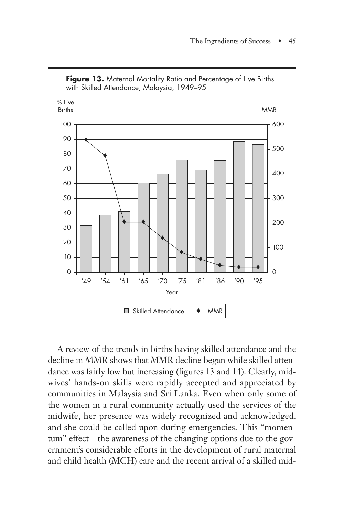

A review of the trends in births having skilled attendance and the decline in MMR shows that MMR decline began while skilled attendance was fairly low but increasing (figures 13 and 14). Clearly, midwives' hands-on skills were rapidly accepted and appreciated by communities in Malaysia and Sri Lanka. Even when only some of the women in a rural community actually used the services of the midwife, her presence was widely recognized and acknowledged, and she could be called upon during emergencies. This "momentum" effect—the awareness of the changing options due to the government's considerable efforts in the development of rural maternal and child health (MCH) care and the recent arrival of a skilled mid-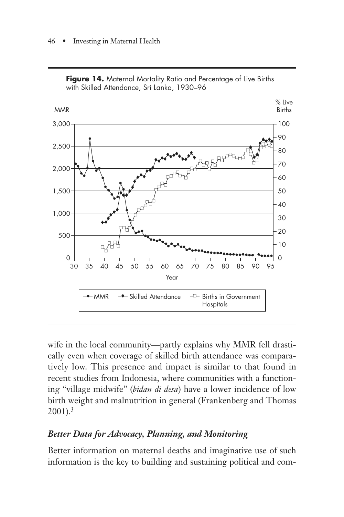

wife in the local community—partly explains why MMR fell drastically even when coverage of skilled birth attendance was comparatively low. This presence and impact is similar to that found in recent studies from Indonesia, where communities with a functioning "village midwife" (*bidan di desa*) have a lower incidence of low birth weight and malnutrition in general (Frankenberg and Thomas  $2001$ ).<sup>3</sup>

# *Better Data for Advocacy, Planning, and Monitoring*

Better information on maternal deaths and imaginative use of such information is the key to building and sustaining political and com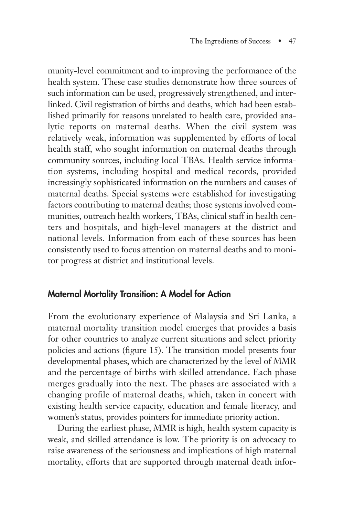munity-level commitment and to improving the performance of the health system. These case studies demonstrate how three sources of such information can be used, progressively strengthened, and interlinked. Civil registration of births and deaths, which had been established primarily for reasons unrelated to health care, provided analytic reports on maternal deaths. When the civil system was relatively weak, information was supplemented by efforts of local health staff, who sought information on maternal deaths through community sources, including local TBAs. Health service information systems, including hospital and medical records, provided increasingly sophisticated information on the numbers and causes of maternal deaths. Special systems were established for investigating factors contributing to maternal deaths; those systems involved communities, outreach health workers, TBAs, clinical staff in health centers and hospitals, and high-level managers at the district and national levels. Information from each of these sources has been consistently used to focus attention on maternal deaths and to monitor progress at district and institutional levels.

### **Maternal Mortality Transition: A Model for Action**

From the evolutionary experience of Malaysia and Sri Lanka, a maternal mortality transition model emerges that provides a basis for other countries to analyze current situations and select priority policies and actions (figure 15). The transition model presents four developmental phases, which are characterized by the level of MMR and the percentage of births with skilled attendance. Each phase merges gradually into the next. The phases are associated with a changing profile of maternal deaths, which, taken in concert with existing health service capacity, education and female literacy, and women's status, provides pointers for immediate priority action.

During the earliest phase, MMR is high, health system capacity is weak, and skilled attendance is low. The priority is on advocacy to raise awareness of the seriousness and implications of high maternal mortality, efforts that are supported through maternal death infor-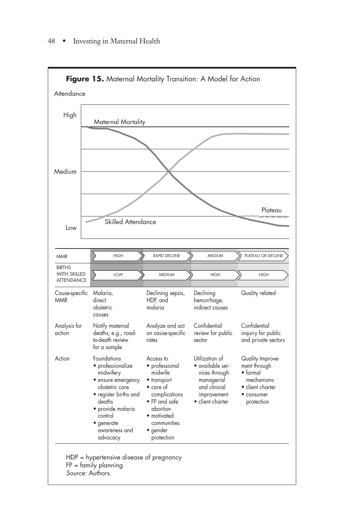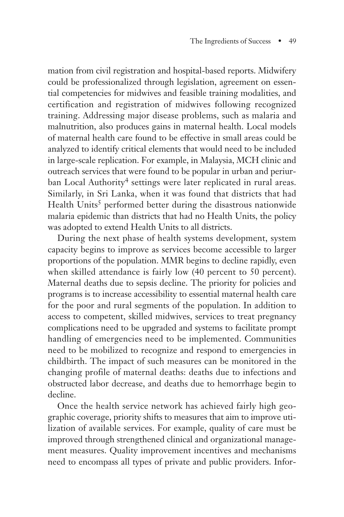mation from civil registration and hospital-based reports. Midwifery could be professionalized through legislation, agreement on essential competencies for midwives and feasible training modalities, and certification and registration of midwives following recognized training. Addressing major disease problems, such as malaria and malnutrition, also produces gains in maternal health. Local models of maternal health care found to be effective in small areas could be analyzed to identify critical elements that would need to be included in large-scale replication. For example, in Malaysia, MCH clinic and outreach services that were found to be popular in urban and periurban Local Authority<sup>4</sup> settings were later replicated in rural areas. Similarly, in Sri Lanka, when it was found that districts that had Health Units<sup>5</sup> performed better during the disastrous nationwide malaria epidemic than districts that had no Health Units, the policy was adopted to extend Health Units to all districts.

During the next phase of health systems development, system capacity begins to improve as services become accessible to larger proportions of the population. MMR begins to decline rapidly, even when skilled attendance is fairly low (40 percent to 50 percent). Maternal deaths due to sepsis decline. The priority for policies and programs is to increase accessibility to essential maternal health care for the poor and rural segments of the population. In addition to access to competent, skilled midwives, services to treat pregnancy complications need to be upgraded and systems to facilitate prompt handling of emergencies need to be implemented. Communities need to be mobilized to recognize and respond to emergencies in childbirth. The impact of such measures can be monitored in the changing profile of maternal deaths: deaths due to infections and obstructed labor decrease, and deaths due to hemorrhage begin to decline.

Once the health service network has achieved fairly high geographic coverage, priority shifts to measures that aim to improve utilization of available services. For example, quality of care must be improved through strengthened clinical and organizational management measures. Quality improvement incentives and mechanisms need to encompass all types of private and public providers. Infor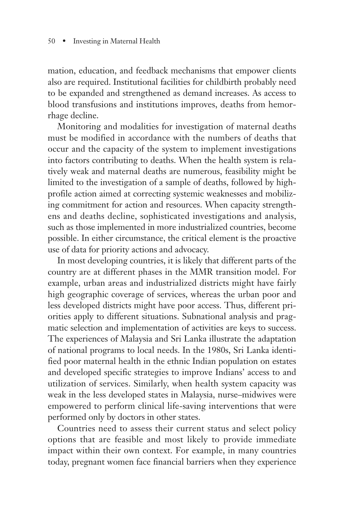mation, education, and feedback mechanisms that empower clients also are required. Institutional facilities for childbirth probably need to be expanded and strengthened as demand increases. As access to blood transfusions and institutions improves, deaths from hemorrhage decline.

Monitoring and modalities for investigation of maternal deaths must be modified in accordance with the numbers of deaths that occur and the capacity of the system to implement investigations into factors contributing to deaths. When the health system is relatively weak and maternal deaths are numerous, feasibility might be limited to the investigation of a sample of deaths, followed by highprofile action aimed at correcting systemic weaknesses and mobilizing commitment for action and resources. When capacity strengthens and deaths decline, sophisticated investigations and analysis, such as those implemented in more industrialized countries, become possible. In either circumstance, the critical element is the proactive use of data for priority actions and advocacy.

In most developing countries, it is likely that different parts of the country are at different phases in the MMR transition model. For example, urban areas and industrialized districts might have fairly high geographic coverage of services, whereas the urban poor and less developed districts might have poor access. Thus, different priorities apply to different situations. Subnational analysis and pragmatic selection and implementation of activities are keys to success. The experiences of Malaysia and Sri Lanka illustrate the adaptation of national programs to local needs. In the 1980s, Sri Lanka identified poor maternal health in the ethnic Indian population on estates and developed specific strategies to improve Indians' access to and utilization of services. Similarly, when health system capacity was weak in the less developed states in Malaysia, nurse–midwives were empowered to perform clinical life-saving interventions that were performed only by doctors in other states.

Countries need to assess their current status and select policy options that are feasible and most likely to provide immediate impact within their own context. For example, in many countries today, pregnant women face financial barriers when they experience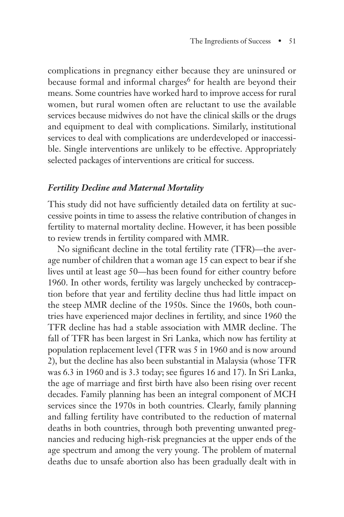complications in pregnancy either because they are uninsured or because formal and informal charges<sup>6</sup> for health are beyond their means. Some countries have worked hard to improve access for rural women, but rural women often are reluctant to use the available services because midwives do not have the clinical skills or the drugs and equipment to deal with complications. Similarly, institutional services to deal with complications are underdeveloped or inaccessible. Single interventions are unlikely to be effective. Appropriately selected packages of interventions are critical for success.

#### *Fertility Decline and Maternal Mortality*

This study did not have sufficiently detailed data on fertility at successive points in time to assess the relative contribution of changes in fertility to maternal mortality decline. However, it has been possible to review trends in fertility compared with MMR.

No significant decline in the total fertility rate (TFR)—the average number of children that a woman age 15 can expect to bear if she lives until at least age 50—has been found for either country before 1960. In other words, fertility was largely unchecked by contraception before that year and fertility decline thus had little impact on the steep MMR decline of the 1950s. Since the 1960s, both countries have experienced major declines in fertility, and since 1960 the TFR decline has had a stable association with MMR decline. The fall of TFR has been largest in Sri Lanka, which now has fertility at population replacement level (TFR was 5 in 1960 and is now around 2), but the decline has also been substantial in Malaysia (whose TFR was 6.3 in 1960 and is 3.3 today; see figures 16 and 17). In Sri Lanka, the age of marriage and first birth have also been rising over recent decades. Family planning has been an integral component of MCH services since the 1970s in both countries. Clearly, family planning and falling fertility have contributed to the reduction of maternal deaths in both countries, through both preventing unwanted pregnancies and reducing high-risk pregnancies at the upper ends of the age spectrum and among the very young. The problem of maternal deaths due to unsafe abortion also has been gradually dealt with in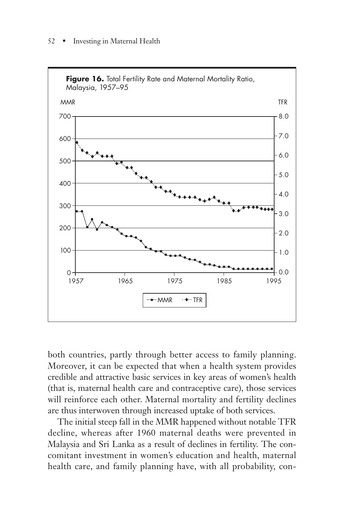

both countries, partly through better access to family planning. Moreover, it can be expected that when a health system provides credible and attractive basic services in key areas of women's health (that is, maternal health care and contraceptive care), those services will reinforce each other. Maternal mortality and fertility declines are thus interwoven through increased uptake of both services.

The initial steep fall in the MMR happened without notable TFR decline, whereas after 1960 maternal deaths were prevented in Malaysia and Sri Lanka as a result of declines in fertility. The concomitant investment in women's education and health, maternal health care, and family planning have, with all probability, con-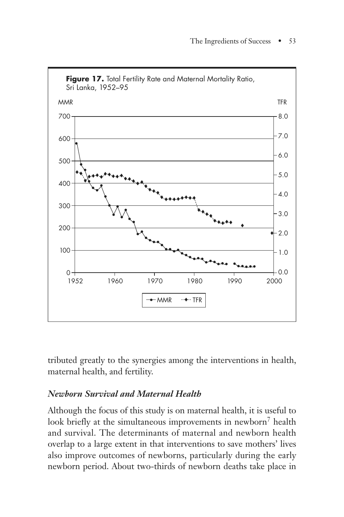

tributed greatly to the synergies among the interventions in health, maternal health, and fertility.

## *Newborn Survival and Maternal Health*

Although the focus of this study is on maternal health, it is useful to look briefly at the simultaneous improvements in newborn<sup>7</sup> health and survival. The determinants of maternal and newborn health overlap to a large extent in that interventions to save mothers' lives also improve outcomes of newborns, particularly during the early newborn period. About two-thirds of newborn deaths take place in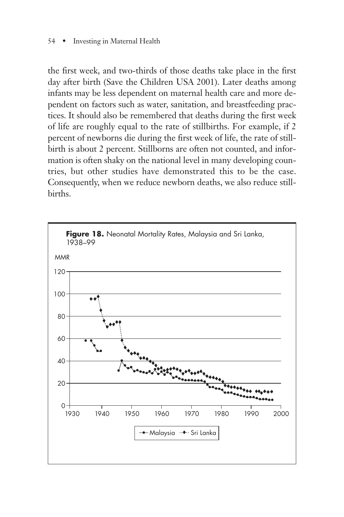#### 54 • Investing in Maternal Health

the first week, and two-thirds of those deaths take place in the first day after birth (Save the Children USA 2001). Later deaths among infants may be less dependent on maternal health care and more dependent on factors such as water, sanitation, and breastfeeding practices. It should also be remembered that deaths during the first week of life are roughly equal to the rate of stillbirths. For example, if 2 percent of newborns die during the first week of life, the rate of stillbirth is about 2 percent. Stillborns are often not counted, and information is often shaky on the national level in many developing countries, but other studies have demonstrated this to be the case. Consequently, when we reduce newborn deaths, we also reduce stillbirths.

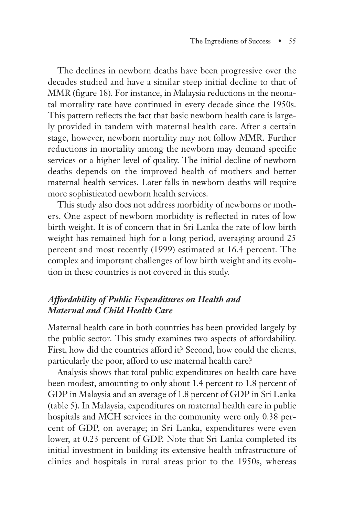The declines in newborn deaths have been progressive over the decades studied and have a similar steep initial decline to that of MMR (figure 18). For instance, in Malaysia reductions in the neonatal mortality rate have continued in every decade since the 1950s. This pattern reflects the fact that basic newborn health care is largely provided in tandem with maternal health care. After a certain stage, however, newborn mortality may not follow MMR. Further reductions in mortality among the newborn may demand specific services or a higher level of quality. The initial decline of newborn deaths depends on the improved health of mothers and better maternal health services. Later falls in newborn deaths will require more sophisticated newborn health services.

This study also does not address morbidity of newborns or mothers. One aspect of newborn morbidity is reflected in rates of low birth weight. It is of concern that in Sri Lanka the rate of low birth weight has remained high for a long period, averaging around 25 percent and most recently (1999) estimated at 16.4 percent. The complex and important challenges of low birth weight and its evolution in these countries is not covered in this study.

# *Affordability of Public Expenditures on Health and Maternal and Child Health Care*

Maternal health care in both countries has been provided largely by the public sector. This study examines two aspects of affordability. First, how did the countries afford it? Second, how could the clients, particularly the poor, afford to use maternal health care?

Analysis shows that total public expenditures on health care have been modest, amounting to only about 1.4 percent to 1.8 percent of GDP in Malaysia and an average of 1.8 percent of GDP in Sri Lanka (table 5). In Malaysia, expenditures on maternal health care in public hospitals and MCH services in the community were only 0.38 percent of GDP, on average; in Sri Lanka, expenditures were even lower, at 0.23 percent of GDP. Note that Sri Lanka completed its initial investment in building its extensive health infrastructure of clinics and hospitals in rural areas prior to the 1950s, whereas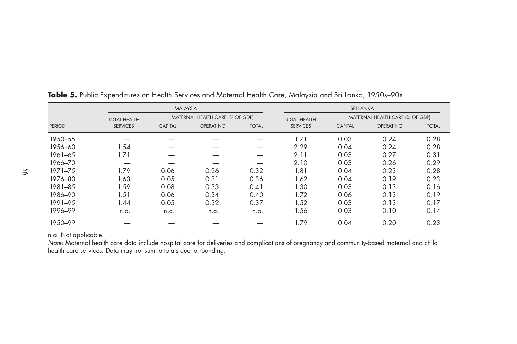|               |                     | <b>MALAYSIA</b>                 |                  |              |                     | <b>SRI LANKA</b>                |                  |              |  |
|---------------|---------------------|---------------------------------|------------------|--------------|---------------------|---------------------------------|------------------|--------------|--|
|               | <b>TOTAL HEALTH</b> | MATERNAL HEALTH CARE (% OF GDP) |                  |              | <b>TOTAL HEALTH</b> | MATERNAL HEALTH CARE (% OF GDP) |                  |              |  |
| <b>PERIOD</b> | <b>SERVICES</b>     | <b>CAPITAL</b>                  | <b>OPERATING</b> | <b>TOTAL</b> | <b>SERVICES</b>     | <b>CAPITAL</b>                  | <b>OPERATING</b> | <b>TOTAL</b> |  |
| 1950-55       |                     |                                 |                  |              | .71                 | 0.03                            | 0.24             | 0.28         |  |
| 1956-60       | 1.54                |                                 |                  |              | 2.29                | 0.04                            | 0.24             | 0.28         |  |
| 1961-65       | 1.71                |                                 |                  |              | 2.11                | 0.03                            | 0.27             | 0.31         |  |
| 1966-70       |                     |                                 |                  |              | 2.10                | 0.03                            | 0.26             | 0.29         |  |
| 1971-75       | 1.79                | 0.06                            | 0.26             | 0.32         | .81                 | 0.04                            | 0.23             | 0.28         |  |
| 1976-80       | .63                 | 0.05                            | 0.31             | 0.36         | .62                 | 0.04                            | 0.19             | 0.23         |  |
| 1981-85       | 1.59                | 0.08                            | 0.33             | 0.41         | .30                 | 0.03                            | 0.13             | 0.16         |  |
| 1986-90       | .51                 | 0.06                            | 0.34             | 0.40         | 1.72                | 0.06                            | 0.13             | 0.19         |  |
| 1991-95       | .44                 | 0.05                            | 0.32             | 0.37         | .52                 | 0.03                            | 0.13             | 0.17         |  |
| 1996-99       | n.a.                | n.a.                            | n.a.             | n.a.         | .56                 | 0.03                            | 0.10             | 0.14         |  |
| 1950-99       |                     |                                 |                  |              | .79                 | 0.04                            | 0.20             | 0.23         |  |

**Table 5.** Public Expenditures on Health Services and Maternal Health Care, Malaysia and Sri Lanka, 1950s–90s

n.a. Not applicable.

*Note:* Maternal health care data include hospital care for deliveries and complications of pregnancy and community-based maternal and child health care services. Data may not sum to totals due to rounding.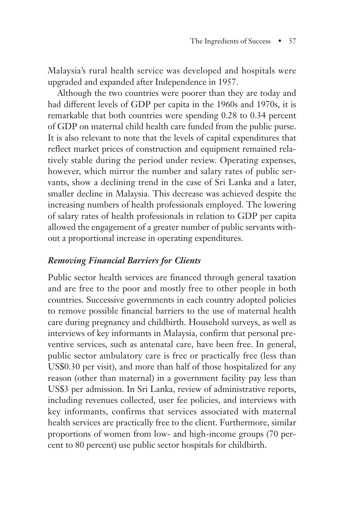Malaysia's rural health service was developed and hospitals were upgraded and expanded after Independence in 1957.

Although the two countries were poorer than they are today and had different levels of GDP per capita in the 1960s and 1970s, it is remarkable that both countries were spending 0.28 to 0.34 percent of GDP on maternal child health care funded from the public purse. It is also relevant to note that the levels of capital expenditures that reflect market prices of construction and equipment remained relatively stable during the period under review. Operating expenses, however, which mirror the number and salary rates of public servants, show a declining trend in the case of Sri Lanka and a later, smaller decline in Malaysia. This decrease was achieved despite the increasing numbers of health professionals employed. The lowering of salary rates of health professionals in relation to GDP per capita allowed the engagement of a greater number of public servants without a proportional increase in operating expenditures.

#### *Removing Financial Barriers for Clients*

Public sector health services are financed through general taxation and are free to the poor and mostly free to other people in both countries. Successive governments in each country adopted policies to remove possible financial barriers to the use of maternal health care during pregnancy and childbirth. Household surveys, as well as interviews of key informants in Malaysia, confirm that personal preventive services, such as antenatal care, have been free. In general, public sector ambulatory care is free or practically free (less than US\$0.30 per visit), and more than half of those hospitalized for any reason (other than maternal) in a government facility pay less than US\$3 per admission. In Sri Lanka, review of administrative reports, including revenues collected, user fee policies, and interviews with key informants, confirms that services associated with maternal health services are practically free to the client. Furthermore, similar proportions of women from low- and high-income groups (70 percent to 80 percent) use public sector hospitals for childbirth.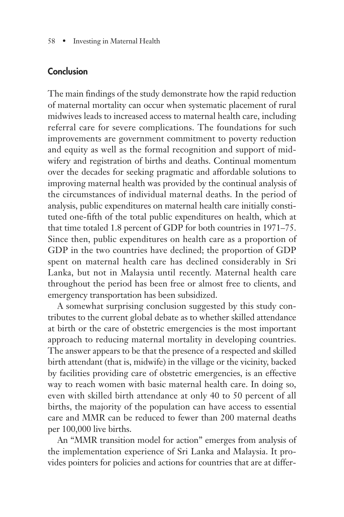58 • Investing in Maternal Health

#### **Conclusion**

The main findings of the study demonstrate how the rapid reduction of maternal mortality can occur when systematic placement of rural midwives leads to increased access to maternal health care, including referral care for severe complications. The foundations for such improvements are government commitment to poverty reduction and equity as well as the formal recognition and support of midwifery and registration of births and deaths. Continual momentum over the decades for seeking pragmatic and affordable solutions to improving maternal health was provided by the continual analysis of the circumstances of individual maternal deaths. In the period of analysis, public expenditures on maternal health care initially constituted one-fifth of the total public expenditures on health, which at that time totaled 1.8 percent of GDP for both countries in 1971–75. Since then, public expenditures on health care as a proportion of GDP in the two countries have declined; the proportion of GDP spent on maternal health care has declined considerably in Sri Lanka, but not in Malaysia until recently. Maternal health care throughout the period has been free or almost free to clients, and emergency transportation has been subsidized.

A somewhat surprising conclusion suggested by this study contributes to the current global debate as to whether skilled attendance at birth or the care of obstetric emergencies is the most important approach to reducing maternal mortality in developing countries. The answer appears to be that the presence of a respected and skilled birth attendant (that is, midwife) in the village or the vicinity, backed by facilities providing care of obstetric emergencies, is an effective way to reach women with basic maternal health care. In doing so, even with skilled birth attendance at only 40 to 50 percent of all births, the majority of the population can have access to essential care and MMR can be reduced to fewer than 200 maternal deaths per 100,000 live births.

An "MMR transition model for action" emerges from analysis of the implementation experience of Sri Lanka and Malaysia. It provides pointers for policies and actions for countries that are at differ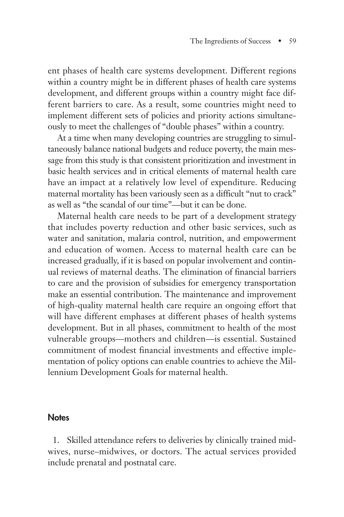ent phases of health care systems development. Different regions within a country might be in different phases of health care systems development, and different groups within a country might face different barriers to care. As a result, some countries might need to implement different sets of policies and priority actions simultaneously to meet the challenges of "double phases" within a country.

At a time when many developing countries are struggling to simultaneously balance national budgets and reduce poverty, the main message from this study is that consistent prioritization and investment in basic health services and in critical elements of maternal health care have an impact at a relatively low level of expenditure. Reducing maternal mortality has been variously seen as a difficult "nut to crack" as well as "the scandal of our time"—but it can be done.

Maternal health care needs to be part of a development strategy that includes poverty reduction and other basic services, such as water and sanitation, malaria control, nutrition, and empowerment and education of women. Access to maternal health care can be increased gradually, if it is based on popular involvement and continual reviews of maternal deaths. The elimination of financial barriers to care and the provision of subsidies for emergency transportation make an essential contribution. The maintenance and improvement of high-quality maternal health care require an ongoing effort that will have different emphases at different phases of health systems development. But in all phases, commitment to health of the most vulnerable groups—mothers and children—is essential. Sustained commitment of modest financial investments and effective implementation of policy options can enable countries to achieve the Millennium Development Goals for maternal health.

#### **Notes**

1. Skilled attendance refers to deliveries by clinically trained midwives, nurse–midwives, or doctors. The actual services provided include prenatal and postnatal care.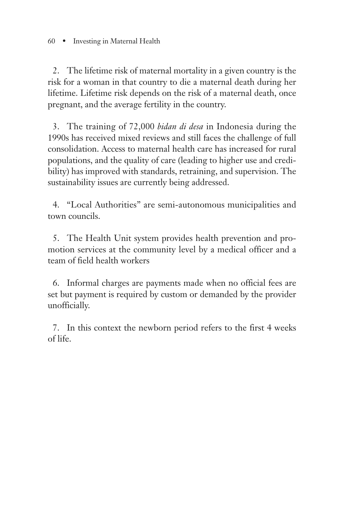60 • Investing in Maternal Health

2. The lifetime risk of maternal mortality in a given country is the risk for a woman in that country to die a maternal death during her lifetime. Lifetime risk depends on the risk of a maternal death, once pregnant, and the average fertility in the country.

3. The training of 72,000 *bidan di desa* in Indonesia during the 1990s has received mixed reviews and still faces the challenge of full consolidation. Access to maternal health care has increased for rural populations, and the quality of care (leading to higher use and credibility) has improved with standards, retraining, and supervision. The sustainability issues are currently being addressed.

4. "Local Authorities" are semi-autonomous municipalities and town councils.

5. The Health Unit system provides health prevention and promotion services at the community level by a medical officer and a team of field health workers

6. Informal charges are payments made when no official fees are set but payment is required by custom or demanded by the provider unofficially.

7. In this context the newborn period refers to the first 4 weeks of life.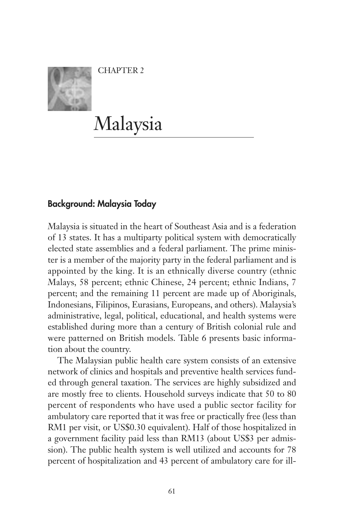CHAPTER 2



# Malaysia

# **Background: Malaysia Today**

Malaysia is situated in the heart of Southeast Asia and is a federation of 13 states. It has a multiparty political system with democratically elected state assemblies and a federal parliament. The prime minister is a member of the majority party in the federal parliament and is appointed by the king. It is an ethnically diverse country (ethnic Malays, 58 percent; ethnic Chinese, 24 percent; ethnic Indians, 7 percent; and the remaining 11 percent are made up of Aboriginals, Indonesians, Filipinos, Eurasians, Europeans, and others). Malaysia's administrative, legal, political, educational, and health systems were established during more than a century of British colonial rule and were patterned on British models. Table 6 presents basic information about the country.

The Malaysian public health care system consists of an extensive network of clinics and hospitals and preventive health services funded through general taxation. The services are highly subsidized and are mostly free to clients. Household surveys indicate that 50 to 80 percent of respondents who have used a public sector facility for ambulatory care reported that it was free or practically free (less than RM1 per visit, or US\$0.30 equivalent). Half of those hospitalized in a government facility paid less than RM13 (about US\$3 per admission). The public health system is well utilized and accounts for 78 percent of hospitalization and 43 percent of ambulatory care for ill-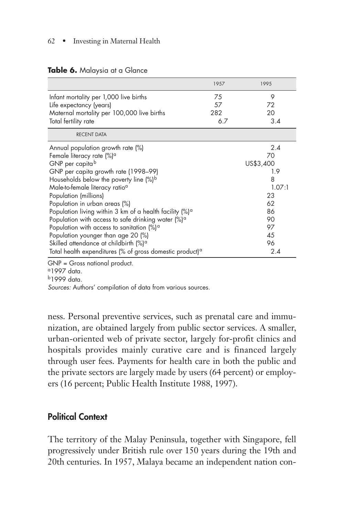#### 62 • Investing in Maternal Health

|                                                                      | 1957 | 1995      |
|----------------------------------------------------------------------|------|-----------|
| Infant mortality per 1,000 live births                               | 75   | 9         |
| Life expectancy (years)                                              | 57   | 72        |
| Maternal mortality per 100,000 live births                           | 282  | 20        |
| Total fertility rate                                                 | 6.7  | 3.4       |
| <b>RECENT DATA</b>                                                   |      |           |
| Annual population growth rate (%)                                    |      | 2.4       |
| Female literacy rate (%) <sup>a</sup>                                |      | 70        |
| GNP per capitab                                                      |      | US\$3,400 |
| GNP per capita growth rate (1998–99)                                 |      | 1.9       |
| Households below the poverty line $\binom{9}{0}^b$                   |      | 8         |
| Male-to-female literacy ratio <sup>a</sup>                           |      | 1.07:1    |
| Population (millions)                                                |      | 23        |
| Population in urban areas (%)                                        |      | 62        |
| Population living within 3 km of a health facility (%) <sup>a</sup>  |      | 86        |
| Population with access to safe drinking water (%) <sup>a</sup>       |      | 90        |
| Population with access to sanitation $\%$ <sup>a</sup>               |      | 97        |
| Population younger than age 20 (%)                                   |      | 45        |
| Skilled attendance at childbirth (%) <sup>a</sup>                    |      | 96        |
| Total health expenditures (% of gross domestic product) <sup>a</sup> |      | 2.4       |

GNP = Gross national product.

a1997 data.

b1999 data.

*Sources:* Authors' compilation of data from various sources.

ness. Personal preventive services, such as prenatal care and immunization, are obtained largely from public sector services. A smaller, urban-oriented web of private sector, largely for-profit clinics and hospitals provides mainly curative care and is financed largely through user fees. Payments for health care in both the public and the private sectors are largely made by users (64 percent) or employers (16 percent; Public Health Institute 1988, 1997).

## **Political Context**

The territory of the Malay Peninsula, together with Singapore, fell progressively under British rule over 150 years during the 19th and 20th centuries. In 1957, Malaya became an independent nation con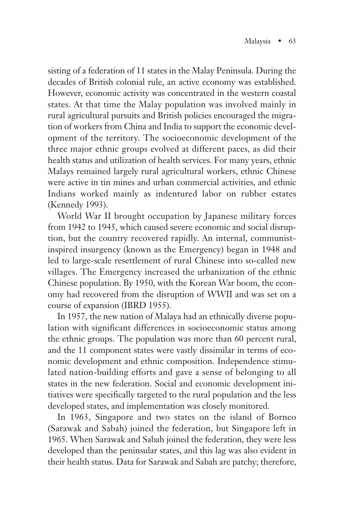sisting of a federation of 11 states in the Malay Peninsula. During the decades of British colonial rule, an active economy was established. However, economic activity was concentrated in the western coastal states. At that time the Malay population was involved mainly in rural agricultural pursuits and British policies encouraged the migration of workers from China and India to support the economic development of the territory. The socioeconomic development of the three major ethnic groups evolved at different paces, as did their health status and utilization of health services. For many years, ethnic Malays remained largely rural agricultural workers, ethnic Chinese were active in tin mines and urban commercial activities, and ethnic Indians worked mainly as indentured labor on rubber estates (Kennedy 1993).

World War II brought occupation by Japanese military forces from 1942 to 1945, which caused severe economic and social disruption, but the country recovered rapidly. An internal, communistinspired insurgency (known as the Emergency) began in 1948 and led to large-scale resettlement of rural Chinese into so-called new villages. The Emergency increased the urbanization of the ethnic Chinese population. By 1950, with the Korean War boom, the economy had recovered from the disruption of WWII and was set on a course of expansion (IBRD 1955).

In 1957, the new nation of Malaya had an ethnically diverse population with significant differences in socioeconomic status among the ethnic groups. The population was more than 60 percent rural, and the 11 component states were vastly dissimilar in terms of economic development and ethnic composition. Independence stimulated nation-building efforts and gave a sense of belonging to all states in the new federation. Social and economic development initiatives were specifically targeted to the rural population and the less developed states, and implementation was closely monitored.

In 1963, Singapore and two states on the island of Borneo (Sarawak and Sabah) joined the federation, but Singapore left in 1965. When Sarawak and Sabah joined the federation, they were less developed than the peninsular states, and this lag was also evident in their health status. Data for Sarawak and Sabah are patchy; therefore,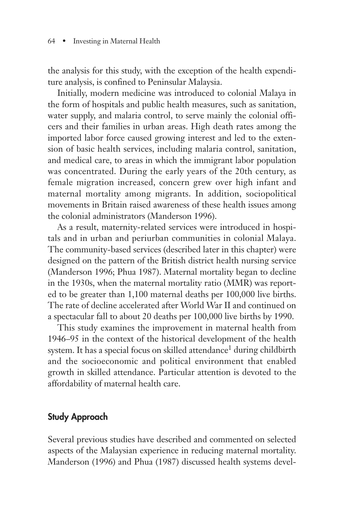the analysis for this study, with the exception of the health expenditure analysis, is confined to Peninsular Malaysia.

Initially, modern medicine was introduced to colonial Malaya in the form of hospitals and public health measures, such as sanitation, water supply, and malaria control, to serve mainly the colonial officers and their families in urban areas. High death rates among the imported labor force caused growing interest and led to the extension of basic health services, including malaria control, sanitation, and medical care, to areas in which the immigrant labor population was concentrated. During the early years of the 20th century, as female migration increased, concern grew over high infant and maternal mortality among migrants. In addition, sociopolitical movements in Britain raised awareness of these health issues among the colonial administrators (Manderson 1996).

As a result, maternity-related services were introduced in hospitals and in urban and periurban communities in colonial Malaya. The community-based services (described later in this chapter) were designed on the pattern of the British district health nursing service (Manderson 1996; Phua 1987). Maternal mortality began to decline in the 1930s, when the maternal mortality ratio (MMR) was reported to be greater than 1,100 maternal deaths per 100,000 live births. The rate of decline accelerated after World War II and continued on a spectacular fall to about 20 deaths per 100,000 live births by 1990.

This study examines the improvement in maternal health from 1946–95 in the context of the historical development of the health system. It has a special focus on skilled attendance<sup>1</sup> during childbirth and the socioeconomic and political environment that enabled growth in skilled attendance. Particular attention is devoted to the affordability of maternal health care.

## **Study Approach**

Several previous studies have described and commented on selected aspects of the Malaysian experience in reducing maternal mortality. Manderson (1996) and Phua (1987) discussed health systems devel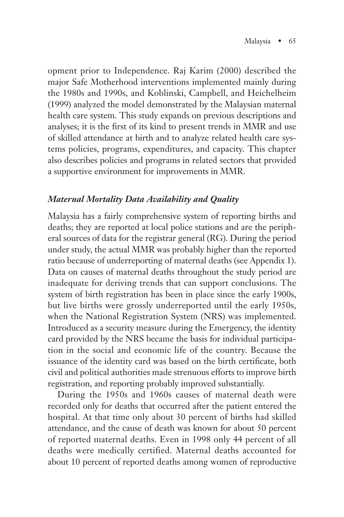opment prior to Independence. Raj Karim (2000) described the major Safe Motherhood interventions implemented mainly during the 1980s and 1990s, and Koblinski, Campbell, and Heichelheim (1999) analyzed the model demonstrated by the Malaysian maternal health care system. This study expands on previous descriptions and analyses; it is the first of its kind to present trends in MMR and use of skilled attendance at birth and to analyze related health care systems policies, programs, expenditures, and capacity. This chapter also describes policies and programs in related sectors that provided a supportive environment for improvements in MMR.

## *Maternal Mortality Data Availability and Quality*

Malaysia has a fairly comprehensive system of reporting births and deaths; they are reported at local police stations and are the peripheral sources of data for the registrar general (RG). During the period under study, the actual MMR was probably higher than the reported ratio because of underreporting of maternal deaths (see Appendix 1). Data on causes of maternal deaths throughout the study period are inadequate for deriving trends that can support conclusions. The system of birth registration has been in place since the early 1900s, but live births were grossly underreported until the early 1950s, when the National Registration System (NRS) was implemented. Introduced as a security measure during the Emergency, the identity card provided by the NRS became the basis for individual participation in the social and economic life of the country. Because the issuance of the identity card was based on the birth certificate, both civil and political authorities made strenuous efforts to improve birth registration, and reporting probably improved substantially.

During the 1950s and 1960s causes of maternal death were recorded only for deaths that occurred after the patient entered the hospital. At that time only about 30 percent of births had skilled attendance, and the cause of death was known for about 50 percent of reported maternal deaths. Even in 1998 only 44 percent of all deaths were medically certified. Maternal deaths accounted for about 10 percent of reported deaths among women of reproductive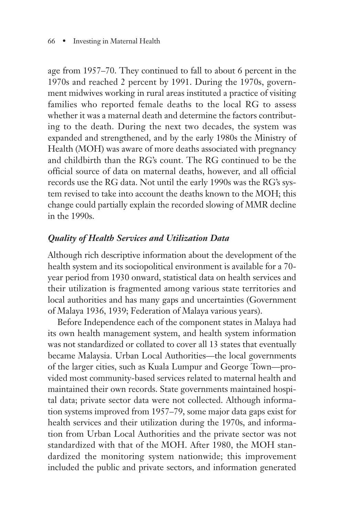age from 1957–70. They continued to fall to about 6 percent in the 1970s and reached 2 percent by 1991. During the 1970s, government midwives working in rural areas instituted a practice of visiting families who reported female deaths to the local RG to assess whether it was a maternal death and determine the factors contributing to the death. During the next two decades, the system was expanded and strengthened, and by the early 1980s the Ministry of Health (MOH) was aware of more deaths associated with pregnancy and childbirth than the RG's count. The RG continued to be the official source of data on maternal deaths, however, and all official records use the RG data. Not until the early 1990s was the RG's system revised to take into account the deaths known to the MOH; this change could partially explain the recorded slowing of MMR decline in the 1990s.

#### *Quality of Health Services and Utilization Data*

Although rich descriptive information about the development of the health system and its sociopolitical environment is available for a 70 year period from 1930 onward, statistical data on health services and their utilization is fragmented among various state territories and local authorities and has many gaps and uncertainties (Government of Malaya 1936, 1939; Federation of Malaya various years).

Before Independence each of the component states in Malaya had its own health management system, and health system information was not standardized or collated to cover all 13 states that eventually became Malaysia. Urban Local Authorities—the local governments of the larger cities, such as Kuala Lumpur and George Town—provided most community-based services related to maternal health and maintained their own records. State governments maintained hospital data; private sector data were not collected. Although information systems improved from 1957–79, some major data gaps exist for health services and their utilization during the 1970s, and information from Urban Local Authorities and the private sector was not standardized with that of the MOH. After 1980, the MOH standardized the monitoring system nationwide; this improvement included the public and private sectors, and information generated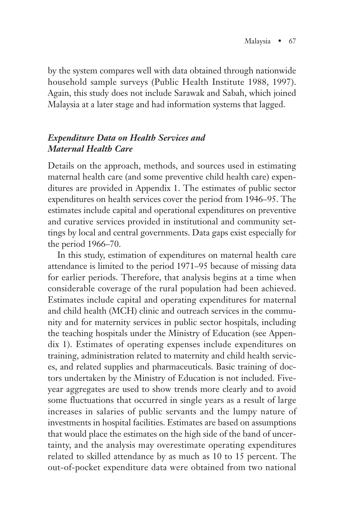by the system compares well with data obtained through nationwide household sample surveys (Public Health Institute 1988, 1997). Again, this study does not include Sarawak and Sabah, which joined Malaysia at a later stage and had information systems that lagged.

## *Expenditure Data on Health Services and Maternal Health Care*

Details on the approach, methods, and sources used in estimating maternal health care (and some preventive child health care) expenditures are provided in Appendix 1. The estimates of public sector expenditures on health services cover the period from 1946–95. The estimates include capital and operational expenditures on preventive and curative services provided in institutional and community settings by local and central governments. Data gaps exist especially for the period 1966–70.

In this study, estimation of expenditures on maternal health care attendance is limited to the period 1971–95 because of missing data for earlier periods. Therefore, that analysis begins at a time when considerable coverage of the rural population had been achieved. Estimates include capital and operating expenditures for maternal and child health (MCH) clinic and outreach services in the community and for maternity services in public sector hospitals, including the teaching hospitals under the Ministry of Education (see Appendix 1). Estimates of operating expenses include expenditures on training, administration related to maternity and child health services, and related supplies and pharmaceuticals. Basic training of doctors undertaken by the Ministry of Education is not included. Fiveyear aggregates are used to show trends more clearly and to avoid some fluctuations that occurred in single years as a result of large increases in salaries of public servants and the lumpy nature of investments in hospital facilities. Estimates are based on assumptions that would place the estimates on the high side of the band of uncertainty, and the analysis may overestimate operating expenditures related to skilled attendance by as much as 10 to 15 percent. The out-of-pocket expenditure data were obtained from two national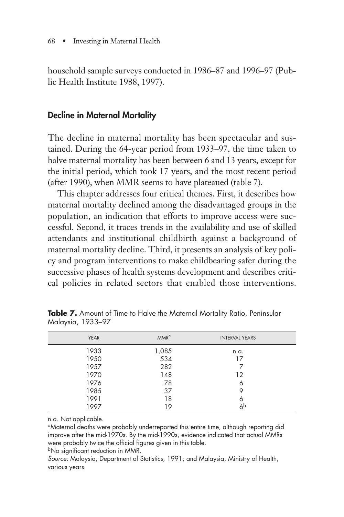household sample surveys conducted in 1986–87 and 1996–97 (Public Health Institute 1988, 1997).

#### **Decline in Maternal Mortality**

The decline in maternal mortality has been spectacular and sustained. During the 64-year period from 1933–97, the time taken to halve maternal mortality has been between 6 and 13 years, except for the initial period, which took 17 years, and the most recent period (after 1990), when MMR seems to have plateaued (table 7).

This chapter addresses four critical themes. First, it describes how maternal mortality declined among the disadvantaged groups in the population, an indication that efforts to improve access were successful. Second, it traces trends in the availability and use of skilled attendants and institutional childbirth against a background of maternal mortality decline. Third, it presents an analysis of key policy and program interventions to make childbearing safer during the successive phases of health systems development and describes critical policies in related sectors that enabled those interventions.

| <b>YEAR</b> | MMR <sup>a</sup> | <b>INTERVAL YEARS</b> |
|-------------|------------------|-----------------------|
| 1933        | 1,085            | n.a.                  |
| 1950        | 534              | 17                    |
| 1957        | 282              |                       |
| 1970        | 148              | 12                    |
| 1976        | 78               | 6                     |
| 1985        | 37               | Q                     |
| 1991        | 18               | Ó                     |
| 1997        | 19               | 6 <sup>b</sup>        |

**Table 7.** Amount of Time to Halve the Maternal Mortality Ratio, Peninsular Malaysia, 1933–97

n.a. Not applicable.

aMaternal deaths were probably underreported this entire time, although reporting did improve after the mid-1970s. By the mid-1990s, evidence indicated that actual MMRs were probably twice the official figures given in this table.

bNo significant reduction in MMR.

*Source:* Malaysia, Department of Statistics, 1991; and Malaysia, Ministry of Health, various years.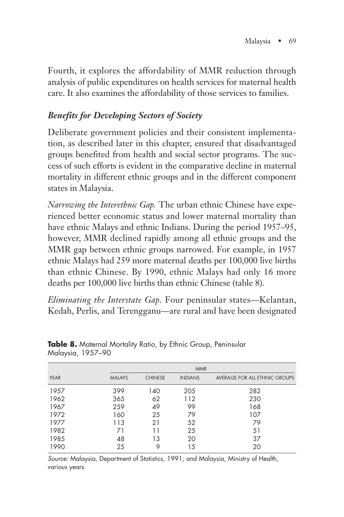Fourth, it explores the affordability of MMR reduction through analysis of public expenditures on health services for maternal health care. It also examines the affordability of those services to families.

# *Benefits for Developing Sectors of Society*

Deliberate government policies and their consistent implementation, as described later in this chapter, ensured that disadvantaged groups benefited from health and social sector programs. The success of such efforts is evident in the comparative decline in maternal mortality in different ethnic groups and in the different component states in Malaysia.

*Narrowing the Interethnic Gap.* The urban ethnic Chinese have experienced better economic status and lower maternal mortality than have ethnic Malays and ethnic Indians. During the period 1957–95, however, MMR declined rapidly among all ethnic groups and the MMR gap between ethnic groups narrowed. For example, in 1957 ethnic Malays had 259 more maternal deaths per 100,000 live births than ethnic Chinese. By 1990, ethnic Malays had only 16 more deaths per 100,000 live births than ethnic Chinese (table 8).

*Eliminating the Interstate Gap.* Four peninsular states—Kelantan, Kedah, Perlis, and Terengganu—are rural and have been designated

|             | <b>MMR</b>    |                |                |                               |  |
|-------------|---------------|----------------|----------------|-------------------------------|--|
| <b>YEAR</b> | <b>MALAYS</b> | <b>CHINESE</b> | <b>INDIANS</b> | AVERAGE FOR ALL ETHNIC GROUPS |  |
| 1957        | 399           | 140            | 205            | 282                           |  |
| 1962        | 365           | 62             | 112            | 230                           |  |
| 1967        | 259           | 49             | 99             | 168                           |  |
| 1972        | 160           | 25             | 79             | 107                           |  |
| 1977        | 113           | 21             | 52             | 79                            |  |
| 1982        | 71            |                | 25             | 51                            |  |
| 1985        | 48            | 13             | 20             | 37                            |  |
| 1990        | 25            | Q              | 15             | 20                            |  |

**Table 8.** Maternal Mortality Ratio, by Ethnic Group, Peninsular Malaysia, 1957–90

*Source:* Malaysia, Department of Statistics, 1991; and Malaysia, Ministry of Health, various years.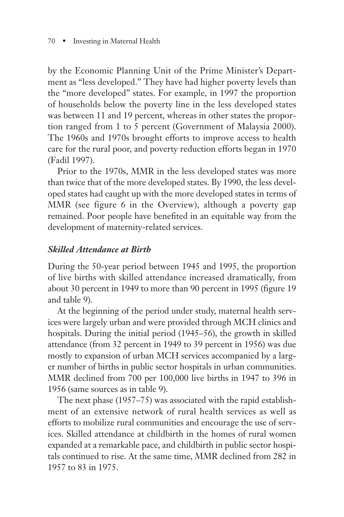by the Economic Planning Unit of the Prime Minister's Department as "less developed." They have had higher poverty levels than the "more developed" states. For example, in 1997 the proportion of households below the poverty line in the less developed states was between 11 and 19 percent, whereas in other states the proportion ranged from 1 to 5 percent (Government of Malaysia 2000). The 1960s and 1970s brought efforts to improve access to health care for the rural poor, and poverty reduction efforts began in 1970 (Fadil 1997).

Prior to the 1970s, MMR in the less developed states was more than twice that of the more developed states. By 1990, the less developed states had caught up with the more developed states in terms of MMR (see figure 6 in the Overview), although a poverty gap remained. Poor people have benefited in an equitable way from the development of maternity-related services.

#### *Skilled Attendance at Birth*

During the 50-year period between 1945 and 1995, the proportion of live births with skilled attendance increased dramatically, from about 30 percent in 1949 to more than 90 percent in 1995 (figure 19 and table 9).

At the beginning of the period under study, maternal health services were largely urban and were provided through MCH clinics and hospitals. During the initial period (1945–56), the growth in skilled attendance (from 32 percent in 1949 to 39 percent in 1956) was due mostly to expansion of urban MCH services accompanied by a larger number of births in public sector hospitals in urban communities. MMR declined from 700 per 100,000 live births in 1947 to 396 in 1956 (same sources as in table 9).

The next phase (1957–75) was associated with the rapid establishment of an extensive network of rural health services as well as efforts to mobilize rural communities and encourage the use of services. Skilled attendance at childbirth in the homes of rural women expanded at a remarkable pace, and childbirth in public sector hospitals continued to rise. At the same time, MMR declined from 282 in 1957 to 83 in 1975.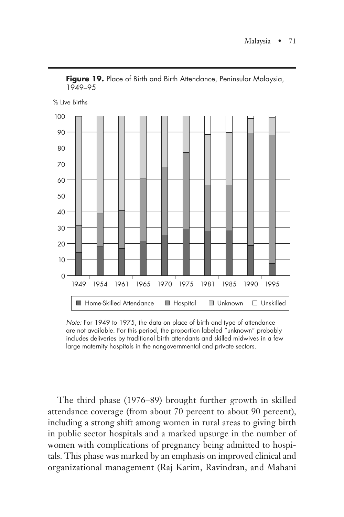

The third phase (1976–89) brought further growth in skilled attendance coverage (from about 70 percent to about 90 percent), including a strong shift among women in rural areas to giving birth in public sector hospitals and a marked upsurge in the number of women with complications of pregnancy being admitted to hospitals. This phase was marked by an emphasis on improved clinical and organizational management (Raj Karim, Ravindran, and Mahani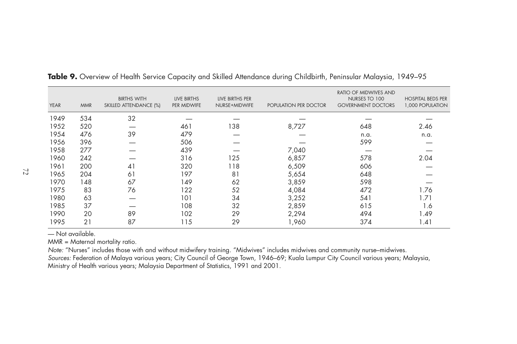| <b>YEAR</b> | <b>MMR</b> | <b>BIRTHS WITH</b><br>SKILLED ATTENDANCE (%) | LIVE BIRTHS<br>PER MIDWIFE | LIVE BIRTHS PER<br>NURSE+MIDWIFE | POPULATION PER DOCTOR | RATIO OF MIDWIVES AND<br>NURSES TO 100<br><b>GOVERNMENT DOCTORS</b> | <b>HOSPITAL BEDS PER</b><br>1,000 POPULATION |
|-------------|------------|----------------------------------------------|----------------------------|----------------------------------|-----------------------|---------------------------------------------------------------------|----------------------------------------------|
| 1949        | 534        | 32                                           |                            |                                  |                       |                                                                     |                                              |
| 1952        | 520        |                                              | 461                        | 138                              | 8,727                 | 648                                                                 | 2.46                                         |
| 1954        | 476        | 39                                           | 479                        |                                  |                       | n.a.                                                                | n.a.                                         |
| 1956        | 396        |                                              | 506                        |                                  |                       | 599                                                                 |                                              |
| 1958        | 277        |                                              | 439                        |                                  | 7,040                 |                                                                     |                                              |
| 1960        | 242        |                                              | 316                        | 125                              | 6,857                 | 578                                                                 | 2.04                                         |
| 1961        | 200        | 41                                           | 320                        | 118                              | 6,509                 | 606                                                                 |                                              |
| 1965        | 204        | 61                                           | 197                        | 81                               | 5,654                 | 648                                                                 |                                              |
| 1970        | 148        | 67                                           | 149                        | 62                               | 3,859                 | 598                                                                 |                                              |
| 1975        | 83         | 76                                           | 122                        | 52                               | 4,084                 | 472                                                                 | 1.76                                         |
| 1980        | 63         |                                              | 101                        | 34                               | 3,252                 | 541                                                                 | 1.71                                         |
| 1985        | 37         |                                              | 108                        | 32                               | 2,859                 | 615                                                                 | 1.6                                          |
| 1990        | 20         | 89                                           | 102                        | 29                               | 2,294                 | 494                                                                 | 1.49                                         |
| 1995        | 21         | 87                                           | 115                        | 29                               | 1,960                 | 374                                                                 | 1.41                                         |

**Table 9.** Overview of Health Service Capacity and Skilled Attendance during Childbirth, Peninsular Malaysia, 1949–95

— Not available.

MMR = Maternal mortality ratio.

*Note:* "Nurses" includes those with and without midwifery training. "Midwives" includes midwives and community nurse–midwives.

*Sources:* Federation of Malaya various years; City Council of George Town, 1946–69; Kuala Lumpur City Council various years; Malaysia, Ministry of Health various years; Malaysia Department of Statistics, 1991 and 2001.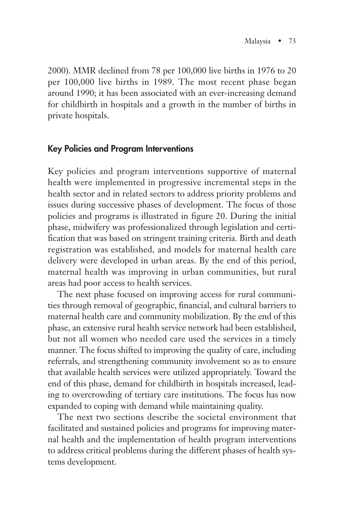2000). MMR declined from 78 per 100,000 live births in 1976 to 20 per 100,000 live births in 1989. The most recent phase began around 1990; it has been associated with an ever-increasing demand for childbirth in hospitals and a growth in the number of births in private hospitals.

#### **Key Policies and Program Interventions**

Key policies and program interventions supportive of maternal health were implemented in progressive incremental steps in the health sector and in related sectors to address priority problems and issues during successive phases of development. The focus of those policies and programs is illustrated in figure 20. During the initial phase, midwifery was professionalized through legislation and certification that was based on stringent training criteria. Birth and death registration was established, and models for maternal health care delivery were developed in urban areas. By the end of this period, maternal health was improving in urban communities, but rural areas had poor access to health services.

The next phase focused on improving access for rural communities through removal of geographic, financial, and cultural barriers to maternal health care and community mobilization. By the end of this phase, an extensive rural health service network had been established, but not all women who needed care used the services in a timely manner. The focus shifted to improving the quality of care, including referrals, and strengthening community involvement so as to ensure that available health services were utilized appropriately. Toward the end of this phase, demand for childbirth in hospitals increased, leading to overcrowding of tertiary care institutions. The focus has now expanded to coping with demand while maintaining quality.

The next two sections describe the societal environment that facilitated and sustained policies and programs for improving maternal health and the implementation of health program interventions to address critical problems during the different phases of health systems development.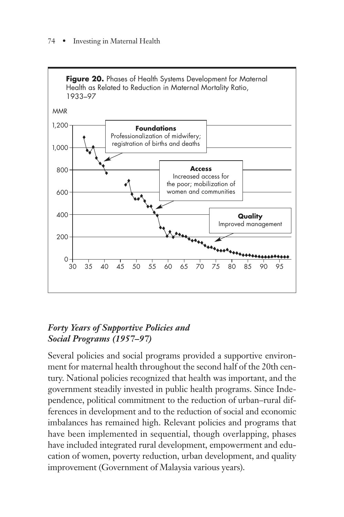#### 74 • Investing in Maternal Health



## *Forty Years of Supportive Policies and Social Programs (1957–97)*

Several policies and social programs provided a supportive environment for maternal health throughout the second half of the 20th century. National policies recognized that health was important, and the government steadily invested in public health programs. Since Independence, political commitment to the reduction of urban–rural differences in development and to the reduction of social and economic imbalances has remained high. Relevant policies and programs that have been implemented in sequential, though overlapping, phases have included integrated rural development, empowerment and education of women, poverty reduction, urban development, and quality improvement (Government of Malaysia various years).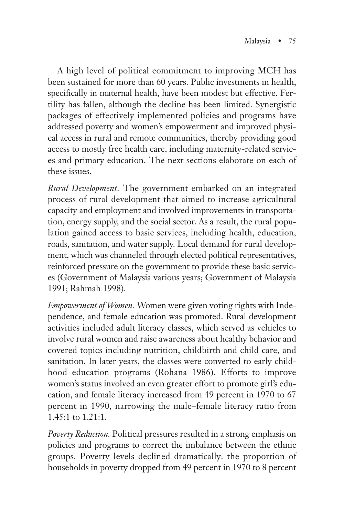A high level of political commitment to improving MCH has been sustained for more than 60 years. Public investments in health, specifically in maternal health, have been modest but effective. Fertility has fallen, although the decline has been limited. Synergistic packages of effectively implemented policies and programs have addressed poverty and women's empowerment and improved physical access in rural and remote communities, thereby providing good access to mostly free health care, including maternity-related services and primary education. The next sections elaborate on each of these issues.

*Rural Development.* The government embarked on an integrated process of rural development that aimed to increase agricultural capacity and employment and involved improvements in transportation, energy supply, and the social sector. As a result, the rural population gained access to basic services, including health, education, roads, sanitation, and water supply. Local demand for rural development, which was channeled through elected political representatives, reinforced pressure on the government to provide these basic services (Government of Malaysia various years; Government of Malaysia 1991; Rahmah 1998).

*Empowerment of Women.* Women were given voting rights with Independence, and female education was promoted. Rural development activities included adult literacy classes, which served as vehicles to involve rural women and raise awareness about healthy behavior and covered topics including nutrition, childbirth and child care, and sanitation. In later years, the classes were converted to early childhood education programs (Rohana 1986). Efforts to improve women's status involved an even greater effort to promote girl's education, and female literacy increased from 49 percent in 1970 to 67 percent in 1990, narrowing the male–female literacy ratio from 1.45:1 to 1.21:1.

*Poverty Reduction.* Political pressures resulted in a strong emphasis on policies and programs to correct the imbalance between the ethnic groups. Poverty levels declined dramatically: the proportion of households in poverty dropped from 49 percent in 1970 to 8 percent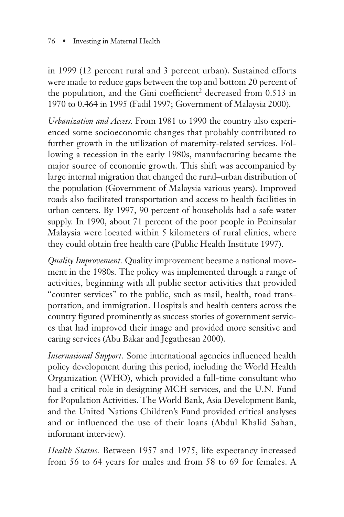in 1999 (12 percent rural and 3 percent urban). Sustained efforts were made to reduce gaps between the top and bottom 20 percent of the population, and the Gini coefficient<sup>2</sup> decreased from  $0.513$  in 1970 to 0.464 in 1995 (Fadil 1997; Government of Malaysia 2000).

*Urbanization and Access.* From 1981 to 1990 the country also experienced some socioeconomic changes that probably contributed to further growth in the utilization of maternity-related services. Following a recession in the early 1980s, manufacturing became the major source of economic growth. This shift was accompanied by large internal migration that changed the rural–urban distribution of the population (Government of Malaysia various years). Improved roads also facilitated transportation and access to health facilities in urban centers. By 1997, 90 percent of households had a safe water supply. In 1990, about 71 percent of the poor people in Peninsular Malaysia were located within 5 kilometers of rural clinics, where they could obtain free health care (Public Health Institute 1997).

*Quality Improvement.* Quality improvement became a national movement in the 1980s. The policy was implemented through a range of activities, beginning with all public sector activities that provided "counter services" to the public, such as mail, health, road transportation, and immigration. Hospitals and health centers across the country figured prominently as success stories of government services that had improved their image and provided more sensitive and caring services (Abu Bakar and Jegathesan 2000).

*International Support.* Some international agencies influenced health policy development during this period, including the World Health Organization (WHO), which provided a full-time consultant who had a critical role in designing MCH services, and the U.N. Fund for Population Activities. The World Bank, Asia Development Bank, and the United Nations Children's Fund provided critical analyses and or influenced the use of their loans (Abdul Khalid Sahan, informant interview).

*Health Status.* Between 1957 and 1975, life expectancy increased from 56 to 64 years for males and from 58 to 69 for females. A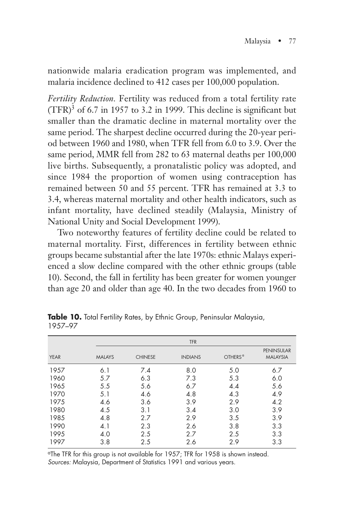nationwide malaria eradication program was implemented, and malaria incidence declined to 412 cases per 100,000 population.

*Fertility Reduction.* Fertility was reduced from a total fertility rate  $(TFR)<sup>3</sup>$  of 6.7 in 1957 to 3.2 in 1999. This decline is significant but smaller than the dramatic decline in maternal mortality over the same period. The sharpest decline occurred during the 20-year period between 1960 and 1980, when TFR fell from 6.0 to 3.9. Over the same period, MMR fell from 282 to 63 maternal deaths per 100,000 live births. Subsequently, a pronatalistic policy was adopted, and since 1984 the proportion of women using contraception has remained between 50 and 55 percent. TFR has remained at 3.3 to 3.4, whereas maternal mortality and other health indicators, such as infant mortality, have declined steadily (Malaysia, Ministry of National Unity and Social Development 1999).

Two noteworthy features of fertility decline could be related to maternal mortality. First, differences in fertility between ethnic groups became substantial after the late 1970s: ethnic Malays experienced a slow decline compared with the other ethnic groups (table 10). Second, the fall in fertility has been greater for women younger than age 20 and older than age 40. In the two decades from 1960 to

|             |               | <b>TFR</b>     |                |                     |                               |  |  |
|-------------|---------------|----------------|----------------|---------------------|-------------------------------|--|--|
| <b>YEAR</b> | <b>MALAYS</b> | <b>CHINESE</b> | <b>INDIANS</b> | OTHERS <sup>a</sup> | PENINSULAR<br><b>MALAYSIA</b> |  |  |
| 1957        | 6.1           | 7.4            | 8.0            | 5.0                 | 6.7                           |  |  |
| 1960        | 5.7           | 6.3            | 7.3            | 5.3                 | 6.0                           |  |  |
| 1965        | 5.5           | 5.6            | 6.7            | 4.4                 | 5.6                           |  |  |
| 1970        | 5.1           | 4.6            | 4.8            | 4.3                 | 4.9                           |  |  |
| 1975        | 4.6           | 3.6            | 3.9            | 2.9                 | 4.2                           |  |  |
| 1980        | 4.5           | 3.1            | 3.4            | 3.0                 | 3.9                           |  |  |
| 1985        | 4.8           | 2.7            | 2.9            | 3.5                 | 3.9                           |  |  |
| 1990        | 4.1           | 2.3            | 2.6            | 3.8                 | 3.3                           |  |  |
| 1995        | 4.0           | 2.5            | 2.7            | 2.5                 | 3.3                           |  |  |
| 1997        | 3.8           | 2.5            | 2.6            | 2.9                 | 3.3                           |  |  |

**Table 10.** Total Fertility Rates, by Ethnic Group, Peninsular Malaysia, 1957–97

aThe TFR for this group is not available for 1957; TFR for 1958 is shown instead. *Sources:* Malaysia, Department of Statistics 1991 and various years.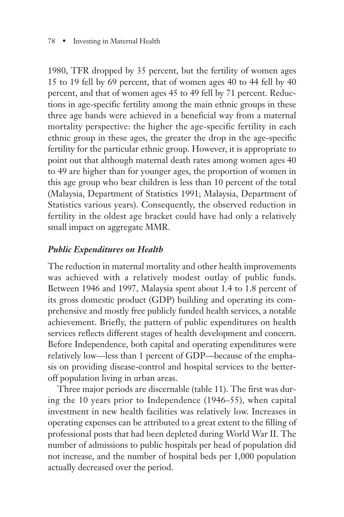1980, TFR dropped by 35 percent, but the fertility of women ages 15 to 19 fell by 69 percent, that of women ages 40 to 44 fell by 40 percent, and that of women ages 45 to 49 fell by 71 percent. Reductions in age-specific fertility among the main ethnic groups in these three age bands were achieved in a beneficial way from a maternal mortality perspective: the higher the age-specific fertility in each ethnic group in these ages, the greater the drop in the age-specific fertility for the particular ethnic group. However, it is appropriate to point out that although maternal death rates among women ages 40 to 49 are higher than for younger ages, the proportion of women in this age group who bear children is less than 10 percent of the total (Malaysia, Department of Statistics 1991; Malaysia, Department of Statistics various years). Consequently, the observed reduction in fertility in the oldest age bracket could have had only a relatively small impact on aggregate MMR.

# *Public Expenditures on Health*

The reduction in maternal mortality and other health improvements was achieved with a relatively modest outlay of public funds. Between 1946 and 1997, Malaysia spent about 1.4 to 1.8 percent of its gross domestic product (GDP) building and operating its comprehensive and mostly free publicly funded health services, a notable achievement. Briefly, the pattern of public expenditures on health services reflects different stages of health development and concern. Before Independence, both capital and operating expenditures were relatively low—less than 1 percent of GDP—because of the emphasis on providing disease-control and hospital services to the betteroff population living in urban areas.

Three major periods are discernable (table 11). The first was during the 10 years prior to Independence (1946–55), when capital investment in new health facilities was relatively low. Increases in operating expenses can be attributed to a great extent to the filling of professional posts that had been depleted during World War II. The number of admissions to public hospitals per head of population did not increase, and the number of hospital beds per 1,000 population actually decreased over the period.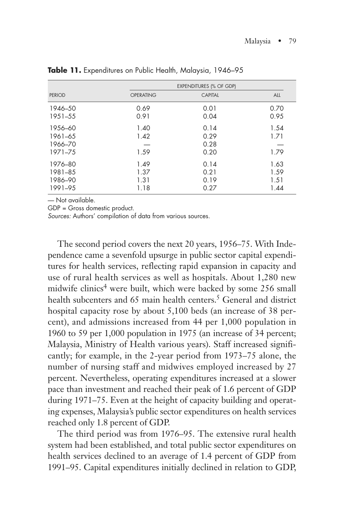|                                          | <b>EXPENDITURES (% OF GDP)</b> |                              |                              |  |
|------------------------------------------|--------------------------------|------------------------------|------------------------------|--|
| <b>PERIOD</b>                            | <b>OPERATING</b>               | <b>CAPITAL</b>               | <b>ALL</b>                   |  |
| 1946-50<br>1951-55                       | 0.69<br>0.91                   | 0.01<br>0.04                 | 0.70<br>0.95                 |  |
| 1956-60<br>1961–65<br>1966-70<br>1971-75 | 1.40<br>1.42<br>1.59           | 0.14<br>0.29<br>0.28<br>0.20 | 1.54<br>1.71<br>1.79         |  |
| 1976-80<br>1981-85<br>1986-90<br>1991-95 | 1.49<br>1.37<br>1.31<br>1.18   | 0.14<br>0.21<br>0.19<br>0.27 | 1.63<br>1.59<br>1.51<br>1.44 |  |

**Table 11.** Expenditures on Public Health, Malaysia, 1946–95

— Not available.

GDP = Gross domestic product.

*Sources:* Authors' compilation of data from various sources.

The second period covers the next 20 years, 1956–75. With Independence came a sevenfold upsurge in public sector capital expenditures for health services, reflecting rapid expansion in capacity and use of rural health services as well as hospitals. About 1,280 new midwife clinics<sup>4</sup> were built, which were backed by some 256 small health subcenters and 65 main health centers.<sup>5</sup> General and district hospital capacity rose by about 5,100 beds (an increase of 38 percent), and admissions increased from 44 per 1,000 population in 1960 to 59 per 1,000 population in 1975 (an increase of 34 percent; Malaysia, Ministry of Health various years). Staff increased significantly; for example, in the 2-year period from 1973–75 alone, the number of nursing staff and midwives employed increased by 27 percent. Nevertheless, operating expenditures increased at a slower pace than investment and reached their peak of 1.6 percent of GDP during 1971–75. Even at the height of capacity building and operating expenses, Malaysia's public sector expenditures on health services reached only 1.8 percent of GDP.

The third period was from 1976–95. The extensive rural health system had been established, and total public sector expenditures on health services declined to an average of 1.4 percent of GDP from 1991–95. Capital expenditures initially declined in relation to GDP,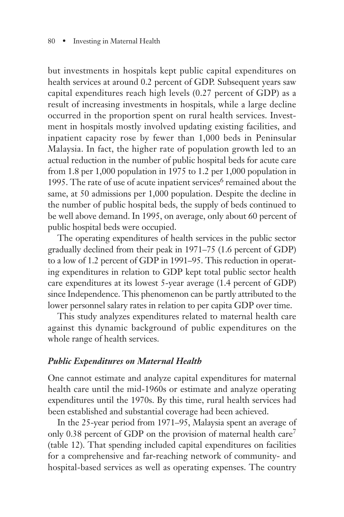but investments in hospitals kept public capital expenditures on health services at around 0.2 percent of GDP. Subsequent years saw capital expenditures reach high levels (0.27 percent of GDP) as a result of increasing investments in hospitals, while a large decline occurred in the proportion spent on rural health services. Investment in hospitals mostly involved updating existing facilities, and inpatient capacity rose by fewer than 1,000 beds in Peninsular Malaysia. In fact, the higher rate of population growth led to an actual reduction in the number of public hospital beds for acute care from 1.8 per 1,000 population in 1975 to 1.2 per 1,000 population in 1995. The rate of use of acute inpatient services $6$  remained about the same, at 50 admissions per 1,000 population. Despite the decline in the number of public hospital beds, the supply of beds continued to be well above demand. In 1995, on average, only about 60 percent of public hospital beds were occupied.

The operating expenditures of health services in the public sector gradually declined from their peak in 1971–75 (1.6 percent of GDP) to a low of 1.2 percent of GDP in 1991–95. This reduction in operating expenditures in relation to GDP kept total public sector health care expenditures at its lowest 5-year average (1.4 percent of GDP) since Independence. This phenomenon can be partly attributed to the lower personnel salary rates in relation to per capita GDP over time.

This study analyzes expenditures related to maternal health care against this dynamic background of public expenditures on the whole range of health services.

#### *Public Expenditures on Maternal Health*

One cannot estimate and analyze capital expenditures for maternal health care until the mid-1960s or estimate and analyze operating expenditures until the 1970s. By this time, rural health services had been established and substantial coverage had been achieved.

In the 25-year period from 1971–95, Malaysia spent an average of only 0.38 percent of GDP on the provision of maternal health care<sup>7</sup> (table 12). That spending included capital expenditures on facilities for a comprehensive and far-reaching network of community- and hospital-based services as well as operating expenses. The country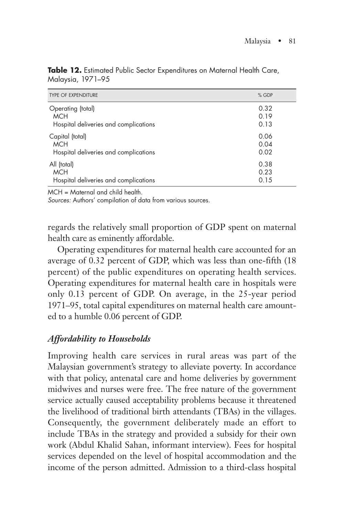| <b>TYPE OF EXPENDITURE</b>            | % GDP |
|---------------------------------------|-------|
| Operating (total)                     | 0.32  |
| <b>MCH</b>                            | 0.19  |
| Hospital deliveries and complications | 0.13  |
| Capital (total)                       | 0.06  |
| <b>MCH</b>                            | 0.04  |
| Hospital deliveries and complications | 0.02  |
| All (total)                           | 0.38  |
| <b>MCH</b>                            | 0.23  |
| Hospital deliveries and complications | 0.15  |

Table 12. Estimated Public Sector Expenditures on Maternal Health Care, Malaysia, 1971–95

MCH = Maternal and child health.

*Sources:* Authors' compilation of data from various sources.

regards the relatively small proportion of GDP spent on maternal health care as eminently affordable.

Operating expenditures for maternal health care accounted for an average of 0.32 percent of GDP, which was less than one-fifth (18 percent) of the public expenditures on operating health services. Operating expenditures for maternal health care in hospitals were only 0.13 percent of GDP. On average, in the 25-year period 1971–95, total capital expenditures on maternal health care amounted to a humble 0.06 percent of GDP.

#### *Affordability to Households*

Improving health care services in rural areas was part of the Malaysian government's strategy to alleviate poverty. In accordance with that policy, antenatal care and home deliveries by government midwives and nurses were free. The free nature of the government service actually caused acceptability problems because it threatened the livelihood of traditional birth attendants (TBAs) in the villages. Consequently, the government deliberately made an effort to include TBAs in the strategy and provided a subsidy for their own work (Abdul Khalid Sahan, informant interview). Fees for hospital services depended on the level of hospital accommodation and the income of the person admitted. Admission to a third-class hospital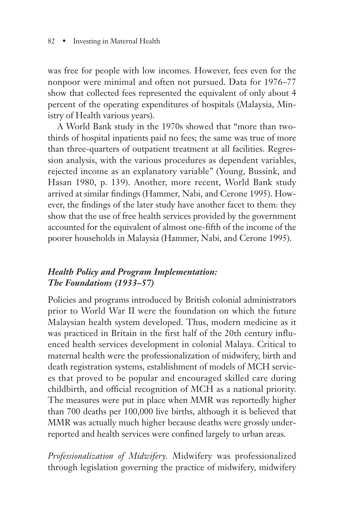was free for people with low incomes. However, fees even for the nonpoor were minimal and often not pursued. Data for 1976–77 show that collected fees represented the equivalent of only about 4 percent of the operating expenditures of hospitals (Malaysia, Ministry of Health various years).

A World Bank study in the 1970s showed that "more than twothirds of hospital inpatients paid no fees; the same was true of more than three-quarters of outpatient treatment at all facilities. Regression analysis, with the various procedures as dependent variables, rejected income as an explanatory variable" (Young, Bussink, and Hasan 1980, p. 139). Another, more recent, World Bank study arrived at similar findings (Hammer, Nabi, and Cerone 1995). However, the findings of the later study have another facet to them: they show that the use of free health services provided by the government accounted for the equivalent of almost one-fifth of the income of the poorer households in Malaysia (Hammer, Nabi, and Cerone 1995).

## *Health Policy and Program Implementation: The Foundations (1933–57)*

Policies and programs introduced by British colonial administrators prior to World War II were the foundation on which the future Malaysian health system developed. Thus, modern medicine as it was practiced in Britain in the first half of the 20th century influenced health services development in colonial Malaya. Critical to maternal health were the professionalization of midwifery, birth and death registration systems, establishment of models of MCH services that proved to be popular and encouraged skilled care during childbirth, and official recognition of MCH as a national priority. The measures were put in place when MMR was reportedly higher than 700 deaths per 100,000 live births, although it is believed that MMR was actually much higher because deaths were grossly underreported and health services were confined largely to urban areas.

*Professionalization of Midwifery.* Midwifery was professionalized through legislation governing the practice of midwifery, midwifery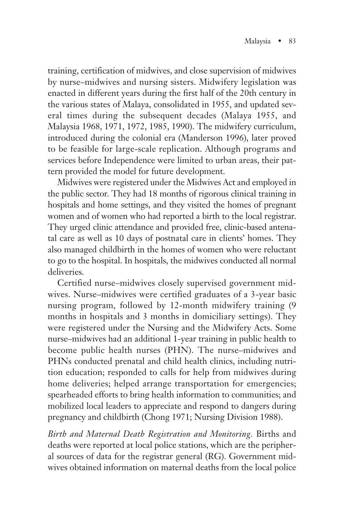training, certification of midwives, and close supervision of midwives by nurse–midwives and nursing sisters. Midwifery legislation was enacted in different years during the first half of the 20th century in the various states of Malaya, consolidated in 1955, and updated several times during the subsequent decades (Malaya 1955, and Malaysia 1968, 1971, 1972, 1985, 1990). The midwifery curriculum, introduced during the colonial era (Manderson 1996), later proved to be feasible for large-scale replication. Although programs and services before Independence were limited to urban areas, their pattern provided the model for future development.

Midwives were registered under the Midwives Act and employed in the public sector. They had 18 months of rigorous clinical training in hospitals and home settings, and they visited the homes of pregnant women and of women who had reported a birth to the local registrar. They urged clinic attendance and provided free, clinic-based antenatal care as well as 10 days of postnatal care in clients' homes. They also managed childbirth in the homes of women who were reluctant to go to the hospital. In hospitals, the midwives conducted all normal deliveries.

Certified nurse–midwives closely supervised government midwives. Nurse–midwives were certified graduates of a 3-year basic nursing program, followed by 12-month midwifery training (9 months in hospitals and 3 months in domiciliary settings). They were registered under the Nursing and the Midwifery Acts. Some nurse–midwives had an additional 1-year training in public health to become public health nurses (PHN). The nurse–midwives and PHNs conducted prenatal and child health clinics, including nutrition education; responded to calls for help from midwives during home deliveries; helped arrange transportation for emergencies; spearheaded efforts to bring health information to communities; and mobilized local leaders to appreciate and respond to dangers during pregnancy and childbirth (Chong 1971; Nursing Division 1988).

*Birth and Maternal Death Registration and Monitoring.* Births and deaths were reported at local police stations, which are the peripheral sources of data for the registrar general (RG). Government midwives obtained information on maternal deaths from the local police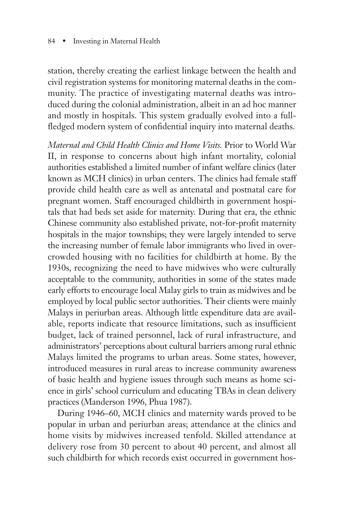station, thereby creating the earliest linkage between the health and civil registration systems for monitoring maternal deaths in the community. The practice of investigating maternal deaths was introduced during the colonial administration, albeit in an ad hoc manner and mostly in hospitals. This system gradually evolved into a fullfledged modern system of confidential inquiry into maternal deaths.

*Maternal and Child Health Clinics and Home Visits.* Prior to World War II, in response to concerns about high infant mortality, colonial authorities established a limited number of infant welfare clinics (later known as MCH clinics) in urban centers. The clinics had female staff provide child health care as well as antenatal and postnatal care for pregnant women. Staff encouraged childbirth in government hospitals that had beds set aside for maternity. During that era, the ethnic Chinese community also established private, not-for-profit maternity hospitals in the major townships; they were largely intended to serve the increasing number of female labor immigrants who lived in overcrowded housing with no facilities for childbirth at home. By the 1930s, recognizing the need to have midwives who were culturally acceptable to the community, authorities in some of the states made early efforts to encourage local Malay girls to train as midwives and be employed by local public sector authorities. Their clients were mainly Malays in periurban areas. Although little expenditure data are available, reports indicate that resource limitations, such as insufficient budget, lack of trained personnel, lack of rural infrastructure, and administrators' perceptions about cultural barriers among rural ethnic Malays limited the programs to urban areas. Some states, however, introduced measures in rural areas to increase community awareness of basic health and hygiene issues through such means as home science in girls' school curriculum and educating TBAs in clean delivery practices (Manderson 1996, Phua 1987).

During 1946–60, MCH clinics and maternity wards proved to be popular in urban and periurban areas; attendance at the clinics and home visits by midwives increased tenfold. Skilled attendance at delivery rose from 30 percent to about 40 percent, and almost all such childbirth for which records exist occurred in government hos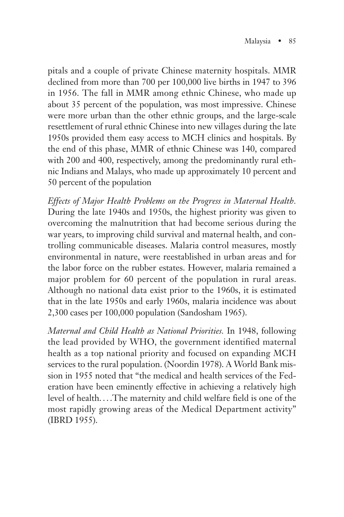pitals and a couple of private Chinese maternity hospitals. MMR declined from more than 700 per 100,000 live births in 1947 to 396 in 1956. The fall in MMR among ethnic Chinese, who made up about 35 percent of the population, was most impressive. Chinese were more urban than the other ethnic groups, and the large-scale resettlement of rural ethnic Chinese into new villages during the late 1950s provided them easy access to MCH clinics and hospitals. By the end of this phase, MMR of ethnic Chinese was 140, compared with 200 and 400, respectively, among the predominantly rural ethnic Indians and Malays, who made up approximately 10 percent and 50 percent of the population

*Effects of Major Health Problems on the Progress in Maternal Health.* During the late 1940s and 1950s, the highest priority was given to overcoming the malnutrition that had become serious during the war years, to improving child survival and maternal health, and controlling communicable diseases. Malaria control measures, mostly environmental in nature, were reestablished in urban areas and for the labor force on the rubber estates. However, malaria remained a major problem for 60 percent of the population in rural areas. Although no national data exist prior to the 1960s, it is estimated that in the late 1950s and early 1960s, malaria incidence was about 2,300 cases per 100,000 population (Sandosham 1965).

*Maternal and Child Health as National Priorities.* In 1948, following the lead provided by WHO, the government identified maternal health as a top national priority and focused on expanding MCH services to the rural population. (Noordin 1978). A World Bank mission in 1955 noted that "the medical and health services of the Federation have been eminently effective in achieving a relatively high level of health. . . .The maternity and child welfare field is one of the most rapidly growing areas of the Medical Department activity" (IBRD 1955).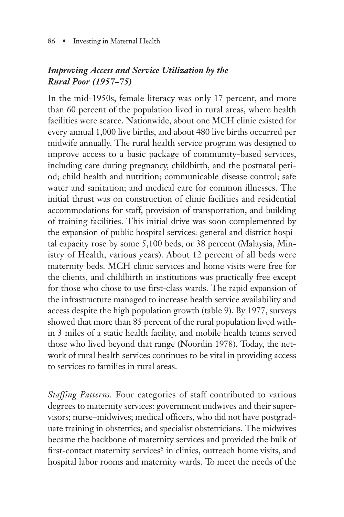# *Improving Access and Service Utilization by the Rural Poor (1957–75)*

In the mid-1950s, female literacy was only 17 percent, and more than 60 percent of the population lived in rural areas, where health facilities were scarce. Nationwide, about one MCH clinic existed for every annual 1,000 live births, and about 480 live births occurred per midwife annually. The rural health service program was designed to improve access to a basic package of community-based services, including care during pregnancy, childbirth, and the postnatal period; child health and nutrition; communicable disease control; safe water and sanitation; and medical care for common illnesses. The initial thrust was on construction of clinic facilities and residential accommodations for staff, provision of transportation, and building of training facilities. This initial drive was soon complemented by the expansion of public hospital services: general and district hospital capacity rose by some 5,100 beds, or 38 percent (Malaysia, Ministry of Health, various years). About 12 percent of all beds were maternity beds. MCH clinic services and home visits were free for the clients, and childbirth in institutions was practically free except for those who chose to use first-class wards. The rapid expansion of the infrastructure managed to increase health service availability and access despite the high population growth (table 9). By 1977, surveys showed that more than 85 percent of the rural population lived within 3 miles of a static health facility, and mobile health teams served those who lived beyond that range (Noordin 1978). Today, the network of rural health services continues to be vital in providing access to services to families in rural areas.

*Staffing Patterns.* Four categories of staff contributed to various degrees to maternity services: government midwives and their supervisors; nurse–midwives; medical officers, who did not have postgraduate training in obstetrics; and specialist obstetricians. The midwives became the backbone of maternity services and provided the bulk of first-contact maternity services<sup>8</sup> in clinics, outreach home visits, and hospital labor rooms and maternity wards. To meet the needs of the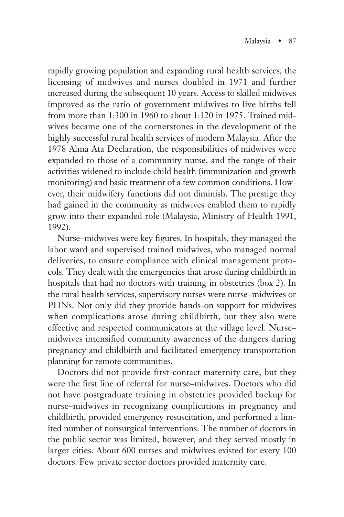rapidly growing population and expanding rural health services, the licensing of midwives and nurses doubled in 1971 and further increased during the subsequent 10 years. Access to skilled midwives improved as the ratio of government midwives to live births fell from more than 1:300 in 1960 to about 1:120 in 1975. Trained midwives became one of the cornerstones in the development of the highly successful rural health services of modern Malaysia. After the 1978 Alma Ata Declaration, the responsibilities of midwives were expanded to those of a community nurse, and the range of their activities widened to include child health (immunization and growth monitoring) and basic treatment of a few common conditions. However, their midwifery functions did not diminish. The prestige they had gained in the community as midwives enabled them to rapidly grow into their expanded role (Malaysia, Ministry of Health 1991, 1992).

Nurse–midwives were key figures. In hospitals, they managed the labor ward and supervised trained midwives, who managed normal deliveries, to ensure compliance with clinical management protocols. They dealt with the emergencies that arose during childbirth in hospitals that had no doctors with training in obstetrics (box 2). In the rural health services, supervisory nurses were nurse–midwives or PHNs. Not only did they provide hands-on support for midwives when complications arose during childbirth, but they also were effective and respected communicators at the village level. Nurse– midwives intensified community awareness of the dangers during pregnancy and childbirth and facilitated emergency transportation planning for remote communities.

Doctors did not provide first-contact maternity care, but they were the first line of referral for nurse–midwives. Doctors who did not have postgraduate training in obstetrics provided backup for nurse–midwives in recognizing complications in pregnancy and childbirth, provided emergency resuscitation, and performed a limited number of nonsurgical interventions. The number of doctors in the public sector was limited, however, and they served mostly in larger cities. About 600 nurses and midwives existed for every 100 doctors. Few private sector doctors provided maternity care.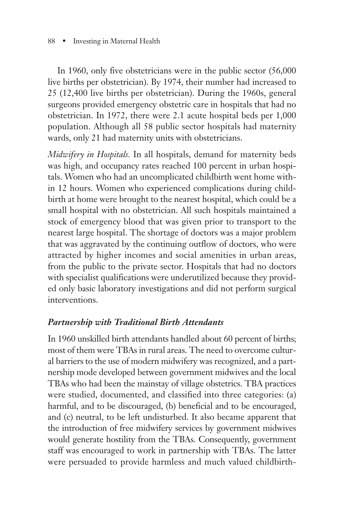#### 88 • Investing in Maternal Health

In 1960, only five obstetricians were in the public sector (56,000 live births per obstetrician). By 1974, their number had increased to 25 (12,400 live births per obstetrician). During the 1960s, general surgeons provided emergency obstetric care in hospitals that had no obstetrician. In 1972, there were 2.1 acute hospital beds per 1,000 population. Although all 58 public sector hospitals had maternity wards, only 21 had maternity units with obstetricians.

*Midwifery in Hospitals.* In all hospitals, demand for maternity beds was high, and occupancy rates reached 100 percent in urban hospitals. Women who had an uncomplicated childbirth went home within 12 hours. Women who experienced complications during childbirth at home were brought to the nearest hospital, which could be a small hospital with no obstetrician. All such hospitals maintained a stock of emergency blood that was given prior to transport to the nearest large hospital. The shortage of doctors was a major problem that was aggravated by the continuing outflow of doctors, who were attracted by higher incomes and social amenities in urban areas, from the public to the private sector. Hospitals that had no doctors with specialist qualifications were underutilized because they provided only basic laboratory investigations and did not perform surgical interventions.

## *Partnership with Traditional Birth Attendants*

In 1960 unskilled birth attendants handled about 60 percent of births; most of them were TBAs in rural areas. The need to overcome cultural barriers to the use of modern midwifery was recognized, and a partnership mode developed between government midwives and the local TBAs who had been the mainstay of village obstetrics. TBA practices were studied, documented, and classified into three categories: (a) harmful, and to be discouraged, (b) beneficial and to be encouraged, and (c) neutral, to be left undisturbed. It also became apparent that the introduction of free midwifery services by government midwives would generate hostility from the TBAs. Consequently, government staff was encouraged to work in partnership with TBAs. The latter were persuaded to provide harmless and much valued childbirth-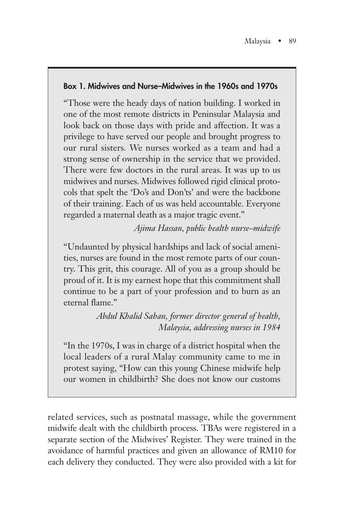## **Box 1. Midwives and Nurse–Midwives in the 1960s and 1970s**

"Those were the heady days of nation building. I worked in one of the most remote districts in Peninsular Malaysia and look back on those days with pride and affection. It was a privilege to have served our people and brought progress to our rural sisters. We nurses worked as a team and had a strong sense of ownership in the service that we provided. There were few doctors in the rural areas. It was up to us midwives and nurses. Midwives followed rigid clinical protocols that spelt the 'Do's and Don'ts' and were the backbone of their training. Each of us was held accountable. Everyone regarded a maternal death as a major tragic event."

*Ajima Hassan, public health nurse–midwife*

"Undaunted by physical hardships and lack of social amenities, nurses are found in the most remote parts of our country. This grit, this courage. All of you as a group should be proud of it. It is my earnest hope that this commitment shall continue to be a part of your profession and to burn as an eternal flame."

> *Abdul Khalid Sahan, former director general of health, Malaysia, addressing nurses in 1984*

"In the 1970s, I was in charge of a district hospital when the local leaders of a rural Malay community came to me in protest saying, "How can this young Chinese midwife help our women in childbirth? She does not know our customs

related services, such as postnatal massage, while the government midwife dealt with the childbirth process. TBAs were registered in a separate section of the Midwives' Register. They were trained in the avoidance of harmful practices and given an allowance of RM10 for each delivery they conducted. They were also provided with a kit for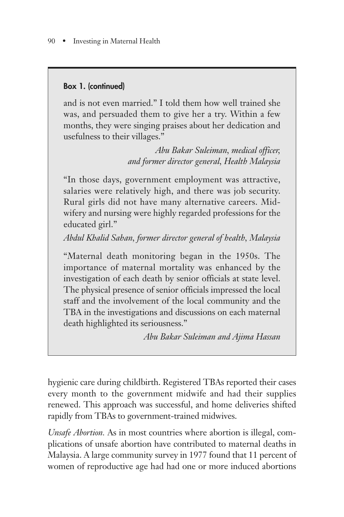## **Box 1. (continued)**

and is not even married." I told them how well trained she was, and persuaded them to give her a try. Within a few months, they were singing praises about her dedication and usefulness to their villages."

> *Abu Bakar Suleiman, medical officer, and former director general, Health Malaysia*

"In those days, government employment was attractive, salaries were relatively high, and there was job security. Rural girls did not have many alternative careers. Midwifery and nursing were highly regarded professions for the educated girl."

*Abdul Khalid Sahan, former director general of health, Malaysia*

"Maternal death monitoring began in the 1950s. The importance of maternal mortality was enhanced by the investigation of each death by senior officials at state level. The physical presence of senior officials impressed the local staff and the involvement of the local community and the TBA in the investigations and discussions on each maternal death highlighted its seriousness."

*Abu Bakar Suleiman and Ajima Hassan*

hygienic care during childbirth. Registered TBAs reported their cases every month to the government midwife and had their supplies renewed. This approach was successful, and home deliveries shifted rapidly from TBAs to government-trained midwives.

*Unsafe Abortion.* As in most countries where abortion is illegal, complications of unsafe abortion have contributed to maternal deaths in Malaysia. A large community survey in 1977 found that 11 percent of women of reproductive age had had one or more induced abortions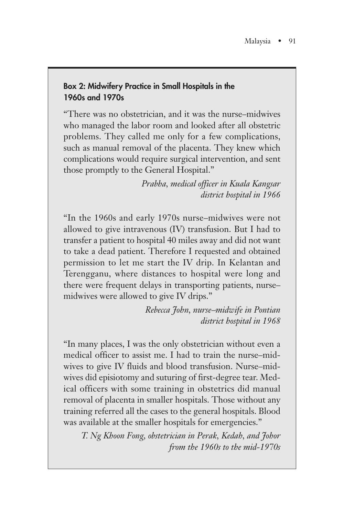## **Box 2: Midwifery Practice in Small Hospitals in the 1960s and 1970s**

"There was no obstetrician, and it was the nurse–midwives who managed the labor room and looked after all obstetric problems. They called me only for a few complications, such as manual removal of the placenta. They knew which complications would require surgical intervention, and sent those promptly to the General Hospital."

> *Prabha, medical officer in Kuala Kangsar district hospital in 1966*

"In the 1960s and early 1970s nurse–midwives were not allowed to give intravenous (IV) transfusion. But I had to transfer a patient to hospital 40 miles away and did not want to take a dead patient. Therefore I requested and obtained permission to let me start the IV drip. In Kelantan and Terengganu, where distances to hospital were long and there were frequent delays in transporting patients, nurse– midwives were allowed to give IV drips."

> *Rebecca John, nurse–midwife in Pontian district hospital in 1968*

"In many places, I was the only obstetrician without even a medical officer to assist me. I had to train the nurse–midwives to give IV fluids and blood transfusion. Nurse–midwives did episiotomy and suturing of first-degree tear. Medical officers with some training in obstetrics did manual removal of placenta in smaller hospitals. Those without any training referred all the cases to the general hospitals. Blood was available at the smaller hospitals for emergencies."

*T. Ng Khoon Fong, obstetrician in Perak, Kedah, and Johor from the 1960s to the mid-1970s*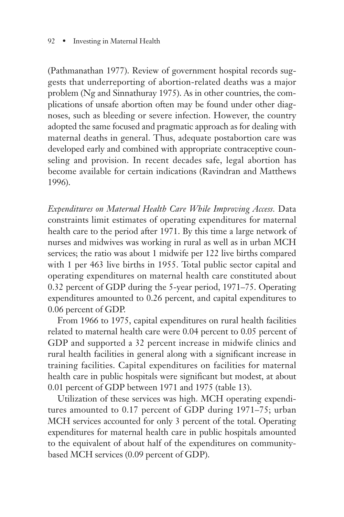#### 92 • Investing in Maternal Health

(Pathmanathan 1977). Review of government hospital records suggests that underreporting of abortion-related deaths was a major problem (Ng and Sinnathuray 1975). As in other countries, the complications of unsafe abortion often may be found under other diagnoses, such as bleeding or severe infection. However, the country adopted the same focused and pragmatic approach as for dealing with maternal deaths in general. Thus, adequate postabortion care was developed early and combined with appropriate contraceptive counseling and provision. In recent decades safe, legal abortion has become available for certain indications (Ravindran and Matthews 1996).

*Expenditures on Maternal Health Care While Improving Access.* Data constraints limit estimates of operating expenditures for maternal health care to the period after 1971. By this time a large network of nurses and midwives was working in rural as well as in urban MCH services; the ratio was about 1 midwife per 122 live births compared with 1 per 463 live births in 1955. Total public sector capital and operating expenditures on maternal health care constituted about 0.32 percent of GDP during the 5-year period, 1971–75. Operating expenditures amounted to 0.26 percent, and capital expenditures to 0.06 percent of GDP.

From 1966 to 1975, capital expenditures on rural health facilities related to maternal health care were 0.04 percent to 0.05 percent of GDP and supported a 32 percent increase in midwife clinics and rural health facilities in general along with a significant increase in training facilities. Capital expenditures on facilities for maternal health care in public hospitals were significant but modest, at about 0.01 percent of GDP between 1971 and 1975 (table 13).

Utilization of these services was high. MCH operating expenditures amounted to 0.17 percent of GDP during 1971–75; urban MCH services accounted for only 3 percent of the total. Operating expenditures for maternal health care in public hospitals amounted to the equivalent of about half of the expenditures on communitybased MCH services (0.09 percent of GDP).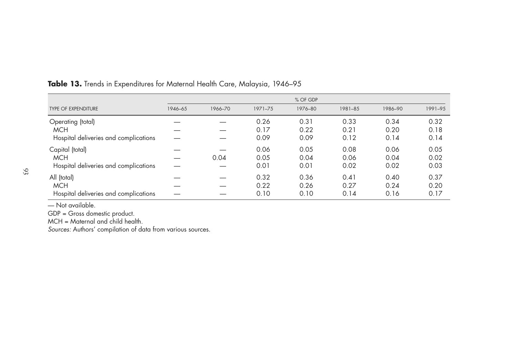|                                       |         |         |             | % OF GDP |         |         |         |
|---------------------------------------|---------|---------|-------------|----------|---------|---------|---------|
| <b>TYPE OF EXPENDITURE</b>            | 1946-65 | 1966-70 | $1971 - 75$ | 1976-80  | 1981-85 | 1986-90 | 1991-95 |
| Operating (total)                     |         |         | 0.26        | 0.31     | 0.33    | 0.34    | 0.32    |
| <b>MCH</b>                            |         |         | 0.17        | 0.22     | 0.21    | 0.20    | 0.18    |
| Hospital deliveries and complications |         |         | 0.09        | 0.09     | 0.12    | 0.14    | 0.14    |
| Capital (total)                       |         |         | 0.06        | 0.05     | 0.08    | 0.06    | 0.05    |
| <b>MCH</b>                            |         | 0.04    | 0.05        | 0.04     | 0.06    | 0.04    | 0.02    |
| Hospital deliveries and complications |         |         | 0.01        | 0.01     | 0.02    | 0.02    | 0.03    |
| All (total)                           |         |         | 0.32        | 0.36     | 0.41    | 0.40    | 0.37    |
| <b>MCH</b>                            |         |         | 0.22        | 0.26     | 0.27    | 0.24    | 0.20    |
| Hospital deliveries and complications |         |         | 0.10        | 0.10     | 0.14    | 0.16    | 0.17    |

#### **Table 13.** Trends in Expenditures for Maternal Health Care, Malaysia, 1946–95

— Not available.

GDP = Gross domestic product.

MCH = Maternal and child health.

*Sources:* Authors' compilation of data from various sources.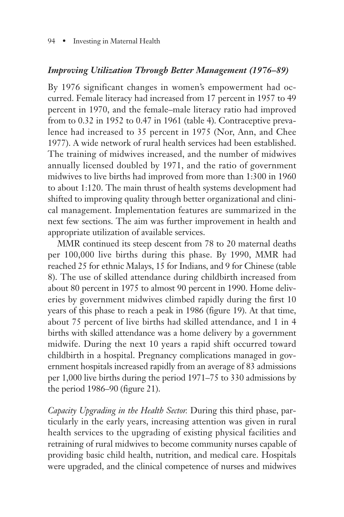94 • Investing in Maternal Health

### *Improving Utilization Through Better Management (1976–89)*

By 1976 significant changes in women's empowerment had occurred. Female literacy had increased from 17 percent in 1957 to 49 percent in 1970, and the female–male literacy ratio had improved from to 0.32 in 1952 to 0.47 in 1961 (table 4). Contraceptive prevalence had increased to 35 percent in 1975 (Nor, Ann, and Chee 1977). A wide network of rural health services had been established. The training of midwives increased, and the number of midwives annually licensed doubled by 1971, and the ratio of government midwives to live births had improved from more than 1:300 in 1960 to about 1:120. The main thrust of health systems development had shifted to improving quality through better organizational and clinical management. Implementation features are summarized in the next few sections. The aim was further improvement in health and appropriate utilization of available services.

MMR continued its steep descent from 78 to 20 maternal deaths per 100,000 live births during this phase. By 1990, MMR had reached 25 for ethnic Malays, 15 for Indians, and 9 for Chinese (table 8). The use of skilled attendance during childbirth increased from about 80 percent in 1975 to almost 90 percent in 1990. Home deliveries by government midwives climbed rapidly during the first 10 years of this phase to reach a peak in 1986 (figure 19). At that time, about 75 percent of live births had skilled attendance, and 1 in 4 births with skilled attendance was a home delivery by a government midwife. During the next 10 years a rapid shift occurred toward childbirth in a hospital. Pregnancy complications managed in government hospitals increased rapidly from an average of 83 admissions per 1,000 live births during the period 1971–75 to 330 admissions by the period 1986–90 (figure 21).

*Capacity Upgrading in the Health Sector.* During this third phase, particularly in the early years, increasing attention was given in rural health services to the upgrading of existing physical facilities and retraining of rural midwives to become community nurses capable of providing basic child health, nutrition, and medical care. Hospitals were upgraded, and the clinical competence of nurses and midwives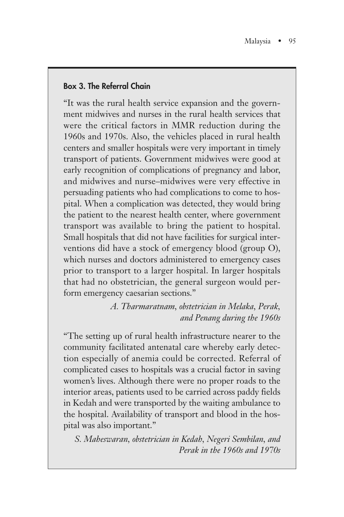## **Box 3. The Referral Chain**

"It was the rural health service expansion and the government midwives and nurses in the rural health services that were the critical factors in MMR reduction during the 1960s and 1970s. Also, the vehicles placed in rural health centers and smaller hospitals were very important in timely transport of patients. Government midwives were good at early recognition of complications of pregnancy and labor, and midwives and nurse–midwives were very effective in persuading patients who had complications to come to hospital. When a complication was detected, they would bring the patient to the nearest health center, where government transport was available to bring the patient to hospital. Small hospitals that did not have facilities for surgical interventions did have a stock of emergency blood (group O), which nurses and doctors administered to emergency cases prior to transport to a larger hospital. In larger hospitals that had no obstetrician, the general surgeon would perform emergency caesarian sections."

> *A. Tharmaratnam, obstetrician in Melaka, Perak, and Penang during the 1960s*

"The setting up of rural health infrastructure nearer to the community facilitated antenatal care whereby early detection especially of anemia could be corrected. Referral of complicated cases to hospitals was a crucial factor in saving women's lives. Although there were no proper roads to the interior areas, patients used to be carried across paddy fields in Kedah and were transported by the waiting ambulance to the hospital. Availability of transport and blood in the hospital was also important."

*S. Maheswaran, obstetrician in Kedah, Negeri Sembilan, and Perak in the 1960s and 1970s*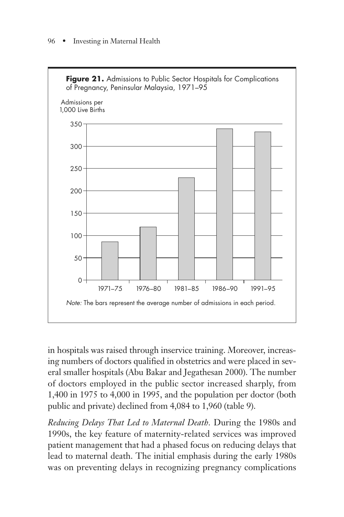

in hospitals was raised through inservice training. Moreover, increasing numbers of doctors qualified in obstetrics and were placed in several smaller hospitals (Abu Bakar and Jegathesan 2000). The number of doctors employed in the public sector increased sharply, from 1,400 in 1975 to 4,000 in 1995, and the population per doctor (both public and private) declined from 4,084 to 1,960 (table 9).

*Reducing Delays That Led to Maternal Death.* During the 1980s and 1990s, the key feature of maternity-related services was improved patient management that had a phased focus on reducing delays that lead to maternal death. The initial emphasis during the early 1980s was on preventing delays in recognizing pregnancy complications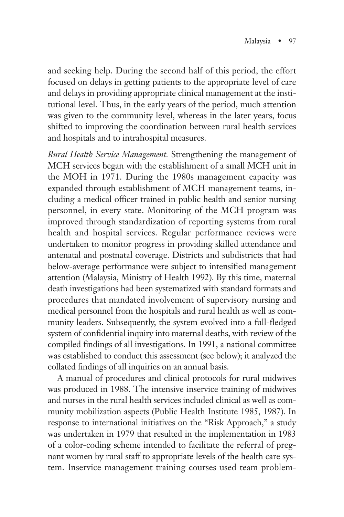and seeking help. During the second half of this period, the effort focused on delays in getting patients to the appropriate level of care and delays in providing appropriate clinical management at the institutional level. Thus, in the early years of the period, much attention was given to the community level, whereas in the later years, focus shifted to improving the coordination between rural health services and hospitals and to intrahospital measures.

*Rural Health Service Management.* Strengthening the management of MCH services began with the establishment of a small MCH unit in the MOH in 1971. During the 1980s management capacity was expanded through establishment of MCH management teams, including a medical officer trained in public health and senior nursing personnel, in every state. Monitoring of the MCH program was improved through standardization of reporting systems from rural health and hospital services. Regular performance reviews were undertaken to monitor progress in providing skilled attendance and antenatal and postnatal coverage. Districts and subdistricts that had below-average performance were subject to intensified management attention (Malaysia, Ministry of Health 1992). By this time, maternal death investigations had been systematized with standard formats and procedures that mandated involvement of supervisory nursing and medical personnel from the hospitals and rural health as well as community leaders. Subsequently, the system evolved into a full-fledged system of confidential inquiry into maternal deaths, with review of the compiled findings of all investigations. In 1991, a national committee was established to conduct this assessment (see below); it analyzed the collated findings of all inquiries on an annual basis.

A manual of procedures and clinical protocols for rural midwives was produced in 1988. The intensive inservice training of midwives and nurses in the rural health services included clinical as well as community mobilization aspects (Public Health Institute 1985, 1987). In response to international initiatives on the "Risk Approach," a study was undertaken in 1979 that resulted in the implementation in 1983 of a color-coding scheme intended to facilitate the referral of pregnant women by rural staff to appropriate levels of the health care system. Inservice management training courses used team problem-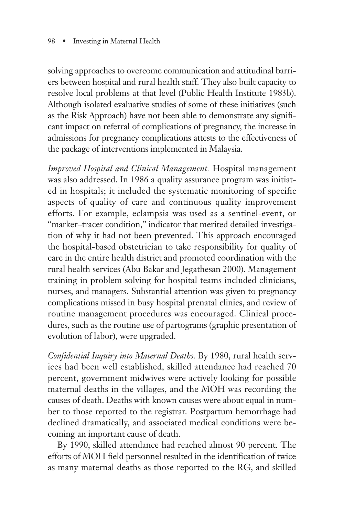#### 98 • Investing in Maternal Health

solving approaches to overcome communication and attitudinal barriers between hospital and rural health staff. They also built capacity to resolve local problems at that level (Public Health Institute 1983b). Although isolated evaluative studies of some of these initiatives (such as the Risk Approach) have not been able to demonstrate any significant impact on referral of complications of pregnancy, the increase in admissions for pregnancy complications attests to the effectiveness of the package of interventions implemented in Malaysia.

*Improved Hospital and Clinical Management.* Hospital management was also addressed. In 1986 a quality assurance program was initiated in hospitals; it included the systematic monitoring of specific aspects of quality of care and continuous quality improvement efforts. For example, eclampsia was used as a sentinel-event, or "marker–tracer condition," indicator that merited detailed investigation of why it had not been prevented. This approach encouraged the hospital-based obstetrician to take responsibility for quality of care in the entire health district and promoted coordination with the rural health services (Abu Bakar and Jegathesan 2000). Management training in problem solving for hospital teams included clinicians, nurses, and managers. Substantial attention was given to pregnancy complications missed in busy hospital prenatal clinics, and review of routine management procedures was encouraged. Clinical procedures, such as the routine use of partograms (graphic presentation of evolution of labor), were upgraded.

*Confidential Inquiry into Maternal Deaths.* By 1980, rural health services had been well established, skilled attendance had reached 70 percent, government midwives were actively looking for possible maternal deaths in the villages, and the MOH was recording the causes of death. Deaths with known causes were about equal in number to those reported to the registrar. Postpartum hemorrhage had declined dramatically, and associated medical conditions were becoming an important cause of death.

By 1990, skilled attendance had reached almost 90 percent. The efforts of MOH field personnel resulted in the identification of twice as many maternal deaths as those reported to the RG, and skilled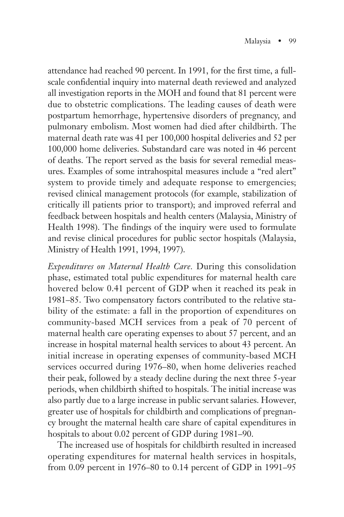attendance had reached 90 percent. In 1991, for the first time, a fullscale confidential inquiry into maternal death reviewed and analyzed all investigation reports in the MOH and found that 81 percent were due to obstetric complications. The leading causes of death were postpartum hemorrhage, hypertensive disorders of pregnancy, and pulmonary embolism. Most women had died after childbirth. The maternal death rate was 41 per 100,000 hospital deliveries and 52 per 100,000 home deliveries. Substandard care was noted in 46 percent of deaths. The report served as the basis for several remedial measures. Examples of some intrahospital measures include a "red alert" system to provide timely and adequate response to emergencies; revised clinical management protocols (for example, stabilization of critically ill patients prior to transport); and improved referral and feedback between hospitals and health centers (Malaysia, Ministry of Health 1998). The findings of the inquiry were used to formulate and revise clinical procedures for public sector hospitals (Malaysia, Ministry of Health 1991, 1994, 1997).

*Expenditures on Maternal Health Care.* During this consolidation phase, estimated total public expenditures for maternal health care hovered below 0.41 percent of GDP when it reached its peak in 1981–85. Two compensatory factors contributed to the relative stability of the estimate: a fall in the proportion of expenditures on community-based MCH services from a peak of 70 percent of maternal health care operating expenses to about 57 percent, and an increase in hospital maternal health services to about 43 percent. An initial increase in operating expenses of community-based MCH services occurred during 1976–80, when home deliveries reached their peak, followed by a steady decline during the next three 5-year periods, when childbirth shifted to hospitals. The initial increase was also partly due to a large increase in public servant salaries. However, greater use of hospitals for childbirth and complications of pregnancy brought the maternal health care share of capital expenditures in hospitals to about 0.02 percent of GDP during 1981–90.

The increased use of hospitals for childbirth resulted in increased operating expenditures for maternal health services in hospitals, from 0.09 percent in 1976–80 to 0.14 percent of GDP in 1991–95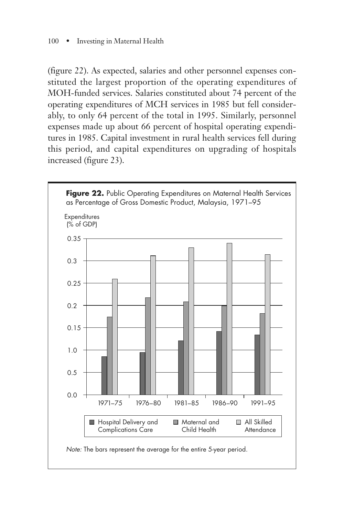#### 100 • Investing in Maternal Health

(figure 22). As expected, salaries and other personnel expenses constituted the largest proportion of the operating expenditures of MOH-funded services. Salaries constituted about 74 percent of the operating expenditures of MCH services in 1985 but fell considerably, to only 64 percent of the total in 1995. Similarly, personnel expenses made up about 66 percent of hospital operating expenditures in 1985. Capital investment in rural health services fell during this period, and capital expenditures on upgrading of hospitals increased (figure 23).

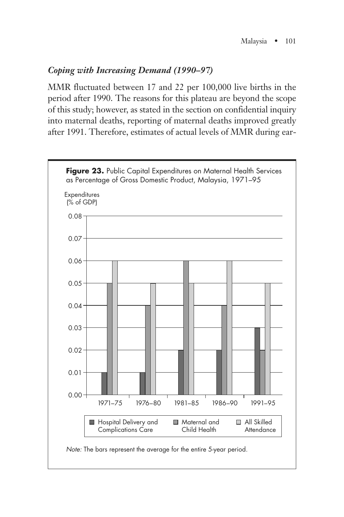# *Coping with Increasing Demand (1990–97)*

MMR fluctuated between 17 and 22 per 100,000 live births in the period after 1990. The reasons for this plateau are beyond the scope of this study; however, as stated in the section on confidential inquiry into maternal deaths, reporting of maternal deaths improved greatly after 1991. Therefore, estimates of actual levels of MMR during ear-

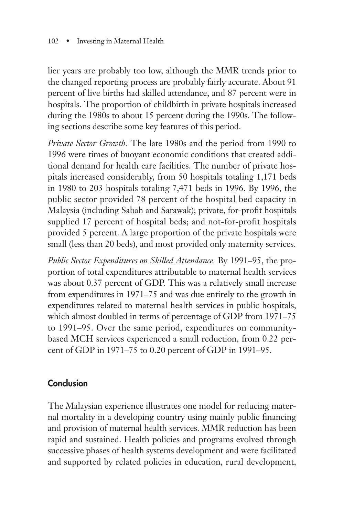lier years are probably too low, although the MMR trends prior to the changed reporting process are probably fairly accurate. About 91 percent of live births had skilled attendance, and 87 percent were in hospitals. The proportion of childbirth in private hospitals increased during the 1980s to about 15 percent during the 1990s. The following sections describe some key features of this period.

*Private Sector Growth.* The late 1980s and the period from 1990 to 1996 were times of buoyant economic conditions that created additional demand for health care facilities. The number of private hospitals increased considerably, from 50 hospitals totaling 1,171 beds in 1980 to 203 hospitals totaling 7,471 beds in 1996. By 1996, the public sector provided 78 percent of the hospital bed capacity in Malaysia (including Sabah and Sarawak); private, for-profit hospitals supplied 17 percent of hospital beds; and not-for-profit hospitals provided 5 percent. A large proportion of the private hospitals were small (less than 20 beds), and most provided only maternity services.

*Public Sector Expenditures on Skilled Attendance.* By 1991–95, the proportion of total expenditures attributable to maternal health services was about 0.37 percent of GDP. This was a relatively small increase from expenditures in 1971–75 and was due entirely to the growth in expenditures related to maternal health services in public hospitals, which almost doubled in terms of percentage of GDP from 1971–75 to 1991–95. Over the same period, expenditures on communitybased MCH services experienced a small reduction, from 0.22 percent of GDP in 1971–75 to 0.20 percent of GDP in 1991–95.

# **Conclusion**

The Malaysian experience illustrates one model for reducing maternal mortality in a developing country using mainly public financing and provision of maternal health services. MMR reduction has been rapid and sustained. Health policies and programs evolved through successive phases of health systems development and were facilitated and supported by related policies in education, rural development,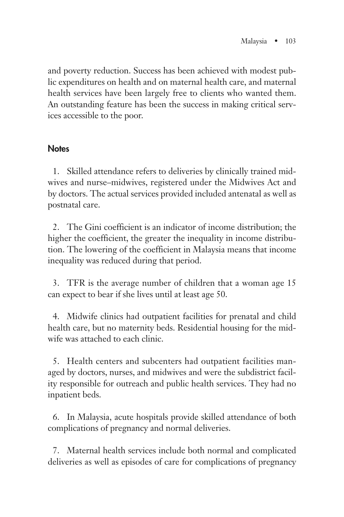and poverty reduction. Success has been achieved with modest public expenditures on health and on maternal health care, and maternal health services have been largely free to clients who wanted them. An outstanding feature has been the success in making critical services accessible to the poor.

## **Notes**

1. Skilled attendance refers to deliveries by clinically trained midwives and nurse–midwives, registered under the Midwives Act and by doctors. The actual services provided included antenatal as well as postnatal care.

2. The Gini coefficient is an indicator of income distribution; the higher the coefficient, the greater the inequality in income distribution. The lowering of the coefficient in Malaysia means that income inequality was reduced during that period.

3. TFR is the average number of children that a woman age 15 can expect to bear if she lives until at least age 50.

4. Midwife clinics had outpatient facilities for prenatal and child health care, but no maternity beds. Residential housing for the midwife was attached to each clinic.

5. Health centers and subcenters had outpatient facilities managed by doctors, nurses, and midwives and were the subdistrict facility responsible for outreach and public health services. They had no inpatient beds.

6. In Malaysia, acute hospitals provide skilled attendance of both complications of pregnancy and normal deliveries.

7. Maternal health services include both normal and complicated deliveries as well as episodes of care for complications of pregnancy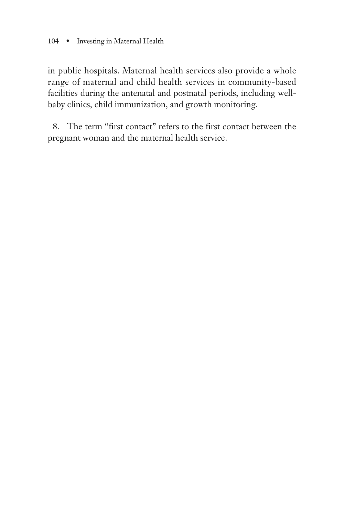in public hospitals. Maternal health services also provide a whole range of maternal and child health services in community-based facilities during the antenatal and postnatal periods, including wellbaby clinics, child immunization, and growth monitoring.

8. The term "first contact" refers to the first contact between the pregnant woman and the maternal health service.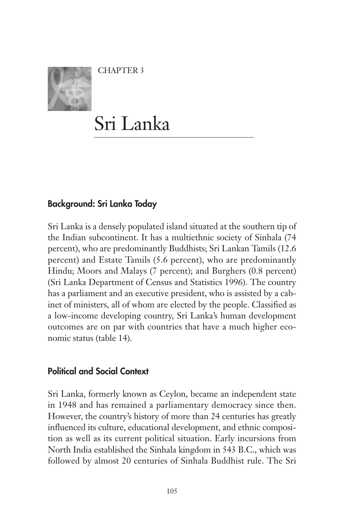CHAPTER 3



# Sri Lanka

# **Background: Sri Lanka Today**

Sri Lanka is a densely populated island situated at the southern tip of the Indian subcontinent. It has a multiethnic society of Sinhala (74 percent), who are predominantly Buddhists; Sri Lankan Tamils (12.6 percent) and Estate Tamils (5.6 percent), who are predominantly Hindu; Moors and Malays (7 percent); and Burghers (0.8 percent) (Sri Lanka Department of Census and Statistics 1996). The country has a parliament and an executive president, who is assisted by a cabinet of ministers, all of whom are elected by the people. Classified as a low-income developing country, Sri Lanka's human development outcomes are on par with countries that have a much higher economic status (table 14).

# **Political and Social Context**

Sri Lanka, formerly known as Ceylon, became an independent state in 1948 and has remained a parliamentary democracy since then. However, the country's history of more than 24 centuries has greatly influenced its culture, educational development, and ethnic composition as well as its current political situation. Early incursions from North India established the Sinhala kingdom in 543 B.C., which was followed by almost 20 centuries of Sinhala Buddhist rule. The Sri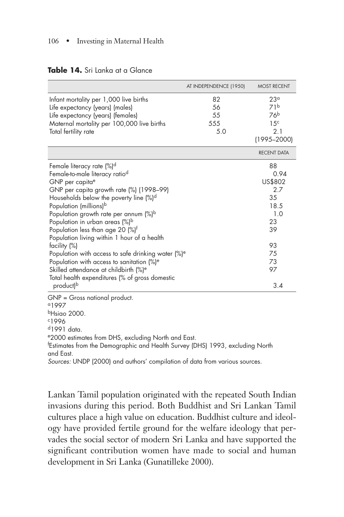| Table 14. Sri Lanka at a Glance |  |  |  |
|---------------------------------|--|--|--|
|---------------------------------|--|--|--|

|                                                                                                                                                                                                                                                                                                                                                                                                                                                                                                                                                                                                                                                                                                                                  | AT INDEPENDENCE (1950)       | <b>MOST RECENT</b>                                                                           |
|----------------------------------------------------------------------------------------------------------------------------------------------------------------------------------------------------------------------------------------------------------------------------------------------------------------------------------------------------------------------------------------------------------------------------------------------------------------------------------------------------------------------------------------------------------------------------------------------------------------------------------------------------------------------------------------------------------------------------------|------------------------------|----------------------------------------------------------------------------------------------|
| Infant mortality per 1,000 live births<br>Life expectancy (years) (males)<br>Life expectancy (years) (females)<br>Maternal mortality per 100,000 live births<br>Total fertility rate                                                                                                                                                                                                                                                                                                                                                                                                                                                                                                                                             | 82<br>56<br>55<br>555<br>5.0 | 23 <sup>°</sup><br>71b<br>76 <sup>b</sup><br>15 <sup>c</sup><br>2.1<br>$(1995 - 2000)$       |
|                                                                                                                                                                                                                                                                                                                                                                                                                                                                                                                                                                                                                                                                                                                                  |                              | <b>RECENT DATA</b>                                                                           |
| Female literacy rate (%) <sup>d</sup><br>Female-to-male literacy ratiod<br>GNP per capita <sup>e</sup><br>GNP per capita growth rate (%) (1998-99)<br>Households below the poverty line (%) <sup>d</sup><br>Population (millions) <sup>b</sup><br>Population growth rate per annum (%) <sup>b</sup><br>Population in urban areas (%) <sup>b</sup><br>Population less than age 20 (%) <sup>f</sup><br>Population living within 1 hour of a health<br>facility (%)<br>Population with access to safe drinking water $\lbrack % \rbrack^e$<br>Population with access to sanitation (%) <sup>e</sup><br>Skilled attendance at childbirth (%) <sup>e</sup><br>Total health expenditures (% of gross domestic<br>product) <sup>b</sup> |                              | 88<br>0.94<br>US\$802<br>2.7<br>35<br>18.5<br>1.0<br>23<br>39<br>93<br>75<br>73<br>97<br>3.4 |
| GNP = Gross national product.<br>$q$ ] 997<br>bHsiao 2000.<br>c1996<br>$d$ 1991 data.<br>e2000 estimates from DHS, excluding North and East.                                                                                                                                                                                                                                                                                                                                                                                                                                                                                                                                                                                     |                              |                                                                                              |

f Estimates from the Demographic and Health Survey (DHS) 1993, excluding North and East.

*Sources:* UNDP (2000) and authors' compilation of data from various sources.

Lankan Tamil population originated with the repeated South Indian invasions during this period. Both Buddhist and Sri Lankan Tamil cultures place a high value on education. Buddhist culture and ideology have provided fertile ground for the welfare ideology that pervades the social sector of modern Sri Lanka and have supported the significant contribution women have made to social and human development in Sri Lanka (Gunatilleke 2000).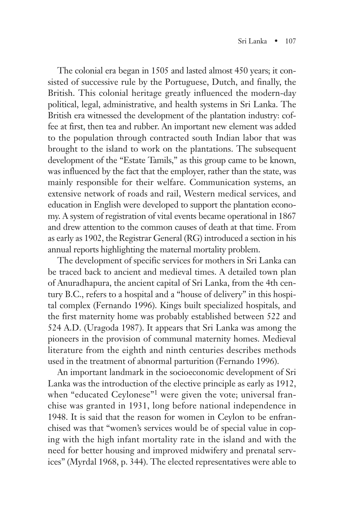The colonial era began in 1505 and lasted almost 450 years; it consisted of successive rule by the Portuguese, Dutch, and finally, the British. This colonial heritage greatly influenced the modern-day political, legal, administrative, and health systems in Sri Lanka. The British era witnessed the development of the plantation industry: coffee at first, then tea and rubber. An important new element was added to the population through contracted south Indian labor that was brought to the island to work on the plantations. The subsequent development of the "Estate Tamils," as this group came to be known, was influenced by the fact that the employer, rather than the state, was mainly responsible for their welfare. Communication systems, an extensive network of roads and rail, Western medical services, and education in English were developed to support the plantation economy. A system of registration of vital events became operational in 1867 and drew attention to the common causes of death at that time. From as early as 1902, the Registrar General (RG) introduced a section in his annual reports highlighting the maternal mortality problem.

The development of specific services for mothers in Sri Lanka can be traced back to ancient and medieval times. A detailed town plan of Anuradhapura, the ancient capital of Sri Lanka, from the 4th century B.C., refers to a hospital and a "house of delivery" in this hospital complex (Fernando 1996). Kings built specialized hospitals, and the first maternity home was probably established between 522 and 524 A.D. (Uragoda 1987). It appears that Sri Lanka was among the pioneers in the provision of communal maternity homes. Medieval literature from the eighth and ninth centuries describes methods used in the treatment of abnormal parturition (Fernando 1996).

An important landmark in the socioeconomic development of Sri Lanka was the introduction of the elective principle as early as 1912, when "educated Ceylonese"<sup>1</sup> were given the vote; universal franchise was granted in 1931, long before national independence in 1948. It is said that the reason for women in Ceylon to be enfranchised was that "women's services would be of special value in coping with the high infant mortality rate in the island and with the need for better housing and improved midwifery and prenatal services" (Myrdal 1968, p. 344). The elected representatives were able to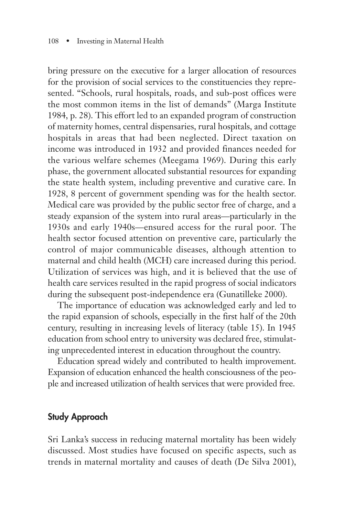bring pressure on the executive for a larger allocation of resources for the provision of social services to the constituencies they represented. "Schools, rural hospitals, roads, and sub-post offices were the most common items in the list of demands" (Marga Institute 1984, p. 28). This effort led to an expanded program of construction of maternity homes, central dispensaries, rural hospitals, and cottage hospitals in areas that had been neglected. Direct taxation on income was introduced in 1932 and provided finances needed for the various welfare schemes (Meegama 1969). During this early phase, the government allocated substantial resources for expanding the state health system, including preventive and curative care. In 1928, 8 percent of government spending was for the health sector. Medical care was provided by the public sector free of charge, and a steady expansion of the system into rural areas—particularly in the 1930s and early 1940s—ensured access for the rural poor. The health sector focused attention on preventive care, particularly the control of major communicable diseases, although attention to maternal and child health (MCH) care increased during this period. Utilization of services was high, and it is believed that the use of health care services resulted in the rapid progress of social indicators during the subsequent post-independence era (Gunatilleke 2000).

The importance of education was acknowledged early and led to the rapid expansion of schools, especially in the first half of the 20th century, resulting in increasing levels of literacy (table 15). In 1945 education from school entry to university was declared free, stimulating unprecedented interest in education throughout the country.

Education spread widely and contributed to health improvement. Expansion of education enhanced the health consciousness of the people and increased utilization of health services that were provided free.

## **Study Approach**

Sri Lanka's success in reducing maternal mortality has been widely discussed. Most studies have focused on specific aspects, such as trends in maternal mortality and causes of death (De Silva 2001),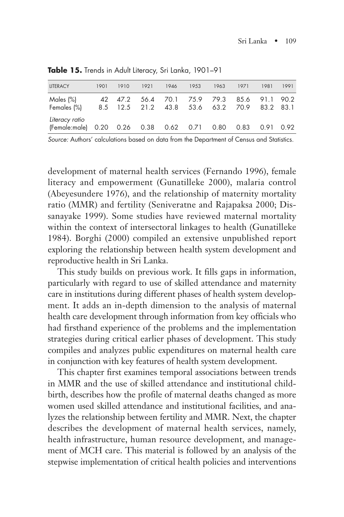| <b>LITERACY</b>                                               | 1901 | 1910 | 1921                                                                       | 1946 | 1953 | 1963 | 1971 | 1981      | 1991      |
|---------------------------------------------------------------|------|------|----------------------------------------------------------------------------|------|------|------|------|-----------|-----------|
| Males (%)<br>Females (%)                                      |      |      | 42 47.2 56.4 70.1 75.9 79.3<br>8.5 12.5 21.2 43.8 53.6 63.2 70.9 83.2 83.1 |      |      |      | 85.6 |           | 91.1 90.2 |
| Literacy ratio<br>(Female:male) 0.20 0.26 0.38 0.62 0.71 0.80 |      |      |                                                                            |      |      |      | 0.83 | 0.91 0.92 |           |

**Table 15.** Trends in Adult Literacy, Sri Lanka, 1901–91

*Source:* Authors' calculations based on data from the Department of Census and Statistics.

development of maternal health services (Fernando 1996), female literacy and empowerment (Gunatilleke 2000), malaria control (Abeyesundere 1976), and the relationship of maternity mortality ratio (MMR) and fertility (Seniveratne and Rajapaksa 2000; Dissanayake 1999). Some studies have reviewed maternal mortality within the context of intersectoral linkages to health (Gunatilleke 1984). Borghi (2000) compiled an extensive unpublished report exploring the relationship between health system development and reproductive health in Sri Lanka.

This study builds on previous work. It fills gaps in information, particularly with regard to use of skilled attendance and maternity care in institutions during different phases of health system development. It adds an in-depth dimension to the analysis of maternal health care development through information from key officials who had firsthand experience of the problems and the implementation strategies during critical earlier phases of development. This study compiles and analyzes public expenditures on maternal health care in conjunction with key features of health system development.

This chapter first examines temporal associations between trends in MMR and the use of skilled attendance and institutional childbirth, describes how the profile of maternal deaths changed as more women used skilled attendance and institutional facilities, and analyzes the relationship between fertility and MMR. Next, the chapter describes the development of maternal health services, namely, health infrastructure, human resource development, and management of MCH care. This material is followed by an analysis of the stepwise implementation of critical health policies and interventions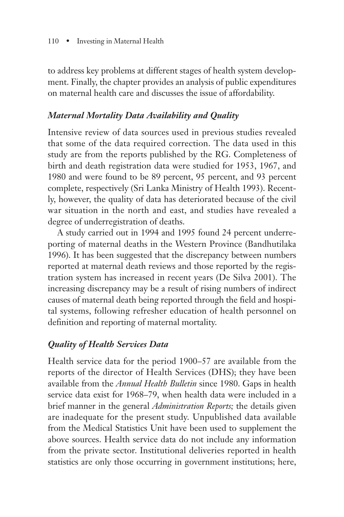to address key problems at different stages of health system development. Finally, the chapter provides an analysis of public expenditures on maternal health care and discusses the issue of affordability.

## *Maternal Mortality Data Availability and Quality*

Intensive review of data sources used in previous studies revealed that some of the data required correction. The data used in this study are from the reports published by the RG. Completeness of birth and death registration data were studied for 1953, 1967, and 1980 and were found to be 89 percent, 95 percent, and 93 percent complete, respectively (Sri Lanka Ministry of Health 1993). Recently, however, the quality of data has deteriorated because of the civil war situation in the north and east, and studies have revealed a degree of underregistration of deaths.

A study carried out in 1994 and 1995 found 24 percent underreporting of maternal deaths in the Western Province (Bandhutilaka 1996). It has been suggested that the discrepancy between numbers reported at maternal death reviews and those reported by the registration system has increased in recent years (De Silva 2001). The increasing discrepancy may be a result of rising numbers of indirect causes of maternal death being reported through the field and hospital systems, following refresher education of health personnel on definition and reporting of maternal mortality.

# *Quality of Health Services Data*

Health service data for the period 1900–57 are available from the reports of the director of Health Services (DHS); they have been available from the *Annual Health Bulletin* since 1980. Gaps in health service data exist for 1968–79, when health data were included in a brief manner in the general *Administration Reports;* the details given are inadequate for the present study. Unpublished data available from the Medical Statistics Unit have been used to supplement the above sources. Health service data do not include any information from the private sector. Institutional deliveries reported in health statistics are only those occurring in government institutions; here,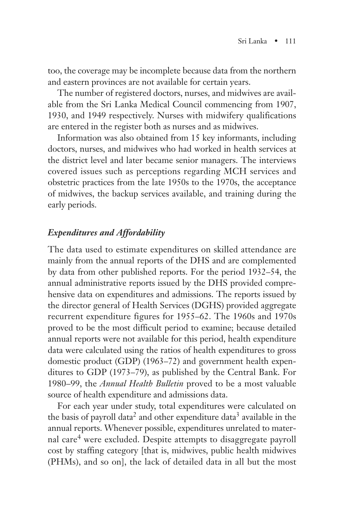too, the coverage may be incomplete because data from the northern and eastern provinces are not available for certain years.

The number of registered doctors, nurses, and midwives are available from the Sri Lanka Medical Council commencing from 1907, 1930, and 1949 respectively. Nurses with midwifery qualifications are entered in the register both as nurses and as midwives.

Information was also obtained from 15 key informants, including doctors, nurses, and midwives who had worked in health services at the district level and later became senior managers. The interviews covered issues such as perceptions regarding MCH services and obstetric practices from the late 1950s to the 1970s, the acceptance of midwives, the backup services available, and training during the early periods.

## *Expenditures and Affordability*

The data used to estimate expenditures on skilled attendance are mainly from the annual reports of the DHS and are complemented by data from other published reports. For the period 1932–54, the annual administrative reports issued by the DHS provided comprehensive data on expenditures and admissions. The reports issued by the director general of Health Services (DGHS) provided aggregate recurrent expenditure figures for 1955–62. The 1960s and 1970s proved to be the most difficult period to examine; because detailed annual reports were not available for this period, health expenditure data were calculated using the ratios of health expenditures to gross domestic product (GDP) (1963–72) and government health expenditures to GDP (1973–79), as published by the Central Bank. For 1980–99, the *Annual Health Bulletin* proved to be a most valuable source of health expenditure and admissions data.

For each year under study, total expenditures were calculated on the basis of payroll data<sup>2</sup> and other expenditure data<sup>3</sup> available in the annual reports. Whenever possible, expenditures unrelated to maternal care<sup>4</sup> were excluded. Despite attempts to disaggregate payroll cost by staffing category [that is, midwives, public health midwives (PHMs), and so on], the lack of detailed data in all but the most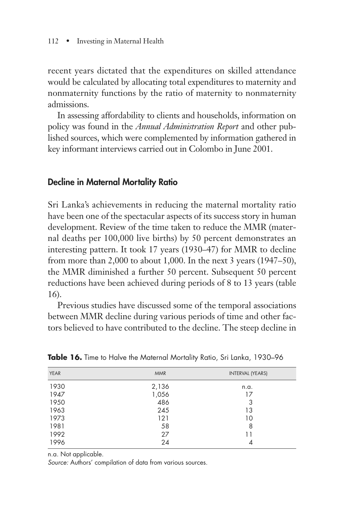#### 112 • Investing in Maternal Health

recent years dictated that the expenditures on skilled attendance would be calculated by allocating total expenditures to maternity and nonmaternity functions by the ratio of maternity to nonmaternity admissions.

In assessing affordability to clients and households, information on policy was found in the *Annual Administration Report* and other published sources, which were complemented by information gathered in key informant interviews carried out in Colombo in June 2001.

#### **Decline in Maternal Mortality Ratio**

Sri Lanka's achievements in reducing the maternal mortality ratio have been one of the spectacular aspects of its success story in human development. Review of the time taken to reduce the MMR (maternal deaths per 100,000 live births) by 50 percent demonstrates an interesting pattern. It took 17 years (1930–47) for MMR to decline from more than 2,000 to about 1,000. In the next 3 years (1947–50), the MMR diminished a further 50 percent. Subsequent 50 percent reductions have been achieved during periods of 8 to 13 years (table 16).

Previous studies have discussed some of the temporal associations between MMR decline during various periods of time and other factors believed to have contributed to the decline. The steep decline in

| <b>YEAR</b> | <b>MMR</b> | <b>INTERVAL (YEARS)</b> |
|-------------|------------|-------------------------|
| 1930        | 2,136      | n.a.                    |
| 1947        | 1,056      | 17                      |
| 1950        | 486        | 3                       |
| 1963        | 245        | 13                      |
| 1973        | 121        | 10                      |
| 1981        | 58         | 8                       |
| 1992        | 27         | 11                      |
| 1996        | 24         |                         |

Table 16. Time to Halve the Maternal Mortality Ratio, Sri Lanka, 1930-96

n.a. Not applicable.

*Source:* Authors' compilation of data from various sources.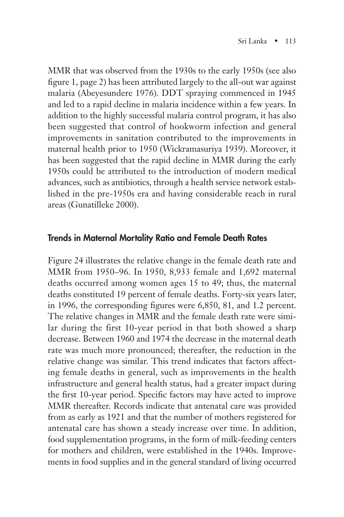MMR that was observed from the 1930s to the early 1950s (see also figure 1, page 2) has been attributed largely to the all-out war against malaria (Abeyesundere 1976). DDT spraying commenced in 1945 and led to a rapid decline in malaria incidence within a few years. In addition to the highly successful malaria control program, it has also been suggested that control of hookworm infection and general improvements in sanitation contributed to the improvements in maternal health prior to 1950 (Wickramasuriya 1939). Moreover, it has been suggested that the rapid decline in MMR during the early 1950s could be attributed to the introduction of modern medical advances, such as antibiotics, through a health service network established in the pre-1950s era and having considerable reach in rural areas (Gunatilleke 2000).

## **Trends in Maternal Mortality Ratio and Female Death Rates**

Figure 24 illustrates the relative change in the female death rate and MMR from 1950–96. In 1950, 8,933 female and 1,692 maternal deaths occurred among women ages 15 to 49; thus, the maternal deaths constituted 19 percent of female deaths. Forty-six years later, in 1996, the corresponding figures were 6,850, 81, and 1.2 percent. The relative changes in MMR and the female death rate were similar during the first 10-year period in that both showed a sharp decrease. Between 1960 and 1974 the decrease in the maternal death rate was much more pronounced; thereafter, the reduction in the relative change was similar. This trend indicates that factors affecting female deaths in general, such as improvements in the health infrastructure and general health status, had a greater impact during the first 10-year period. Specific factors may have acted to improve MMR thereafter. Records indicate that antenatal care was provided from as early as 1921 and that the number of mothers registered for antenatal care has shown a steady increase over time. In addition, food supplementation programs, in the form of milk-feeding centers for mothers and children, were established in the 1940s. Improvements in food supplies and in the general standard of living occurred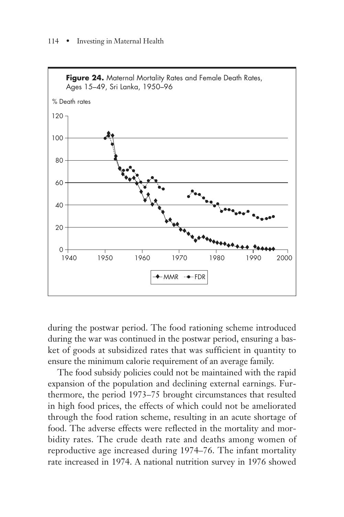

during the postwar period. The food rationing scheme introduced during the war was continued in the postwar period, ensuring a basket of goods at subsidized rates that was sufficient in quantity to ensure the minimum calorie requirement of an average family.

The food subsidy policies could not be maintained with the rapid expansion of the population and declining external earnings. Furthermore, the period 1973–75 brought circumstances that resulted in high food prices, the effects of which could not be ameliorated through the food ration scheme, resulting in an acute shortage of food. The adverse effects were reflected in the mortality and morbidity rates. The crude death rate and deaths among women of reproductive age increased during 1974–76. The infant mortality rate increased in 1974. A national nutrition survey in 1976 showed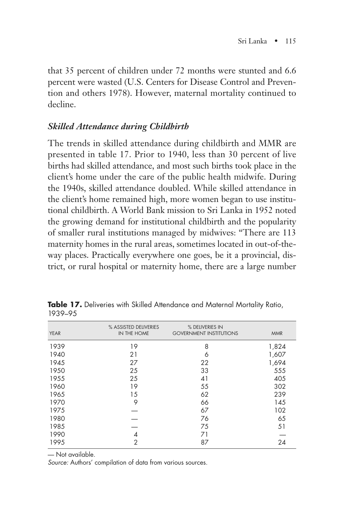that 35 percent of children under 72 months were stunted and 6.6 percent were wasted (U.S. Centers for Disease Control and Prevention and others 1978). However, maternal mortality continued to decline.

## *Skilled Attendance during Childbirth*

The trends in skilled attendance during childbirth and MMR are presented in table 17. Prior to 1940, less than 30 percent of live births had skilled attendance, and most such births took place in the client's home under the care of the public health midwife. During the 1940s, skilled attendance doubled. While skilled attendance in the client's home remained high, more women began to use institutional childbirth. A World Bank mission to Sri Lanka in 1952 noted the growing demand for institutional childbirth and the popularity of smaller rural institutions managed by midwives: "There are 113 maternity homes in the rural areas, sometimes located in out-of-theway places. Practically everywhere one goes, be it a provincial, district, or rural hospital or maternity home, there are a large number

| <b>YEAR</b> | % ASSISTED DELIVERIES<br>IN THE HOME | % DELIVERIES IN<br><b>GOVERNMENT INSTITUTIONS</b> | <b>MMR</b> |
|-------------|--------------------------------------|---------------------------------------------------|------------|
| 1939        | 19                                   | 8                                                 | 1,824      |
| 1940        | 21                                   | 6                                                 | 1,607      |
| 1945        | 27                                   | 22                                                | 1,694      |
| 1950        | 25                                   | 33                                                | 555        |
| 1955        | 25                                   | 41                                                | 405        |
| 1960        | 19                                   | 55                                                | 302        |
| 1965        | 15                                   | 62                                                | 239        |
| 1970        | 9                                    | 66                                                | 145        |
| 1975        |                                      | 67                                                | 102        |
| 1980        |                                      | 76                                                | 65         |
| 1985        |                                      | 75                                                | 51         |
| 1990        | 4                                    | 71                                                |            |
| 1995        | $\overline{2}$                       | 87                                                | 24         |

**Table 17.** Deliveries with Skilled Attendance and Maternal Mortality Ratio, 1939–95

— Not available.

*Source:* Authors' compilation of data from various sources.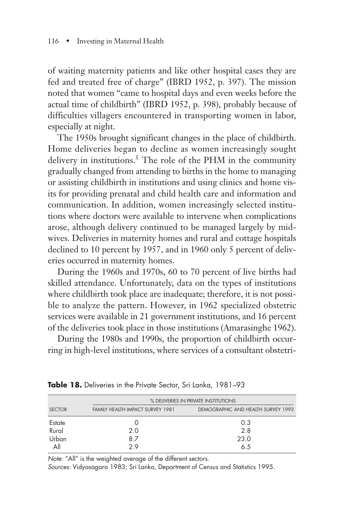of waiting maternity patients and like other hospital cases they are fed and treated free of charge" (IBRD 1952, p. 397). The mission noted that women "came to hospital days and even weeks before the actual time of childbirth" (IBRD 1952, p. 398), probably because of difficulties villagers encountered in transporting women in labor, especially at night.

The 1950s brought significant changes in the place of childbirth. Home deliveries began to decline as women increasingly sought delivery in institutions.<sup>5</sup> The role of the PHM in the community gradually changed from attending to births in the home to managing or assisting childbirth in institutions and using clinics and home visits for providing prenatal and child health care and information and communication. In addition, women increasingly selected institutions where doctors were available to intervene when complications arose, although delivery continued to be managed largely by midwives. Deliveries in maternity homes and rural and cottage hospitals declined to 10 percent by 1957, and in 1960 only 5 percent of deliveries occurred in maternity homes.

During the 1960s and 1970s, 60 to 70 percent of live births had skilled attendance. Unfortunately, data on the types of institutions where childbirth took place are inadequate; therefore, it is not possible to analyze the pattern. However, in 1962 specialized obstetric services were available in 21 government institutions, and 16 percent of the deliveries took place in those institutions (Amarasinghe 1962).

During the 1980s and 1990s, the proportion of childbirth occurring in high-level institutions, where services of a consultant obstetri-

|               |                                         | % DELIVERIES IN PRIVATE INSTITUTIONS |  |  |  |  |  |  |
|---------------|-----------------------------------------|--------------------------------------|--|--|--|--|--|--|
| <b>SECTOR</b> | <b>FAMILY HEALTH IMPACT SURVEY 1981</b> | DEMOGRAPHIC AND HEALTH SURVEY 1993   |  |  |  |  |  |  |
| Estate        |                                         | 0.3                                  |  |  |  |  |  |  |
| Rural         | 2.0                                     | 2.8                                  |  |  |  |  |  |  |
| Urban         | 8.7                                     | 23.0                                 |  |  |  |  |  |  |
|               | 29                                      | 6.5                                  |  |  |  |  |  |  |

**Table 18.** Deliveries in the Private Sector, Sri Lanka, 1981–93

*Note:* "All" is the weighted average of the different sectors.

*Sources:* Vidyasagara 1983; Sri Lanka, Department of Census and Statistics 1995.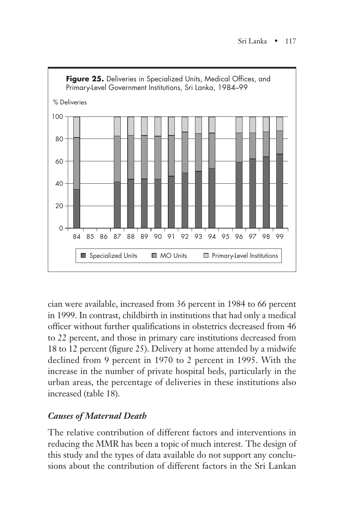

cian were available, increased from 36 percent in 1984 to 66 percent in 1999. In contrast, childbirth in institutions that had only a medical officer without further qualifications in obstetrics decreased from 46 to 22 percent, and those in primary care institutions decreased from 18 to 12 percent (figure 25). Delivery at home attended by a midwife declined from 9 percent in 1970 to 2 percent in 1995. With the increase in the number of private hospital beds, particularly in the urban areas, the percentage of deliveries in these institutions also increased (table 18).

# *Causes of Maternal Death*

The relative contribution of different factors and interventions in reducing the MMR has been a topic of much interest. The design of this study and the types of data available do not support any conclusions about the contribution of different factors in the Sri Lankan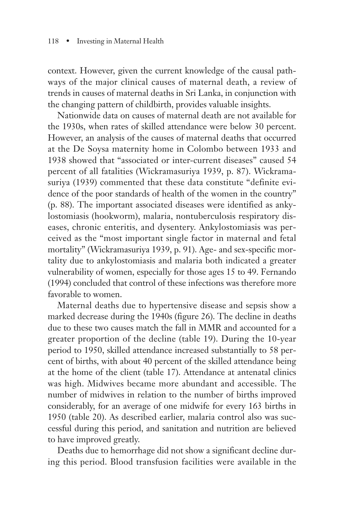context. However, given the current knowledge of the causal pathways of the major clinical causes of maternal death, a review of trends in causes of maternal deaths in Sri Lanka, in conjunction with the changing pattern of childbirth, provides valuable insights.

Nationwide data on causes of maternal death are not available for the 1930s, when rates of skilled attendance were below 30 percent. However, an analysis of the causes of maternal deaths that occurred at the De Soysa maternity home in Colombo between 1933 and 1938 showed that "associated or inter-current diseases" caused 54 percent of all fatalities (Wickramasuriya 1939, p. 87). Wickramasuriya (1939) commented that these data constitute "definite evidence of the poor standards of health of the women in the country" (p. 88). The important associated diseases were identified as ankylostomiasis (hookworm), malaria, nontuberculosis respiratory diseases, chronic enteritis, and dysentery. Ankylostomiasis was perceived as the "most important single factor in maternal and fetal mortality" (Wickramasuriya 1939, p. 91). Age- and sex-specific mortality due to ankylostomiasis and malaria both indicated a greater vulnerability of women, especially for those ages 15 to 49. Fernando (1994) concluded that control of these infections was therefore more favorable to women.

Maternal deaths due to hypertensive disease and sepsis show a marked decrease during the 1940s (figure 26). The decline in deaths due to these two causes match the fall in MMR and accounted for a greater proportion of the decline (table 19). During the 10-year period to 1950, skilled attendance increased substantially to 58 percent of births, with about 40 percent of the skilled attendance being at the home of the client (table 17). Attendance at antenatal clinics was high. Midwives became more abundant and accessible. The number of midwives in relation to the number of births improved considerably, for an average of one midwife for every 163 births in 1950 (table 20). As described earlier, malaria control also was successful during this period, and sanitation and nutrition are believed to have improved greatly.

Deaths due to hemorrhage did not show a significant decline during this period. Blood transfusion facilities were available in the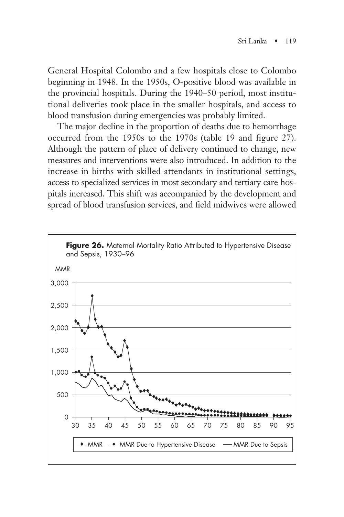General Hospital Colombo and a few hospitals close to Colombo beginning in 1948. In the 1950s, O-positive blood was available in the provincial hospitals. During the 1940–50 period, most institutional deliveries took place in the smaller hospitals, and access to blood transfusion during emergencies was probably limited.

The major decline in the proportion of deaths due to hemorrhage occurred from the 1950s to the 1970s (table 19 and figure 27). Although the pattern of place of delivery continued to change, new measures and interventions were also introduced. In addition to the increase in births with skilled attendants in institutional settings, access to specialized services in most secondary and tertiary care hospitals increased. This shift was accompanied by the development and spread of blood transfusion services, and field midwives were allowed

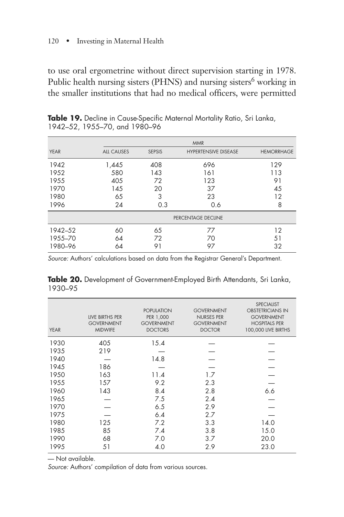#### 120 • Investing in Maternal Health

to use oral ergometrine without direct supervision starting in 1978. Public health nursing sisters (PHNS) and nursing sisters<sup>6</sup> working in the smaller institutions that had no medical officers, were permitted

|             | <b>MMR</b>        |               |                             |                   |  |  |  |
|-------------|-------------------|---------------|-----------------------------|-------------------|--|--|--|
| <b>YEAR</b> | <b>ALL CAUSES</b> | <b>SEPSIS</b> | <b>HYPERTENSIVE DISEASE</b> | <b>HEMORRHAGE</b> |  |  |  |
| 1942        | 1,445             | 408           | 696                         | 129               |  |  |  |
| 1952        | 580               | 143           | 161                         | 113               |  |  |  |
| 1955        | 405               | 72            | 123                         | 91                |  |  |  |
| 1970        | 145               | 20            | 37                          | 45                |  |  |  |
| 1980        | 65                | 3             | 23                          | 12                |  |  |  |
| 1996        | 24                | 0.3           | 0.6                         | 8                 |  |  |  |
|             |                   |               | PERCENTAGE DECLINE          |                   |  |  |  |
| 1942-52     | 60                | 65            | 77                          | 12                |  |  |  |
| 1955-70     | 64                | 72            | 70                          | 51                |  |  |  |
| 1980-96     | 64                | 91            | 97                          | 32                |  |  |  |

**Table 19.** Decline in Cause-Specific Maternal Mortality Ratio, Sri Lanka, 1942–52, 1955–70, and 1980–96

*Source:* Authors' calculations based on data from the Registrar General's Department.

| <b>YEAR</b> | LIVE BIRTHS PER<br><b>GOVERNMENT</b><br><b>MIDWIFE</b> | <b>POPULATION</b><br>PER 1,000<br><b>GOVERNMENT</b><br><b>DOCTORS</b> | <b>GOVERNMENT</b><br><b>NURSES PER</b><br><b>GOVERNMENT</b><br><b>DOCTOR</b> | <b>SPECIALIST</b><br><b>OBSTETRICIANS IN</b><br><b>GOVERNMENT</b><br><b>HOSPITALS PER</b><br>100,000 LIVE BIRTHS |
|-------------|--------------------------------------------------------|-----------------------------------------------------------------------|------------------------------------------------------------------------------|------------------------------------------------------------------------------------------------------------------|
| 1930        | 405                                                    | 15.4                                                                  |                                                                              |                                                                                                                  |
| 1935        | 219                                                    |                                                                       |                                                                              |                                                                                                                  |
| 1940        |                                                        | 14.8                                                                  |                                                                              |                                                                                                                  |
| 1945        | 186                                                    |                                                                       |                                                                              |                                                                                                                  |
| 1950        | 163                                                    | 11.4                                                                  | 1.7                                                                          |                                                                                                                  |
| 1955        | 157                                                    | 9.2                                                                   | 2.3                                                                          |                                                                                                                  |
| 1960        | 143                                                    | 8.4                                                                   | 2.8                                                                          | 6.6                                                                                                              |
| 1965        |                                                        | 7.5                                                                   | 2.4                                                                          |                                                                                                                  |
| 1970        |                                                        | 6.5                                                                   | 2.9                                                                          |                                                                                                                  |
| 1975        |                                                        | 6.4                                                                   | 2.7                                                                          |                                                                                                                  |
| 1980        | 125                                                    | 7.2                                                                   | 3.3                                                                          | 14.0                                                                                                             |
| 1985        | 85                                                     | 7.4                                                                   | 3.8                                                                          | 15.0                                                                                                             |
| 1990        | 68                                                     | 7.0                                                                   | 3.7                                                                          | 20.0                                                                                                             |
| 1995        | 51                                                     | 4.0                                                                   | 2.9                                                                          | 23.0                                                                                                             |
|             |                                                        |                                                                       |                                                                              |                                                                                                                  |

**Table 20.** Development of Government-Employed Birth Attendants, Sri Lanka, 1930–95

— Not available.

*Source:* Authors' compilation of data from various sources.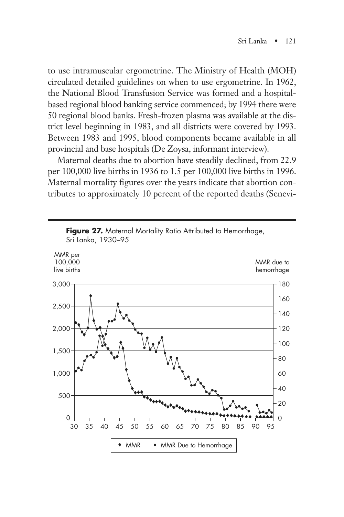to use intramuscular ergometrine. The Ministry of Health (MOH) circulated detailed guidelines on when to use ergometrine. In 1962, the National Blood Transfusion Service was formed and a hospitalbased regional blood banking service commenced; by 1994 there were 50 regional blood banks. Fresh-frozen plasma was available at the district level beginning in 1983, and all districts were covered by 1993. Between 1983 and 1995, blood components became available in all provincial and base hospitals (De Zoysa, informant interview).

Maternal deaths due to abortion have steadily declined, from 22.9 per 100,000 live births in 1936 to 1.5 per 100,000 live births in 1996. Maternal mortality figures over the years indicate that abortion contributes to approximately 10 percent of the reported deaths (Senevi-

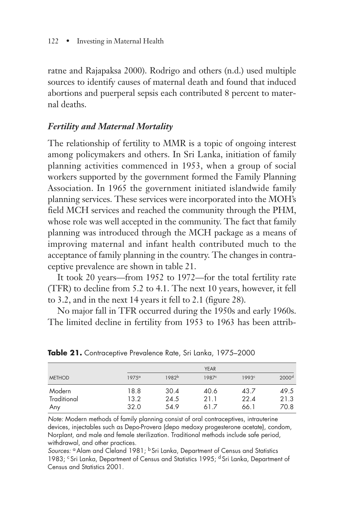ratne and Rajapaksa 2000). Rodrigo and others (n.d.) used multiple sources to identify causes of maternal death and found that induced abortions and puerperal sepsis each contributed 8 percent to maternal deaths.

## *Fertility and Maternal Mortality*

The relationship of fertility to MMR is a topic of ongoing interest among policymakers and others. In Sri Lanka, initiation of family planning activities commenced in 1953, when a group of social workers supported by the government formed the Family Planning Association. In 1965 the government initiated islandwide family planning services. These services were incorporated into the MOH's field MCH services and reached the community through the PHM, whose role was well accepted in the community. The fact that family planning was introduced through the MCH package as a means of improving maternal and infant health contributed much to the acceptance of family planning in the country. The changes in contraceptive prevalence are shown in table 21.

It took 20 years—from 1952 to 1972—for the total fertility rate (TFR) to decline from 5.2 to 4.1. The next 10 years, however, it fell to 3.2, and in the next 14 years it fell to 2.1 (figure 28).

No major fall in TFR occurred during the 1950s and early 1960s. The limited decline in fertility from 1953 to 1963 has been attrib-

|               | <b>YEAR</b>       |       |                   |       |                   |  |  |
|---------------|-------------------|-------|-------------------|-------|-------------------|--|--|
| <b>METHOD</b> | 1975 <sup>a</sup> | 1982b | 1987 <sup>c</sup> | 1993c | 2000 <sup>d</sup> |  |  |
| Modern        | 18.8              | 30.4  | 40.6              | 43.7  | 49.5              |  |  |
| Traditional   | 13.2              | 24.5  | 21.1              | 22.4  | 21.3              |  |  |
| Any           | 32.0              | 54.9  | 61.7              | 66.1  | 70.8              |  |  |

**Table 21.** Contraceptive Prevalence Rate, Sri Lanka, 1975–2000

*Note:* Modern methods of family planning consist of oral contraceptives, intrauterine devices, injectables such as Depo-Provera (depo medoxy progesterone acetate), condom, Norplant, and male and female sterilization. Traditional methods include safe period, withdrawal, and other practices.

*Sources:* <sup>a</sup> Alam and Cleland 1981; <sup>b</sup> Sri Lanka, Department of Census and Statistics 1983; CSri Lanka, Department of Census and Statistics 1995; <sup>d</sup> Sri Lanka, Department of Census and Statistics 2001.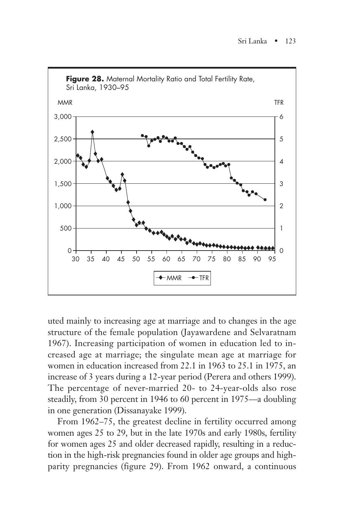

uted mainly to increasing age at marriage and to changes in the age structure of the female population (Jayawardene and Selvaratnam 1967). Increasing participation of women in education led to increased age at marriage; the singulate mean age at marriage for women in education increased from 22.1 in 1963 to 25.1 in 1975, an increase of 3 years during a 12-year period (Perera and others 1999). The percentage of never-married 20- to 24-year-olds also rose steadily, from 30 percent in 1946 to 60 percent in 1975—a doubling in one generation (Dissanayake 1999).

From 1962–75, the greatest decline in fertility occurred among women ages 25 to 29, but in the late 1970s and early 1980s, fertility for women ages 25 and older decreased rapidly, resulting in a reduction in the high-risk pregnancies found in older age groups and highparity pregnancies (figure 29). From 1962 onward, a continuous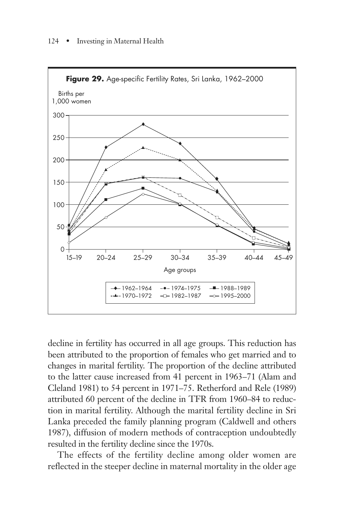

decline in fertility has occurred in all age groups. This reduction has been attributed to the proportion of females who get married and to changes in marital fertility. The proportion of the decline attributed to the latter cause increased from 41 percent in 1963–71 (Alam and Cleland 1981) to 54 percent in 1971–75. Retherford and Rele (1989) attributed 60 percent of the decline in TFR from 1960–84 to reduction in marital fertility. Although the marital fertility decline in Sri Lanka preceded the family planning program (Caldwell and others 1987), diffusion of modern methods of contraception undoubtedly resulted in the fertility decline since the 1970s.

The effects of the fertility decline among older women are reflected in the steeper decline in maternal mortality in the older age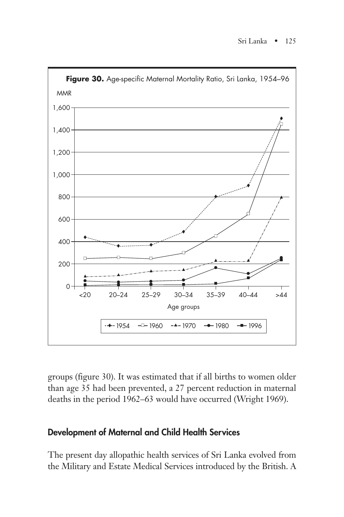

groups (figure 30). It was estimated that if all births to women older than age 35 had been prevented, a 27 percent reduction in maternal deaths in the period 1962–63 would have occurred (Wright 1969).

## **Development of Maternal and Child Health Services**

The present day allopathic health services of Sri Lanka evolved from the Military and Estate Medical Services introduced by the British. A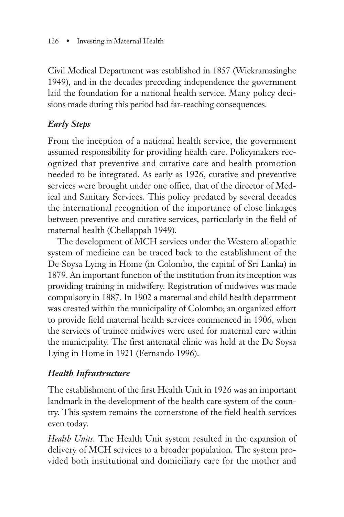Civil Medical Department was established in 1857 (Wickramasinghe 1949), and in the decades preceding independence the government laid the foundation for a national health service. Many policy decisions made during this period had far-reaching consequences.

## *Early Steps*

From the inception of a national health service, the government assumed responsibility for providing health care. Policymakers recognized that preventive and curative care and health promotion needed to be integrated. As early as 1926, curative and preventive services were brought under one office, that of the director of Medical and Sanitary Services. This policy predated by several decades the international recognition of the importance of close linkages between preventive and curative services, particularly in the field of maternal health (Chellappah 1949).

The development of MCH services under the Western allopathic system of medicine can be traced back to the establishment of the De Soysa Lying in Home (in Colombo, the capital of Sri Lanka) in 1879. An important function of the institution from its inception was providing training in midwifery. Registration of midwives was made compulsory in 1887. In 1902 a maternal and child health department was created within the municipality of Colombo; an organized effort to provide field maternal health services commenced in 1906, when the services of trainee midwives were used for maternal care within the municipality. The first antenatal clinic was held at the De Soysa Lying in Home in 1921 (Fernando 1996).

## *Health Infrastructure*

The establishment of the first Health Unit in 1926 was an important landmark in the development of the health care system of the country. This system remains the cornerstone of the field health services even today.

*Health Units.* The Health Unit system resulted in the expansion of delivery of MCH services to a broader population. The system provided both institutional and domiciliary care for the mother and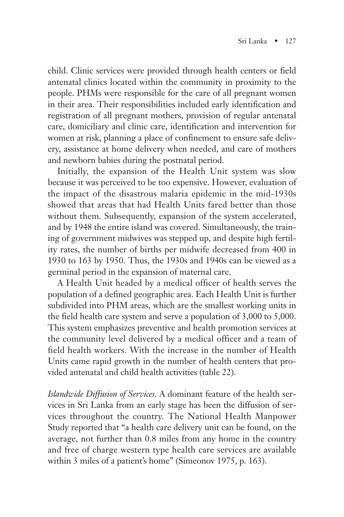child. Clinic services were provided through health centers or field antenatal clinics located within the community in proximity to the people. PHMs were responsible for the care of all pregnant women in their area. Their responsibilities included early identification and registration of all pregnant mothers, provision of regular antenatal care, domiciliary and clinic care, identification and intervention for women at risk, planning a place of confinement to ensure safe delivery, assistance at home delivery when needed, and care of mothers and newborn babies during the postnatal period.

Initially, the expansion of the Health Unit system was slow because it was perceived to be too expensive. However, evaluation of the impact of the disastrous malaria epidemic in the mid-1930s showed that areas that had Health Units fared better than those without them. Subsequently, expansion of the system accelerated, and by 1948 the entire island was covered. Simultaneously, the training of government midwives was stepped up, and despite high fertility rates, the number of births per midwife decreased from 400 in 1930 to 163 by 1950. Thus, the 1930s and 1940s can be viewed as a germinal period in the expansion of maternal care.

A Health Unit headed by a medical officer of health serves the population of a defined geographic area. Each Health Unit is further subdivided into PHM areas, which are the smallest working units in the field health care system and serve a population of 3,000 to 5,000. This system emphasizes preventive and health promotion services at the community level delivered by a medical officer and a team of field health workers. With the increase in the number of Health Units came rapid growth in the number of health centers that provided antenatal and child health activities (table 22).

*Islandwide Diffusion of Services.* A dominant feature of the health services in Sri Lanka from an early stage has been the diffusion of services throughout the country. The National Health Manpower Study reported that "a health care delivery unit can be found, on the average, not further than 0.8 miles from any home in the country and free of charge western type health care services are available within 3 miles of a patient's home" (Simeonov 1975, p. 163).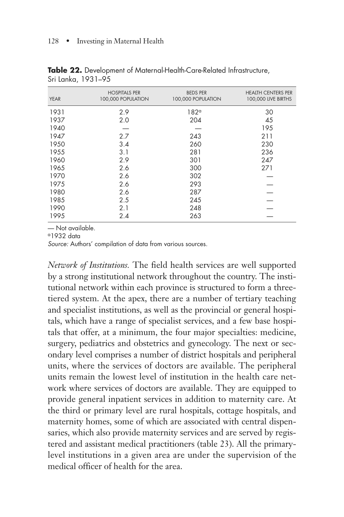| <b>YEAR</b> | <b>HOSPITALS PER</b><br>100,000 POPULATION | <b>BEDS PER</b><br>100,000 POPULATION | <b>HEALTH CENTERS PER</b><br>100,000 LIVE BIRTHS |
|-------------|--------------------------------------------|---------------------------------------|--------------------------------------------------|
| 1931        | 2.9                                        | 182 <sup>a</sup>                      | 30                                               |
| 1937        | 2.0                                        | 204                                   | 45                                               |
| 1940        |                                            |                                       | 195                                              |
| 1947        | 2.7                                        | 243                                   | 211                                              |
| 1950        | 3.4                                        | 260                                   | 230                                              |
| 1955        | 3.1                                        | 281                                   | 236                                              |
| 1960        | 2.9                                        | 301                                   | 247                                              |
| 1965        | 2.6                                        | 300                                   | 271                                              |
| 1970        | 2.6                                        | 302                                   |                                                  |
| 1975        | 2.6                                        | 293                                   |                                                  |
| 1980        | 2.6                                        | 287                                   |                                                  |
| 1985        | 2.5                                        | 245                                   |                                                  |
| 1990        | 2.1                                        | 248                                   |                                                  |
| 1995        | 2.4                                        | 263                                   |                                                  |

**Table 22.** Development of Maternal-Health-Care-Related Infrastructure, Sri Lanka, 1931–95

— Not available.

 $a1932$  data

*Source:* Authors' compilation of data from various sources.

*Network of Institutions.* The field health services are well supported by a strong institutional network throughout the country. The institutional network within each province is structured to form a threetiered system. At the apex, there are a number of tertiary teaching and specialist institutions, as well as the provincial or general hospitals, which have a range of specialist services, and a few base hospitals that offer, at a minimum, the four major specialties: medicine, surgery, pediatrics and obstetrics and gynecology. The next or secondary level comprises a number of district hospitals and peripheral units, where the services of doctors are available. The peripheral units remain the lowest level of institution in the health care network where services of doctors are available. They are equipped to provide general inpatient services in addition to maternity care. At the third or primary level are rural hospitals, cottage hospitals, and maternity homes, some of which are associated with central dispensaries, which also provide maternity services and are served by registered and assistant medical practitioners (table 23). All the primarylevel institutions in a given area are under the supervision of the medical officer of health for the area.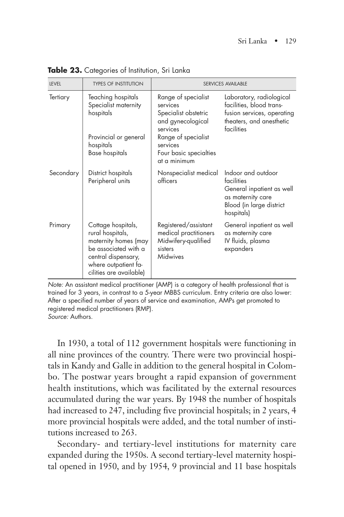| <b>LEVEL</b> | <b>TYPES OF INSTITUTION</b>                                                                                                                                      | <b>SERVICES AVAILABLE</b>                                                                   |                                                                                                                              |  |
|--------------|------------------------------------------------------------------------------------------------------------------------------------------------------------------|---------------------------------------------------------------------------------------------|------------------------------------------------------------------------------------------------------------------------------|--|
| Tertiary     | Teaching hospitals<br>Specialist maternity<br>hospitals                                                                                                          | Range of specialist<br>services<br>Specialist obstetric<br>and gynecological<br>services    | Laboratory, radiological<br>facilities, blood trans-<br>fusion services, operating<br>theaters, and anesthetic<br>facilities |  |
|              | Provincial or general<br>hospitals<br>Base hospitals                                                                                                             | Range of specialist<br>services<br>Four basic specialties<br>at a minimum                   |                                                                                                                              |  |
| Secondary    | District hospitals<br>Peripheral units                                                                                                                           | Nonspecialist medical<br>officers                                                           | Indoor and outdoor<br>facilities<br>General inpatient as well<br>as maternity care<br>Blood (in large district<br>hospitals) |  |
| Primary      | Cottage hospitals,<br>rural hospitals,<br>maternity homes (may<br>be associated with a<br>central dispensary,<br>where outpatient fa-<br>cilities are available) | Registered/assistant<br>medical practitioners<br>Midwifery-qualified<br>sisters<br>Midwives | General inpatient as well<br>as maternity care<br>IV fluids, plasma<br>expanders                                             |  |

**Table 23.** Categories of Institution, Sri Lanka

*Note:* An assistant medical practitioner (AMP) is a category of health professional that is trained for 3 years, in contrast to a 5-year MBBS curriculum. Entry criteria are also lower: After a specified number of years of service and examination, AMPs get promoted to registered medical practitioners (RMP).

*Source:* Authors.

In 1930, a total of 112 government hospitals were functioning in all nine provinces of the country. There were two provincial hospitals in Kandy and Galle in addition to the general hospital in Colombo. The postwar years brought a rapid expansion of government health institutions, which was facilitated by the external resources accumulated during the war years. By 1948 the number of hospitals had increased to 247, including five provincial hospitals; in 2 years, 4 more provincial hospitals were added, and the total number of institutions increased to 263.

Secondary- and tertiary-level institutions for maternity care expanded during the 1950s. A second tertiary-level maternity hospital opened in 1950, and by 1954, 9 provincial and 11 base hospitals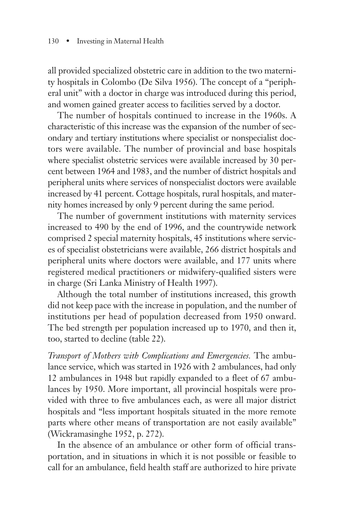all provided specialized obstetric care in addition to the two maternity hospitals in Colombo (De Silva 1956). The concept of a "peripheral unit" with a doctor in charge was introduced during this period, and women gained greater access to facilities served by a doctor.

The number of hospitals continued to increase in the 1960s. A characteristic of this increase was the expansion of the number of secondary and tertiary institutions where specialist or nonspecialist doctors were available. The number of provincial and base hospitals where specialist obstetric services were available increased by 30 percent between 1964 and 1983, and the number of district hospitals and peripheral units where services of nonspecialist doctors were available increased by 41 percent. Cottage hospitals, rural hospitals, and maternity homes increased by only 9 percent during the same period.

The number of government institutions with maternity services increased to 490 by the end of 1996, and the countrywide network comprised 2 special maternity hospitals, 45 institutions where services of specialist obstetricians were available, 266 district hospitals and peripheral units where doctors were available, and 177 units where registered medical practitioners or midwifery-qualified sisters were in charge (Sri Lanka Ministry of Health 1997).

Although the total number of institutions increased, this growth did not keep pace with the increase in population, and the number of institutions per head of population decreased from 1950 onward. The bed strength per population increased up to 1970, and then it, too, started to decline (table 22).

*Transport of Mothers with Complications and Emergencies.* The ambulance service, which was started in 1926 with 2 ambulances, had only 12 ambulances in 1948 but rapidly expanded to a fleet of 67 ambulances by 1950. More important, all provincial hospitals were provided with three to five ambulances each, as were all major district hospitals and "less important hospitals situated in the more remote parts where other means of transportation are not easily available" (Wickramasinghe 1952, p. 272).

In the absence of an ambulance or other form of official transportation, and in situations in which it is not possible or feasible to call for an ambulance, field health staff are authorized to hire private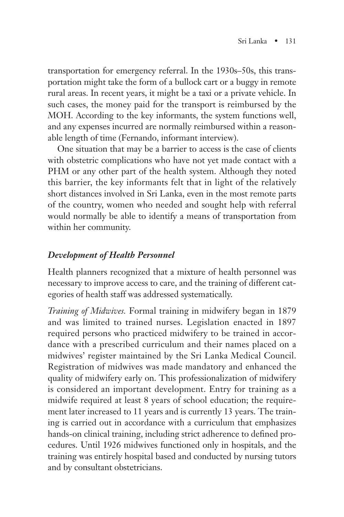transportation for emergency referral. In the 1930s–50s, this transportation might take the form of a bullock cart or a buggy in remote rural areas. In recent years, it might be a taxi or a private vehicle. In such cases, the money paid for the transport is reimbursed by the MOH. According to the key informants, the system functions well, and any expenses incurred are normally reimbursed within a reasonable length of time (Fernando, informant interview).

One situation that may be a barrier to access is the case of clients with obstetric complications who have not yet made contact with a PHM or any other part of the health system. Although they noted this barrier, the key informants felt that in light of the relatively short distances involved in Sri Lanka, even in the most remote parts of the country, women who needed and sought help with referral would normally be able to identify a means of transportation from within her community.

## *Development of Health Personnel*

Health planners recognized that a mixture of health personnel was necessary to improve access to care, and the training of different categories of health staff was addressed systematically.

*Training of Midwives.* Formal training in midwifery began in 1879 and was limited to trained nurses. Legislation enacted in 1897 required persons who practiced midwifery to be trained in accordance with a prescribed curriculum and their names placed on a midwives' register maintained by the Sri Lanka Medical Council. Registration of midwives was made mandatory and enhanced the quality of midwifery early on. This professionalization of midwifery is considered an important development. Entry for training as a midwife required at least 8 years of school education; the requirement later increased to 11 years and is currently 13 years. The training is carried out in accordance with a curriculum that emphasizes hands-on clinical training, including strict adherence to defined procedures. Until 1926 midwives functioned only in hospitals, and the training was entirely hospital based and conducted by nursing tutors and by consultant obstetricians.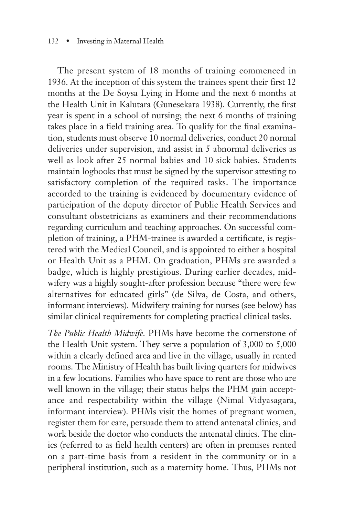The present system of 18 months of training commenced in 1936. At the inception of this system the trainees spent their first 12 months at the De Soysa Lying in Home and the next 6 months at the Health Unit in Kalutara (Gunesekara 1938). Currently, the first year is spent in a school of nursing; the next 6 months of training takes place in a field training area. To qualify for the final examination, students must observe 10 normal deliveries, conduct 20 normal deliveries under supervision, and assist in 5 abnormal deliveries as well as look after 25 normal babies and 10 sick babies. Students maintain logbooks that must be signed by the supervisor attesting to satisfactory completion of the required tasks. The importance accorded to the training is evidenced by documentary evidence of participation of the deputy director of Public Health Services and consultant obstetricians as examiners and their recommendations regarding curriculum and teaching approaches. On successful completion of training, a PHM-trainee is awarded a certificate, is registered with the Medical Council, and is appointed to either a hospital or Health Unit as a PHM. On graduation, PHMs are awarded a badge, which is highly prestigious. During earlier decades, midwifery was a highly sought-after profession because "there were few alternatives for educated girls" (de Silva, de Costa, and others, informant interviews). Midwifery training for nurses (see below) has similar clinical requirements for completing practical clinical tasks.

*The Public Health Midwife.* PHMs have become the cornerstone of the Health Unit system. They serve a population of 3,000 to 5,000 within a clearly defined area and live in the village, usually in rented rooms. The Ministry of Health has built living quarters for midwives in a few locations. Families who have space to rent are those who are well known in the village; their status helps the PHM gain acceptance and respectability within the village (Nimal Vidyasagara, informant interview). PHMs visit the homes of pregnant women, register them for care, persuade them to attend antenatal clinics, and work beside the doctor who conducts the antenatal clinics. The clinics (referred to as field health centers) are often in premises rented on a part-time basis from a resident in the community or in a peripheral institution, such as a maternity home. Thus, PHMs not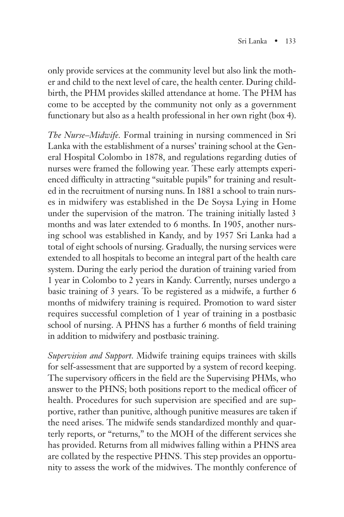only provide services at the community level but also link the mother and child to the next level of care, the health center. During childbirth, the PHM provides skilled attendance at home. The PHM has come to be accepted by the community not only as a government functionary but also as a health professional in her own right (box 4).

*The Nurse–Midwife.* Formal training in nursing commenced in Sri Lanka with the establishment of a nurses' training school at the General Hospital Colombo in 1878, and regulations regarding duties of nurses were framed the following year. These early attempts experienced difficulty in attracting "suitable pupils" for training and resulted in the recruitment of nursing nuns. In 1881 a school to train nurses in midwifery was established in the De Soysa Lying in Home under the supervision of the matron. The training initially lasted 3 months and was later extended to 6 months. In 1905, another nursing school was established in Kandy, and by 1957 Sri Lanka had a total of eight schools of nursing. Gradually, the nursing services were extended to all hospitals to become an integral part of the health care system. During the early period the duration of training varied from 1 year in Colombo to 2 years in Kandy. Currently, nurses undergo a basic training of 3 years. To be registered as a midwife, a further 6 months of midwifery training is required. Promotion to ward sister requires successful completion of 1 year of training in a postbasic school of nursing. A PHNS has a further 6 months of field training in addition to midwifery and postbasic training.

*Supervision and Support.* Midwife training equips trainees with skills for self-assessment that are supported by a system of record keeping. The supervisory officers in the field are the Supervising PHMs, who answer to the PHNS; both positions report to the medical officer of health. Procedures for such supervision are specified and are supportive, rather than punitive, although punitive measures are taken if the need arises. The midwife sends standardized monthly and quarterly reports, or "returns," to the MOH of the different services she has provided. Returns from all midwives falling within a PHNS area are collated by the respective PHNS. This step provides an opportunity to assess the work of the midwives. The monthly conference of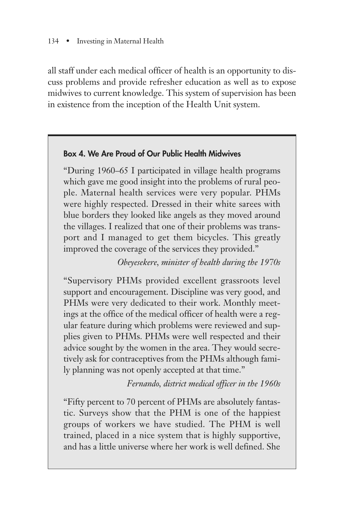all staff under each medical officer of health is an opportunity to discuss problems and provide refresher education as well as to expose midwives to current knowledge. This system of supervision has been in existence from the inception of the Health Unit system.

#### **Box 4. We Are Proud of Our Public Health Midwives**

"During 1960–65 I participated in village health programs which gave me good insight into the problems of rural people. Maternal health services were very popular. PHMs were highly respected. Dressed in their white sarees with blue borders they looked like angels as they moved around the villages. I realized that one of their problems was transport and I managed to get them bicycles. This greatly improved the coverage of the services they provided."

*Obeyesekere, minister of health during the 1970s*

"Supervisory PHMs provided excellent grassroots level support and encouragement. Discipline was very good, and PHMs were very dedicated to their work. Monthly meetings at the office of the medical officer of health were a regular feature during which problems were reviewed and supplies given to PHMs. PHMs were well respected and their advice sought by the women in the area. They would secretively ask for contraceptives from the PHMs although family planning was not openly accepted at that time."

*Fernando, district medical officer in the 1960s*

"Fifty percent to 70 percent of PHMs are absolutely fantastic. Surveys show that the PHM is one of the happiest groups of workers we have studied. The PHM is well trained, placed in a nice system that is highly supportive, and has a little universe where her work is well defined. She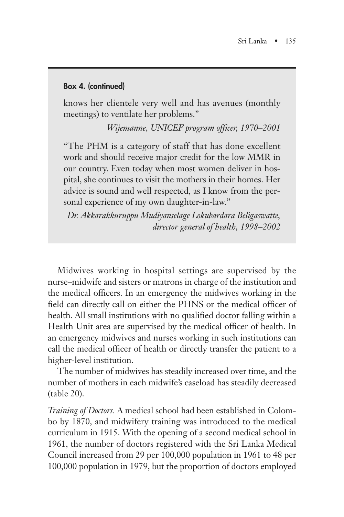#### **Box 4. (continued)**

knows her clientele very well and has avenues (monthly meetings) to ventilate her problems."

*Wijemanne, UNICEF program officer, 1970–2001*

"The PHM is a category of staff that has done excellent work and should receive major credit for the low MMR in our country. Even today when most women deliver in hospital, she continues to visit the mothers in their homes. Her advice is sound and well respected, as I know from the personal experience of my own daughter-in-law."

*Dr. Akkarakkuruppu Mudiyanselage Lokubardara Beligaswatte, director general of health, 1998–2002*

Midwives working in hospital settings are supervised by the nurse–midwife and sisters or matrons in charge of the institution and the medical officers. In an emergency the midwives working in the field can directly call on either the PHNS or the medical officer of health. All small institutions with no qualified doctor falling within a Health Unit area are supervised by the medical officer of health. In an emergency midwives and nurses working in such institutions can call the medical officer of health or directly transfer the patient to a higher-level institution.

The number of midwives has steadily increased over time, and the number of mothers in each midwife's caseload has steadily decreased (table 20).

*Training of Doctors.* A medical school had been established in Colombo by 1870, and midwifery training was introduced to the medical curriculum in 1915. With the opening of a second medical school in 1961, the number of doctors registered with the Sri Lanka Medical Council increased from 29 per 100,000 population in 1961 to 48 per 100,000 population in 1979, but the proportion of doctors employed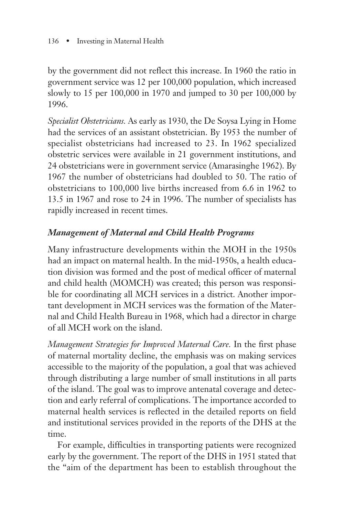136 • Investing in Maternal Health

by the government did not reflect this increase. In 1960 the ratio in government service was 12 per 100,000 population, which increased slowly to 15 per 100,000 in 1970 and jumped to 30 per 100,000 by 1996.

*Specialist Obstetricians.* As early as 1930, the De Soysa Lying in Home had the services of an assistant obstetrician. By 1953 the number of specialist obstetricians had increased to 23. In 1962 specialized obstetric services were available in 21 government institutions, and 24 obstetricians were in government service (Amarasinghe 1962). By 1967 the number of obstetricians had doubled to 50. The ratio of obstetricians to 100,000 live births increased from 6.6 in 1962 to 13.5 in 1967 and rose to 24 in 1996. The number of specialists has rapidly increased in recent times.

# *Management of Maternal and Child Health Programs*

Many infrastructure developments within the MOH in the 1950s had an impact on maternal health. In the mid-1950s, a health education division was formed and the post of medical officer of maternal and child health (MOMCH) was created; this person was responsible for coordinating all MCH services in a district. Another important development in MCH services was the formation of the Maternal and Child Health Bureau in 1968, which had a director in charge of all MCH work on the island.

*Management Strategies for Improved Maternal Care.* In the first phase of maternal mortality decline, the emphasis was on making services accessible to the majority of the population, a goal that was achieved through distributing a large number of small institutions in all parts of the island. The goal was to improve antenatal coverage and detection and early referral of complications. The importance accorded to maternal health services is reflected in the detailed reports on field and institutional services provided in the reports of the DHS at the time.

For example, difficulties in transporting patients were recognized early by the government. The report of the DHS in 1951 stated that the "aim of the department has been to establish throughout the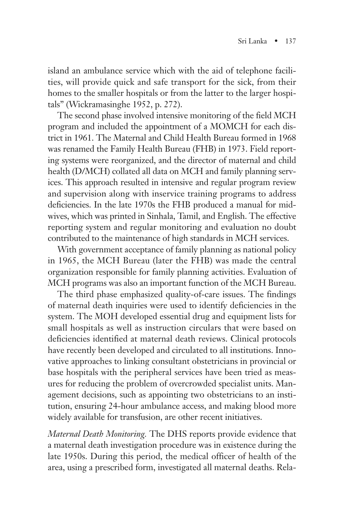island an ambulance service which with the aid of telephone facilities, will provide quick and safe transport for the sick, from their homes to the smaller hospitals or from the latter to the larger hospitals" (Wickramasinghe 1952, p. 272).

The second phase involved intensive monitoring of the field MCH program and included the appointment of a MOMCH for each district in 1961. The Maternal and Child Health Bureau formed in 1968 was renamed the Family Health Bureau (FHB) in 1973. Field reporting systems were reorganized, and the director of maternal and child health (D/MCH) collated all data on MCH and family planning services. This approach resulted in intensive and regular program review and supervision along with inservice training programs to address deficiencies. In the late 1970s the FHB produced a manual for midwives, which was printed in Sinhala, Tamil, and English. The effective reporting system and regular monitoring and evaluation no doubt contributed to the maintenance of high standards in MCH services.

With government acceptance of family planning as national policy in 1965, the MCH Bureau (later the FHB) was made the central organization responsible for family planning activities. Evaluation of MCH programs was also an important function of the MCH Bureau.

The third phase emphasized quality-of-care issues. The findings of maternal death inquiries were used to identify deficiencies in the system. The MOH developed essential drug and equipment lists for small hospitals as well as instruction circulars that were based on deficiencies identified at maternal death reviews. Clinical protocols have recently been developed and circulated to all institutions. Innovative approaches to linking consultant obstetricians in provincial or base hospitals with the peripheral services have been tried as measures for reducing the problem of overcrowded specialist units. Management decisions, such as appointing two obstetricians to an institution, ensuring 24-hour ambulance access, and making blood more widely available for transfusion, are other recent initiatives.

*Maternal Death Monitoring.* The DHS reports provide evidence that a maternal death investigation procedure was in existence during the late 1950s. During this period, the medical officer of health of the area, using a prescribed form, investigated all maternal deaths. Rela-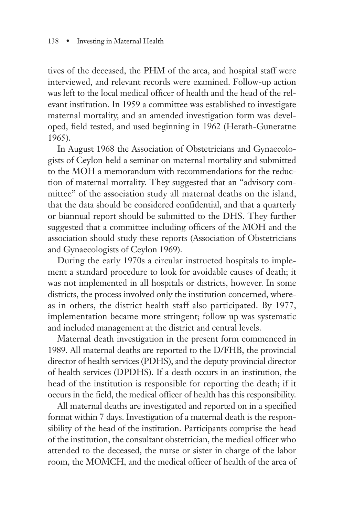tives of the deceased, the PHM of the area, and hospital staff were interviewed, and relevant records were examined. Follow-up action was left to the local medical officer of health and the head of the relevant institution. In 1959 a committee was established to investigate maternal mortality, and an amended investigation form was developed, field tested, and used beginning in 1962 (Herath-Guneratne 1965).

In August 1968 the Association of Obstetricians and Gynaecologists of Ceylon held a seminar on maternal mortality and submitted to the MOH a memorandum with recommendations for the reduction of maternal mortality. They suggested that an "advisory committee" of the association study all maternal deaths on the island, that the data should be considered confidential, and that a quarterly or biannual report should be submitted to the DHS. They further suggested that a committee including officers of the MOH and the association should study these reports (Association of Obstetricians and Gynaecologists of Ceylon 1969).

During the early 1970s a circular instructed hospitals to implement a standard procedure to look for avoidable causes of death; it was not implemented in all hospitals or districts, however. In some districts, the process involved only the institution concerned, whereas in others, the district health staff also participated. By 1977, implementation became more stringent; follow up was systematic and included management at the district and central levels.

Maternal death investigation in the present form commenced in 1989. All maternal deaths are reported to the D/FHB, the provincial director of health services (PDHS), and the deputy provincial director of health services (DPDHS). If a death occurs in an institution, the head of the institution is responsible for reporting the death; if it occurs in the field, the medical officer of health has this responsibility.

All maternal deaths are investigated and reported on in a specified format within 7 days. Investigation of a maternal death is the responsibility of the head of the institution. Participants comprise the head of the institution, the consultant obstetrician, the medical officer who attended to the deceased, the nurse or sister in charge of the labor room, the MOMCH, and the medical officer of health of the area of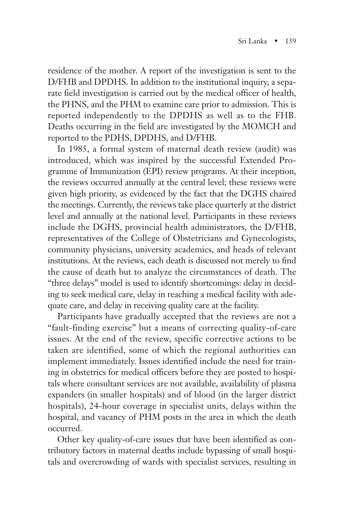residence of the mother. A report of the investigation is sent to the D/FHB and DPDHS. In addition to the institutional inquiry, a separate field investigation is carried out by the medical officer of health, the PHNS, and the PHM to examine care prior to admission. This is reported independently to the DPDHS as well as to the FHB. Deaths occurring in the field are investigated by the MOMCH and reported to the PDHS, DPDHS, and D/FHB.

In 1985, a formal system of maternal death review (audit) was introduced, which was inspired by the successful Extended Programme of Immunization (EPI) review programs. At their inception, the reviews occurred annually at the central level; these reviews were given high priority, as evidenced by the fact that the DGHS chaired the meetings. Currently, the reviews take place quarterly at the district level and annually at the national level. Participants in these reviews include the DGHS, provincial health administrators, the D/FHB, representatives of the College of Obstetricians and Gynecologists, community physicians, university academics, and heads of relevant institutions. At the reviews, each death is discussed not merely to find the cause of death but to analyze the circumstances of death. The "three delays" model is used to identify shortcomings: delay in deciding to seek medical care, delay in reaching a medical facility with adequate care, and delay in receiving quality care at the facility.

Participants have gradually accepted that the reviews are not a "fault-finding exercise" but a means of correcting quality-of-care issues. At the end of the review, specific corrective actions to be taken are identified, some of which the regional authorities can implement immediately. Issues identified include the need for training in obstetrics for medical officers before they are posted to hospitals where consultant services are not available, availability of plasma expanders (in smaller hospitals) and of blood (in the larger district hospitals), 24-hour coverage in specialist units, delays within the hospital, and vacancy of PHM posts in the area in which the death occurred.

Other key quality-of-care issues that have been identified as contributory factors in maternal deaths include bypassing of small hospitals and overcrowding of wards with specialist services, resulting in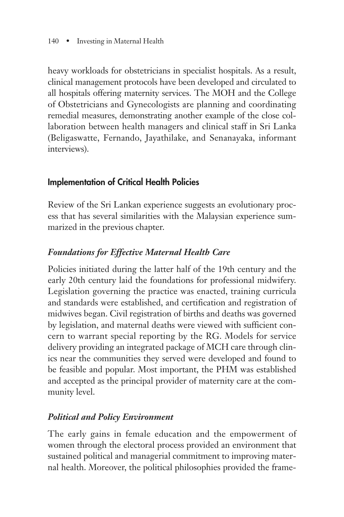#### 140 • Investing in Maternal Health

heavy workloads for obstetricians in specialist hospitals. As a result, clinical management protocols have been developed and circulated to all hospitals offering maternity services. The MOH and the College of Obstetricians and Gynecologists are planning and coordinating remedial measures, demonstrating another example of the close collaboration between health managers and clinical staff in Sri Lanka (Beligaswatte, Fernando, Jayathilake, and Senanayaka, informant interviews).

## **Implementation of Critical Health Policies**

Review of the Sri Lankan experience suggests an evolutionary process that has several similarities with the Malaysian experience summarized in the previous chapter.

## *Foundations for Effective Maternal Health Care*

Policies initiated during the latter half of the 19th century and the early 20th century laid the foundations for professional midwifery. Legislation governing the practice was enacted, training curricula and standards were established, and certification and registration of midwives began. Civil registration of births and deaths was governed by legislation, and maternal deaths were viewed with sufficient concern to warrant special reporting by the RG. Models for service delivery providing an integrated package of MCH care through clinics near the communities they served were developed and found to be feasible and popular. Most important, the PHM was established and accepted as the principal provider of maternity care at the community level.

## *Political and Policy Environment*

The early gains in female education and the empowerment of women through the electoral process provided an environment that sustained political and managerial commitment to improving maternal health. Moreover, the political philosophies provided the frame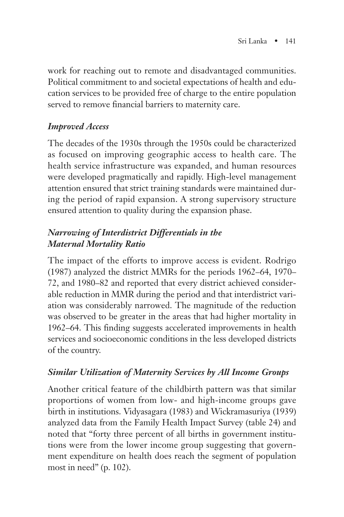work for reaching out to remote and disadvantaged communities. Political commitment to and societal expectations of health and education services to be provided free of charge to the entire population served to remove financial barriers to maternity care.

## *Improved Access*

The decades of the 1930s through the 1950s could be characterized as focused on improving geographic access to health care. The health service infrastructure was expanded, and human resources were developed pragmatically and rapidly. High-level management attention ensured that strict training standards were maintained during the period of rapid expansion. A strong supervisory structure ensured attention to quality during the expansion phase.

## *Narrowing of Interdistrict Differentials in the Maternal Mortality Ratio*

The impact of the efforts to improve access is evident. Rodrigo (1987) analyzed the district MMRs for the periods 1962–64, 1970– 72, and 1980–82 and reported that every district achieved considerable reduction in MMR during the period and that interdistrict variation was considerably narrowed. The magnitude of the reduction was observed to be greater in the areas that had higher mortality in 1962–64. This finding suggests accelerated improvements in health services and socioeconomic conditions in the less developed districts of the country.

## *Similar Utilization of Maternity Services by All Income Groups*

Another critical feature of the childbirth pattern was that similar proportions of women from low- and high-income groups gave birth in institutions. Vidyasagara (1983) and Wickramasuriya (1939) analyzed data from the Family Health Impact Survey (table 24) and noted that "forty three percent of all births in government institutions were from the lower income group suggesting that government expenditure on health does reach the segment of population most in need" (p. 102).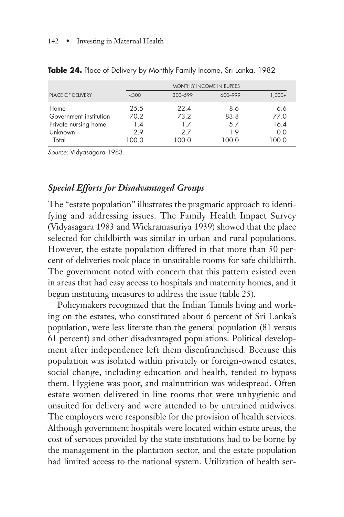#### 142 • Investing in Maternal Health

|                          |       | <b>MONTHLY INCOME IN RUPEES</b> |         |          |  |
|--------------------------|-------|---------------------------------|---------|----------|--|
| <b>PLACE OF DELIVERY</b> | < 300 | 300-599                         | 600-999 | $1,000+$ |  |
| Home                     | 25.5  | 22.4                            | 8.6     | 6.6      |  |
| Government institution   | 70.2  | 73.2                            | 83.8    | 77.0     |  |
| Private nursing home     | 1.4   | 1.7                             | 5.7     | 16.4     |  |
| Unknown                  | 29    | 2.7                             | 19      | 0.0      |  |
| Total                    | 100.0 | 100.0                           | 100.0   | 100.0    |  |

**Table 24.** Place of Delivery by Monthly Family Income, Sri Lanka, 1982

*Source:* Vidyasagara 1983.

#### *Special Efforts for Disadvantaged Groups*

The "estate population" illustrates the pragmatic approach to identifying and addressing issues. The Family Health Impact Survey (Vidyasagara 1983 and Wickramasuriya 1939) showed that the place selected for childbirth was similar in urban and rural populations. However, the estate population differed in that more than 50 percent of deliveries took place in unsuitable rooms for safe childbirth. The government noted with concern that this pattern existed even in areas that had easy access to hospitals and maternity homes, and it began instituting measures to address the issue (table 25).

Policymakers recognized that the Indian Tamils living and working on the estates, who constituted about 6 percent of Sri Lanka's population, were less literate than the general population (81 versus 61 percent) and other disadvantaged populations. Political development after independence left them disenfranchised. Because this population was isolated within privately or foreign-owned estates, social change, including education and health, tended to bypass them. Hygiene was poor, and malnutrition was widespread. Often estate women delivered in line rooms that were unhygienic and unsuited for delivery and were attended to by untrained midwives. The employers were responsible for the provision of health services. Although government hospitals were located within estate areas, the cost of services provided by the state institutions had to be borne by the management in the plantation sector, and the estate population had limited access to the national system. Utilization of health ser-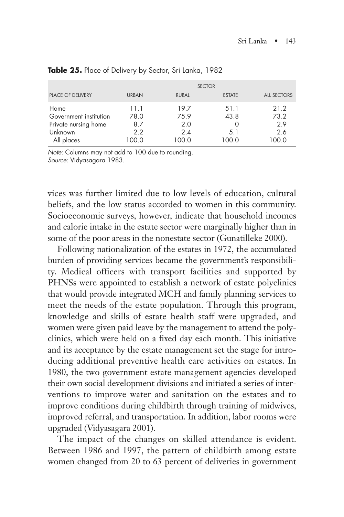|                          | <b>SECTOR</b> |       |               |                    |
|--------------------------|---------------|-------|---------------|--------------------|
| <b>PLACE OF DELIVERY</b> | <b>URBAN</b>  | RURAL | <b>ESTATE</b> | <b>ALL SECTORS</b> |
| Home                     | 11.1          | 19.7  | 51.1          | 21.2               |
| Government institution   | 78.0          | 75.9  | 43.8          | 73.2               |
| Private nursing home     | 8.7           | 2.0   |               | 2.9                |
| Unknown                  | 2.2           | 2.4   | 5.1           | 2.6                |
| All places               | 100.0         | 100.0 | 100.0         | 100.0              |

| Table 25. Place of Delivery by Sector, Sri Lanka, 1982 |  |  |
|--------------------------------------------------------|--|--|
|--------------------------------------------------------|--|--|

*Note:* Columns may not add to 100 due to rounding. *Source:* Vidyasagara 1983.

vices was further limited due to low levels of education, cultural beliefs, and the low status accorded to women in this community. Socioeconomic surveys, however, indicate that household incomes and calorie intake in the estate sector were marginally higher than in some of the poor areas in the nonestate sector (Gunatilleke 2000).

Following nationalization of the estates in 1972, the accumulated burden of providing services became the government's responsibility. Medical officers with transport facilities and supported by PHNSs were appointed to establish a network of estate polyclinics that would provide integrated MCH and family planning services to meet the needs of the estate population. Through this program, knowledge and skills of estate health staff were upgraded, and women were given paid leave by the management to attend the polyclinics, which were held on a fixed day each month. This initiative and its acceptance by the estate management set the stage for introducing additional preventive health care activities on estates. In 1980, the two government estate management agencies developed their own social development divisions and initiated a series of interventions to improve water and sanitation on the estates and to improve conditions during childbirth through training of midwives, improved referral, and transportation. In addition, labor rooms were upgraded (Vidyasagara 2001).

The impact of the changes on skilled attendance is evident. Between 1986 and 1997, the pattern of childbirth among estate women changed from 20 to 63 percent of deliveries in government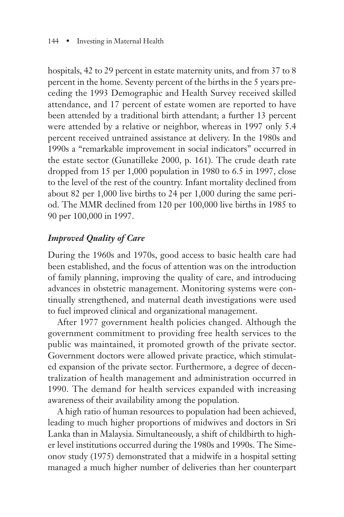hospitals, 42 to 29 percent in estate maternity units, and from 37 to 8 percent in the home. Seventy percent of the births in the 5 years preceding the 1993 Demographic and Health Survey received skilled attendance, and 17 percent of estate women are reported to have been attended by a traditional birth attendant; a further 13 percent were attended by a relative or neighbor, whereas in 1997 only 5.4 percent received untrained assistance at delivery. In the 1980s and 1990s a "remarkable improvement in social indicators" occurred in the estate sector (Gunatilleke 2000, p. 161). The crude death rate dropped from 15 per 1,000 population in 1980 to 6.5 in 1997, close to the level of the rest of the country. Infant mortality declined from about 82 per 1,000 live births to 24 per 1,000 during the same period. The MMR declined from 120 per 100,000 live births in 1985 to 90 per 100,000 in 1997.

#### *Improved Quality of Care*

During the 1960s and 1970s, good access to basic health care had been established, and the focus of attention was on the introduction of family planning, improving the quality of care, and introducing advances in obstetric management. Monitoring systems were continually strengthened, and maternal death investigations were used to fuel improved clinical and organizational management.

After 1977 government health policies changed. Although the government commitment to providing free health services to the public was maintained, it promoted growth of the private sector. Government doctors were allowed private practice, which stimulated expansion of the private sector. Furthermore, a degree of decentralization of health management and administration occurred in 1990. The demand for health services expanded with increasing awareness of their availability among the population.

A high ratio of human resources to population had been achieved, leading to much higher proportions of midwives and doctors in Sri Lanka than in Malaysia. Simultaneously, a shift of childbirth to higher level institutions occurred during the 1980s and 1990s. The Simeonov study (1975) demonstrated that a midwife in a hospital setting managed a much higher number of deliveries than her counterpart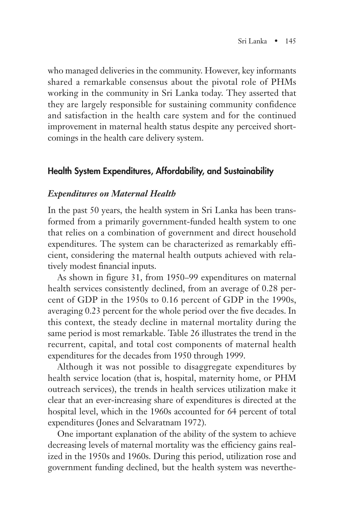who managed deliveries in the community. However, key informants shared a remarkable consensus about the pivotal role of PHMs working in the community in Sri Lanka today. They asserted that they are largely responsible for sustaining community confidence and satisfaction in the health care system and for the continued improvement in maternal health status despite any perceived shortcomings in the health care delivery system.

## **Health System Expenditures, Affordability, and Sustainability**

#### *Expenditures on Maternal Health*

In the past 50 years, the health system in Sri Lanka has been transformed from a primarily government-funded health system to one that relies on a combination of government and direct household expenditures. The system can be characterized as remarkably efficient, considering the maternal health outputs achieved with relatively modest financial inputs.

As shown in figure 31, from 1950–99 expenditures on maternal health services consistently declined, from an average of 0.28 percent of GDP in the 1950s to 0.16 percent of GDP in the 1990s, averaging 0.23 percent for the whole period over the five decades. In this context, the steady decline in maternal mortality during the same period is most remarkable. Table 26 illustrates the trend in the recurrent, capital, and total cost components of maternal health expenditures for the decades from 1950 through 1999.

Although it was not possible to disaggregate expenditures by health service location (that is, hospital, maternity home, or PHM outreach services), the trends in health services utilization make it clear that an ever-increasing share of expenditures is directed at the hospital level, which in the 1960s accounted for 64 percent of total expenditures (Jones and Selvaratnam 1972).

One important explanation of the ability of the system to achieve decreasing levels of maternal mortality was the efficiency gains realized in the 1950s and 1960s. During this period, utilization rose and government funding declined, but the health system was neverthe-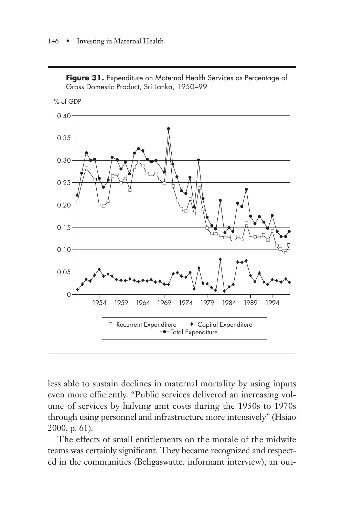

less able to sustain declines in maternal mortality by using inputs even more efficiently. "Public services delivered an increasing volume of services by halving unit costs during the 1950s to 1970s through using personnel and infrastructure more intensively" (Hsiao 2000, p. 61).

The effects of small entitlements on the morale of the midwife teams was certainly significant. They became recognized and respected in the communities (Beligaswatte, informant interview), an out-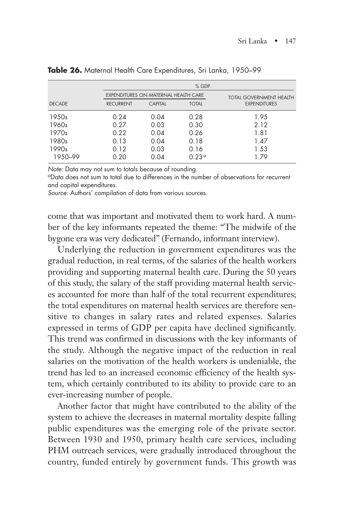|               | % GDP            |                                      |                   |                                |
|---------------|------------------|--------------------------------------|-------------------|--------------------------------|
|               |                  | EXPENDITURES ON MATERNAL HEALTH CARE |                   | <b>TOTAL GOVERNMENT HEALTH</b> |
| <b>DECADE</b> | <b>RECURRENT</b> | <b>CAPITAL</b>                       | <b>TOTAL</b>      | <b>EXPENDITURES</b>            |
| 1950s         | 0.24             | 0.04                                 | 0.28              | 1.95                           |
| 1960s         | 0.27             | 0.03                                 | 0.30              | 2.12                           |
| 1970s         | 0.22             | 0.04                                 | 0.26              | 1.81                           |
| 1980s         | 0.13             | 0.04                                 | 0.18              | 1.47                           |
| 1990s         | 0.12             | 0.03                                 | 0.16              | 1.53                           |
| 1950-99       | 0.20             | 0.04                                 | 0.23 <sup>a</sup> | 1.79                           |

**Table 26.** Maternal Health Care Expenditures, Sri Lanka, 1950–99

*Note:* Data may not sum to totals because of rounding.

aData does not sum to total due to differences in the number of observations for recurrent and capital expenditures.

*Source:* Authors' compilation of data from various sources.

come that was important and motivated them to work hard. A number of the key informants repeated the theme: "The midwife of the bygone era was very dedicated" (Fernando, informant interview).

Underlying the reduction in government expenditures was the gradual reduction, in real terms, of the salaries of the health workers providing and supporting maternal health care. During the 50 years of this study, the salary of the staff providing maternal health services accounted for more than half of the total recurrent expenditures; the total expenditures on maternal health services are therefore sensitive to changes in salary rates and related expenses. Salaries expressed in terms of GDP per capita have declined significantly. This trend was confirmed in discussions with the key informants of the study. Although the negative impact of the reduction in real salaries on the motivation of the health workers is undeniable, the trend has led to an increased economic efficiency of the health system, which certainly contributed to its ability to provide care to an ever-increasing number of people.

Another factor that might have contributed to the ability of the system to achieve the decreases in maternal mortality despite falling public expenditures was the emerging role of the private sector. Between 1930 and 1950, primary health care services, including PHM outreach services, were gradually introduced throughout the country, funded entirely by government funds. This growth was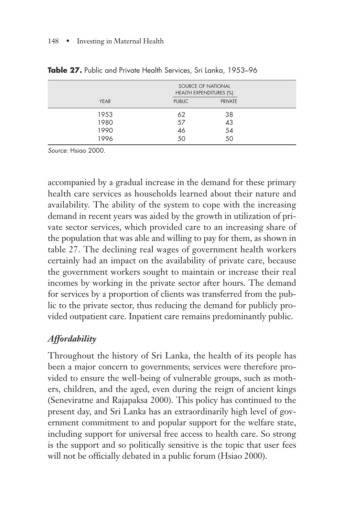#### 148 • Investing in Maternal Health

|             | SOURCE OF NATIONAL<br><b>HEALTH EXPENDITURES (%)</b> |                |  |
|-------------|------------------------------------------------------|----------------|--|
| <b>YEAR</b> | <b>PUBLIC</b>                                        | <b>PRIVATE</b> |  |
| 1953        | 62                                                   | 38             |  |
| 1980        | 57                                                   | 43             |  |
| 1990        | 46                                                   | 54             |  |
| 1996        | 50                                                   | 50             |  |

**Table 27.** Public and Private Health Services, Sri Lanka, 1953–96

*Source:* Hsiao 2000.

accompanied by a gradual increase in the demand for these primary health care services as households learned about their nature and availability. The ability of the system to cope with the increasing demand in recent years was aided by the growth in utilization of private sector services, which provided care to an increasing share of the population that was able and willing to pay for them, as shown in table 27. The declining real wages of government health workers certainly had an impact on the availability of private care, because the government workers sought to maintain or increase their real incomes by working in the private sector after hours. The demand for services by a proportion of clients was transferred from the public to the private sector, thus reducing the demand for publicly provided outpatient care. Inpatient care remains predominantly public.

## *Affordability*

Throughout the history of Sri Lanka, the health of its people has been a major concern to governments; services were therefore provided to ensure the well-being of vulnerable groups, such as mothers, children, and the aged, even during the reign of ancient kings (Seneviratne and Rajapaksa 2000). This policy has continued to the present day, and Sri Lanka has an extraordinarily high level of government commitment to and popular support for the welfare state, including support for universal free access to health care. So strong is the support and so politically sensitive is the topic that user fees will not be officially debated in a public forum (Hsiao 2000).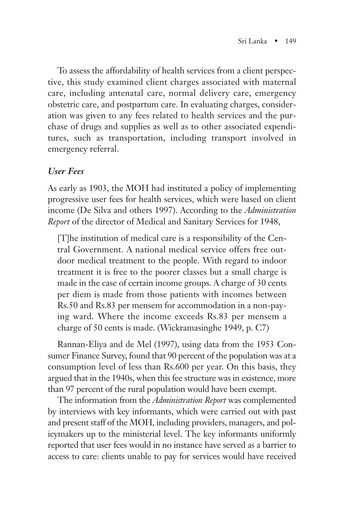To assess the affordability of health services from a client perspective, this study examined client charges associated with maternal care, including antenatal care, normal delivery care, emergency obstetric care, and postpartum care. In evaluating charges, consideration was given to any fees related to health services and the purchase of drugs and supplies as well as to other associated expenditures, such as transportation, including transport involved in emergency referral.

#### *User Fees*

As early as 1903, the MOH had instituted a policy of implementing progressive user fees for health services, which were based on client income (De Silva and others 1997). According to the *Administration Report* of the director of Medical and Sanitary Services for 1948,

[T]he institution of medical care is a responsibility of the Central Government. A national medical service offers free outdoor medical treatment to the people. With regard to indoor treatment it is free to the poorer classes but a small charge is made in the case of certain income groups. A charge of 30 cents per diem is made from those patients with incomes between Rs.50 and Rs.83 per mensem for accommodation in a non-paying ward. Where the income exceeds Rs.83 per mensem a charge of 50 cents is made. (Wickramasinghe 1949, p. C7)

Rannan-Eliya and de Mel (1997), using data from the 1953 Consumer Finance Survey, found that 90 percent of the population was at a consumption level of less than Rs.600 per year. On this basis, they argued that in the 1940s, when this fee structure was in existence, more than 97 percent of the rural population would have been exempt.

The information from the *Administration Report* was complemented by interviews with key informants, which were carried out with past and present staff of the MOH, including providers, managers, and policymakers up to the ministerial level. The key informants uniformly reported that user fees would in no instance have served as a barrier to access to care: clients unable to pay for services would have received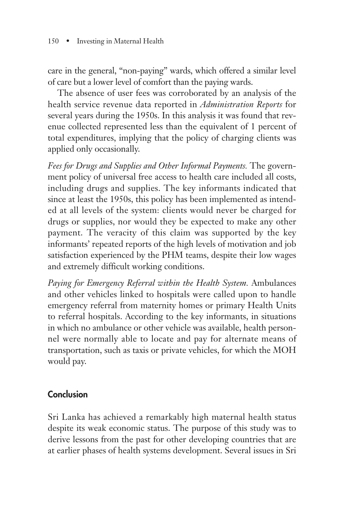care in the general, "non-paying" wards, which offered a similar level of care but a lower level of comfort than the paying wards.

The absence of user fees was corroborated by an analysis of the health service revenue data reported in *Administration Reports* for several years during the 1950s. In this analysis it was found that revenue collected represented less than the equivalent of 1 percent of total expenditures, implying that the policy of charging clients was applied only occasionally.

*Fees for Drugs and Supplies and Other Informal Payments.* The government policy of universal free access to health care included all costs, including drugs and supplies. The key informants indicated that since at least the 1950s, this policy has been implemented as intended at all levels of the system: clients would never be charged for drugs or supplies, nor would they be expected to make any other payment. The veracity of this claim was supported by the key informants' repeated reports of the high levels of motivation and job satisfaction experienced by the PHM teams, despite their low wages and extremely difficult working conditions.

*Paying for Emergency Referral within the Health System.* Ambulances and other vehicles linked to hospitals were called upon to handle emergency referral from maternity homes or primary Health Units to referral hospitals. According to the key informants, in situations in which no ambulance or other vehicle was available, health personnel were normally able to locate and pay for alternate means of transportation, such as taxis or private vehicles, for which the MOH would pay.

## **Conclusion**

Sri Lanka has achieved a remarkably high maternal health status despite its weak economic status. The purpose of this study was to derive lessons from the past for other developing countries that are at earlier phases of health systems development. Several issues in Sri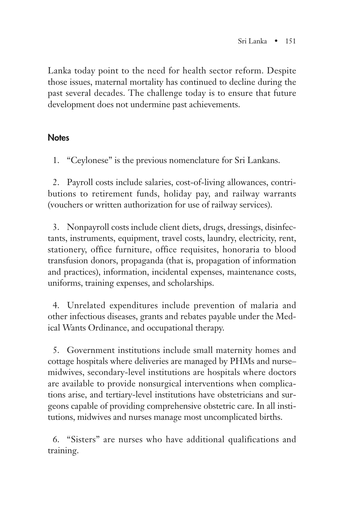Lanka today point to the need for health sector reform. Despite those issues, maternal mortality has continued to decline during the past several decades. The challenge today is to ensure that future development does not undermine past achievements.

## **Notes**

1. "Ceylonese" is the previous nomenclature for Sri Lankans.

2. Payroll costs include salaries, cost-of-living allowances, contributions to retirement funds, holiday pay, and railway warrants (vouchers or written authorization for use of railway services).

3. Nonpayroll costs include client diets, drugs, dressings, disinfectants, instruments, equipment, travel costs, laundry, electricity, rent, stationery, office furniture, office requisites, honoraria to blood transfusion donors, propaganda (that is, propagation of information and practices), information, incidental expenses, maintenance costs, uniforms, training expenses, and scholarships.

4. Unrelated expenditures include prevention of malaria and other infectious diseases, grants and rebates payable under the Medical Wants Ordinance, and occupational therapy.

5. Government institutions include small maternity homes and cottage hospitals where deliveries are managed by PHMs and nurse– midwives, secondary-level institutions are hospitals where doctors are available to provide nonsurgical interventions when complications arise, and tertiary-level institutions have obstetricians and surgeons capable of providing comprehensive obstetric care. In all institutions, midwives and nurses manage most uncomplicated births.

6. "Sisters" are nurses who have additional qualifications and training.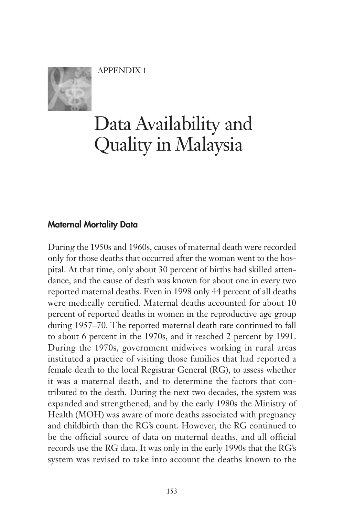APPENDIX 1



# Data Availability and Quality in Malaysia

## **Maternal Mortality Data**

During the 1950s and 1960s, causes of maternal death were recorded only for those deaths that occurred after the woman went to the hospital. At that time, only about 30 percent of births had skilled attendance, and the cause of death was known for about one in every two reported maternal deaths. Even in 1998 only 44 percent of all deaths were medically certified. Maternal deaths accounted for about 10 percent of reported deaths in women in the reproductive age group during 1957–70. The reported maternal death rate continued to fall to about 6 percent in the 1970s, and it reached 2 percent by 1991. During the 1970s, government midwives working in rural areas instituted a practice of visiting those families that had reported a female death to the local Registrar General (RG), to assess whether it was a maternal death, and to determine the factors that contributed to the death. During the next two decades, the system was expanded and strengthened, and by the early 1980s the Ministry of Health (MOH) was aware of more deaths associated with pregnancy and childbirth than the RG's count. However, the RG continued to be the official source of data on maternal deaths, and all official records use the RG data. It was only in the early 1990s that the RG's system was revised to take into account the deaths known to the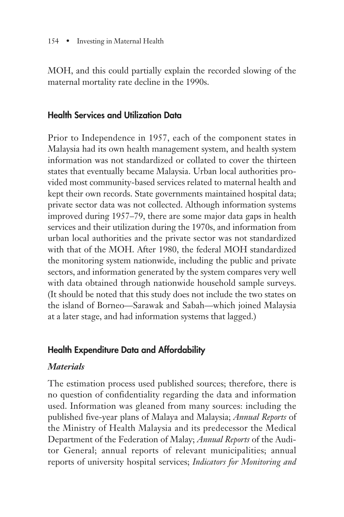MOH, and this could partially explain the recorded slowing of the maternal mortality rate decline in the 1990s.

#### **Health Services and Utilization Data**

Prior to Independence in 1957, each of the component states in Malaysia had its own health management system, and health system information was not standardized or collated to cover the thirteen states that eventually became Malaysia. Urban local authorities provided most community-based services related to maternal health and kept their own records. State governments maintained hospital data; private sector data was not collected. Although information systems improved during 1957–79, there are some major data gaps in health services and their utilization during the 1970s, and information from urban local authorities and the private sector was not standardized with that of the MOH. After 1980, the federal MOH standardized the monitoring system nationwide, including the public and private sectors, and information generated by the system compares very well with data obtained through nationwide household sample surveys. (It should be noted that this study does not include the two states on the island of Borneo—Sarawak and Sabah—which joined Malaysia at a later stage, and had information systems that lagged.)

## **Health Expenditure Data and Affordability**

## *Materials*

The estimation process used published sources; therefore, there is no question of confidentiality regarding the data and information used. Information was gleaned from many sources: including the published five-year plans of Malaya and Malaysia; *Annual Reports* of the Ministry of Health Malaysia and its predecessor the Medical Department of the Federation of Malay; *Annual Reports* of the Auditor General; annual reports of relevant municipalities; annual reports of university hospital services; *Indicators for Monitoring and*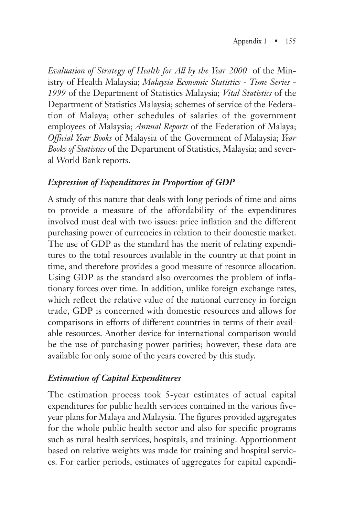*Evaluation of Strategy of Health for All by the Year 2000* of the Ministry of Health Malaysia; *Malaysia Economic Statistics - Time Series - 1999* of the Department of Statistics Malaysia; *Vital Statistics* of the Department of Statistics Malaysia; schemes of service of the Federation of Malaya; other schedules of salaries of the government employees of Malaysia; *Annual Reports* of the Federation of Malaya; *Official Year Books* of Malaysia of the Government of Malaysia; *Year Books of Statistics* of the Department of Statistics, Malaysia; and several World Bank reports.

#### *Expression of Expenditures in Proportion of GDP*

A study of this nature that deals with long periods of time and aims to provide a measure of the affordability of the expenditures involved must deal with two issues: price inflation and the different purchasing power of currencies in relation to their domestic market. The use of GDP as the standard has the merit of relating expenditures to the total resources available in the country at that point in time, and therefore provides a good measure of resource allocation. Using GDP as the standard also overcomes the problem of inflationary forces over time. In addition, unlike foreign exchange rates, which reflect the relative value of the national currency in foreign trade, GDP is concerned with domestic resources and allows for comparisons in efforts of different countries in terms of their available resources. Another device for international comparison would be the use of purchasing power parities; however, these data are available for only some of the years covered by this study.

#### *Estimation of Capital Expenditures*

The estimation process took 5-year estimates of actual capital expenditures for public health services contained in the various fiveyear plans for Malaya and Malaysia. The figures provided aggregates for the whole public health sector and also for specific programs such as rural health services, hospitals, and training. Apportionment based on relative weights was made for training and hospital services. For earlier periods, estimates of aggregates for capital expendi-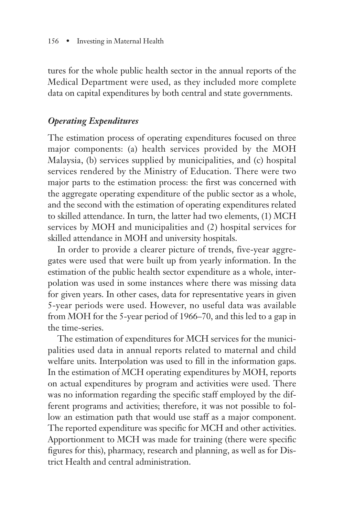tures for the whole public health sector in the annual reports of the Medical Department were used, as they included more complete data on capital expenditures by both central and state governments.

#### *Operating Expenditures*

The estimation process of operating expenditures focused on three major components: (a) health services provided by the MOH Malaysia, (b) services supplied by municipalities, and (c) hospital services rendered by the Ministry of Education. There were two major parts to the estimation process: the first was concerned with the aggregate operating expenditure of the public sector as a whole, and the second with the estimation of operating expenditures related to skilled attendance. In turn, the latter had two elements, (1) MCH services by MOH and municipalities and (2) hospital services for skilled attendance in MOH and university hospitals.

In order to provide a clearer picture of trends, five-year aggregates were used that were built up from yearly information. In the estimation of the public health sector expenditure as a whole, interpolation was used in some instances where there was missing data for given years. In other cases, data for representative years in given 5-year periods were used. However, no useful data was available from MOH for the 5-year period of 1966–70, and this led to a gap in the time-series.

The estimation of expenditures for MCH services for the municipalities used data in annual reports related to maternal and child welfare units. Interpolation was used to fill in the information gaps. In the estimation of MCH operating expenditures by MOH, reports on actual expenditures by program and activities were used. There was no information regarding the specific staff employed by the different programs and activities; therefore, it was not possible to follow an estimation path that would use staff as a major component. The reported expenditure was specific for MCH and other activities. Apportionment to MCH was made for training (there were specific figures for this), pharmacy, research and planning, as well as for District Health and central administration.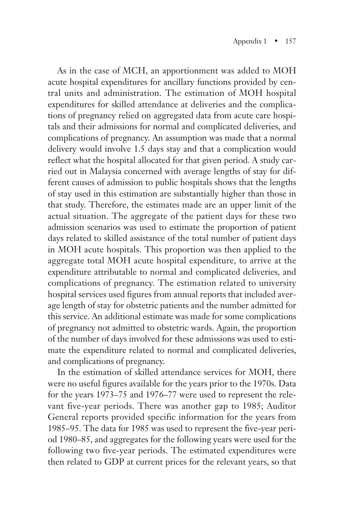As in the case of MCH, an apportionment was added to MOH acute hospital expenditures for ancillary functions provided by central units and administration. The estimation of MOH hospital expenditures for skilled attendance at deliveries and the complications of pregnancy relied on aggregated data from acute care hospitals and their admissions for normal and complicated deliveries, and complications of pregnancy. An assumption was made that a normal delivery would involve 1.5 days stay and that a complication would reflect what the hospital allocated for that given period. A study carried out in Malaysia concerned with average lengths of stay for different causes of admission to public hospitals shows that the lengths of stay used in this estimation are substantially higher than those in that study. Therefore, the estimates made are an upper limit of the actual situation. The aggregate of the patient days for these two admission scenarios was used to estimate the proportion of patient days related to skilled assistance of the total number of patient days in MOH acute hospitals. This proportion was then applied to the aggregate total MOH acute hospital expenditure, to arrive at the expenditure attributable to normal and complicated deliveries, and complications of pregnancy. The estimation related to university hospital services used figures from annual reports that included average length of stay for obstetric patients and the number admitted for this service. An additional estimate was made for some complications of pregnancy not admitted to obstetric wards. Again, the proportion of the number of days involved for these admissions was used to estimate the expenditure related to normal and complicated deliveries, and complications of pregnancy.

In the estimation of skilled attendance services for MOH, there were no useful figures available for the years prior to the 1970s. Data for the years 1973–75 and 1976–77 were used to represent the relevant five-year periods. There was another gap to 1985; Auditor General reports provided specific information for the years from 1985–95. The data for 1985 was used to represent the five-year period 1980–85, and aggregates for the following years were used for the following two five-year periods. The estimated expenditures were then related to GDP at current prices for the relevant years, so that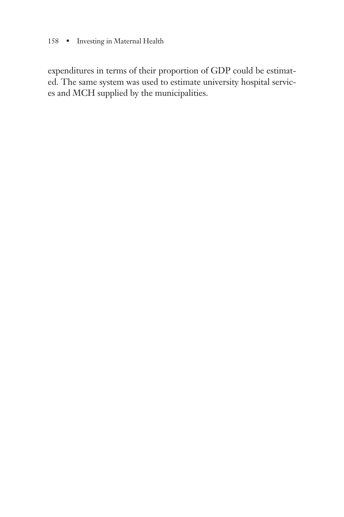#### 158 • Investing in Maternal Health

expenditures in terms of their proportion of GDP could be estimated. The same system was used to estimate university hospital services and MCH supplied by the municipalities.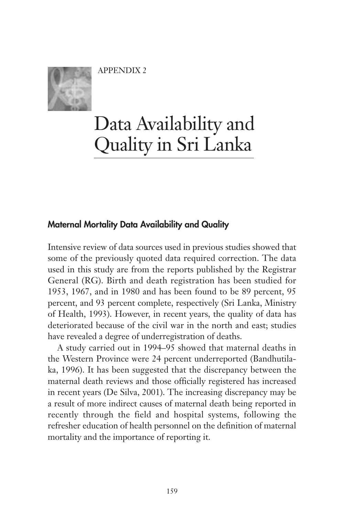APPENDIX 2



# Data Availability and Quality in Sri Lanka

### **Maternal Mortality Data Availability and Quality**

Intensive review of data sources used in previous studies showed that some of the previously quoted data required correction. The data used in this study are from the reports published by the Registrar General (RG). Birth and death registration has been studied for 1953, 1967, and in 1980 and has been found to be 89 percent, 95 percent, and 93 percent complete, respectively (Sri Lanka, Ministry of Health, 1993). However, in recent years, the quality of data has deteriorated because of the civil war in the north and east; studies have revealed a degree of underregistration of deaths.

A study carried out in 1994–95 showed that maternal deaths in the Western Province were 24 percent underreported (Bandhutilaka, 1996). It has been suggested that the discrepancy between the maternal death reviews and those officially registered has increased in recent years (De Silva, 2001). The increasing discrepancy may be a result of more indirect causes of maternal death being reported in recently through the field and hospital systems, following the refresher education of health personnel on the definition of maternal mortality and the importance of reporting it.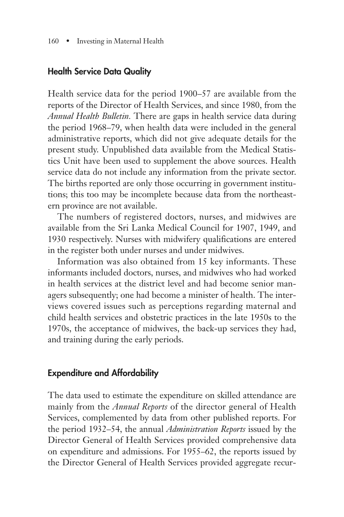160 • Investing in Maternal Health

#### **Health Service Data Quality**

Health service data for the period 1900–57 are available from the reports of the Director of Health Services, and since 1980, from the *Annual Health Bulletin.* There are gaps in health service data during the period 1968–79, when health data were included in the general administrative reports, which did not give adequate details for the present study. Unpublished data available from the Medical Statistics Unit have been used to supplement the above sources. Health service data do not include any information from the private sector. The births reported are only those occurring in government institutions; this too may be incomplete because data from the northeastern province are not available.

The numbers of registered doctors, nurses, and midwives are available from the Sri Lanka Medical Council for 1907, 1949, and 1930 respectively. Nurses with midwifery qualifications are entered in the register both under nurses and under midwives.

Information was also obtained from 15 key informants. These informants included doctors, nurses, and midwives who had worked in health services at the district level and had become senior managers subsequently; one had become a minister of health. The interviews covered issues such as perceptions regarding maternal and child health services and obstetric practices in the late 1950s to the 1970s, the acceptance of midwives, the back-up services they had, and training during the early periods.

#### **Expenditure and Affordability**

The data used to estimate the expenditure on skilled attendance are mainly from the *Annual Reports* of the director general of Health Services, complemented by data from other published reports. For the period 1932–54, the annual *Administration Reports* issued by the Director General of Health Services provided comprehensive data on expenditure and admissions. For 1955–62, the reports issued by the Director General of Health Services provided aggregate recur-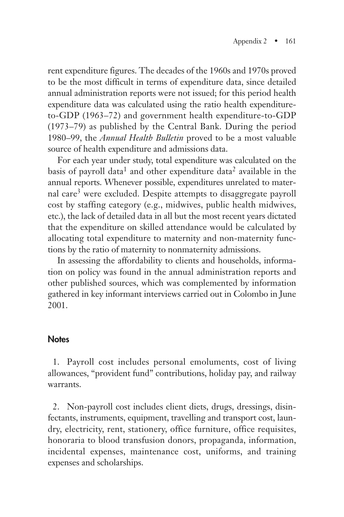rent expenditure figures. The decades of the 1960s and 1970s proved to be the most difficult in terms of expenditure data, since detailed annual administration reports were not issued; for this period health expenditure data was calculated using the ratio health expenditureto-GDP (1963–72) and government health expenditure-to-GDP (1973–79) as published by the Central Bank. During the period 1980–99, the *Annual Health Bulletin* proved to be a most valuable source of health expenditure and admissions data.

For each year under study, total expenditure was calculated on the basis of payroll data<sup>1</sup> and other expenditure data<sup>2</sup> available in the annual reports. Whenever possible, expenditures unrelated to maternal care<sup>3</sup> were excluded. Despite attempts to disaggregate payroll cost by staffing category (e.g., midwives, public health midwives, etc.), the lack of detailed data in all but the most recent years dictated that the expenditure on skilled attendance would be calculated by allocating total expenditure to maternity and non-maternity functions by the ratio of maternity to nonmaternity admissions.

In assessing the affordability to clients and households, information on policy was found in the annual administration reports and other published sources, which was complemented by information gathered in key informant interviews carried out in Colombo in June 2001.

#### **Notes**

1. Payroll cost includes personal emoluments, cost of living allowances, "provident fund" contributions, holiday pay, and railway warrants.

2. Non-payroll cost includes client diets, drugs, dressings, disinfectants, instruments, equipment, travelling and transport cost, laundry, electricity, rent, stationery, office furniture, office requisites, honoraria to blood transfusion donors, propaganda, information, incidental expenses, maintenance cost, uniforms, and training expenses and scholarships.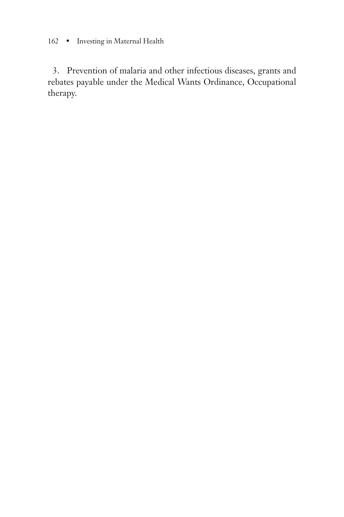162 • Investing in Maternal Health

3. Prevention of malaria and other infectious diseases, grants and rebates payable under the Medical Wants Ordinance, Occupational therapy.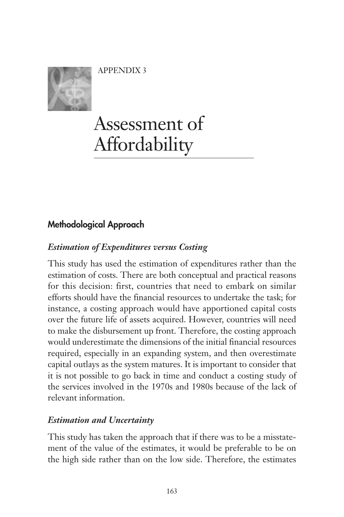

APPENDIX 3

# Assessment of Affordability

## **Methodological Approach**

### *Estimation of Expenditures versus Costing*

This study has used the estimation of expenditures rather than the estimation of costs. There are both conceptual and practical reasons for this decision: first, countries that need to embark on similar efforts should have the financial resources to undertake the task; for instance, a costing approach would have apportioned capital costs over the future life of assets acquired. However, countries will need to make the disbursement up front. Therefore, the costing approach would underestimate the dimensions of the initial financial resources required, especially in an expanding system, and then overestimate capital outlays as the system matures. It is important to consider that it is not possible to go back in time and conduct a costing study of the services involved in the 1970s and 1980s because of the lack of relevant information.

#### *Estimation and Uncertainty*

This study has taken the approach that if there was to be a misstatement of the value of the estimates, it would be preferable to be on the high side rather than on the low side. Therefore, the estimates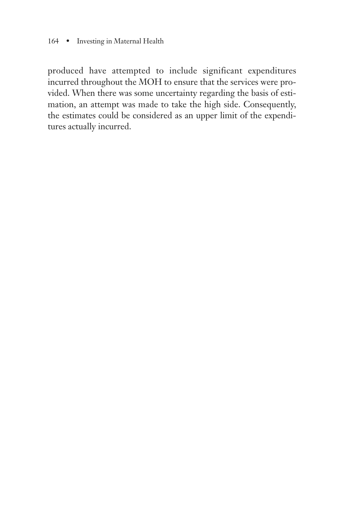produced have attempted to include significant expenditures incurred throughout the MOH to ensure that the services were provided. When there was some uncertainty regarding the basis of estimation, an attempt was made to take the high side. Consequently, the estimates could be considered as an upper limit of the expenditures actually incurred.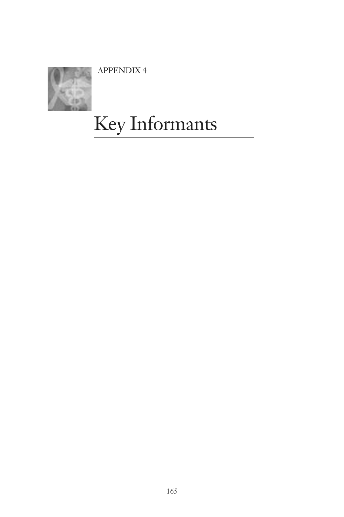APPENDIX 4



# Key Informants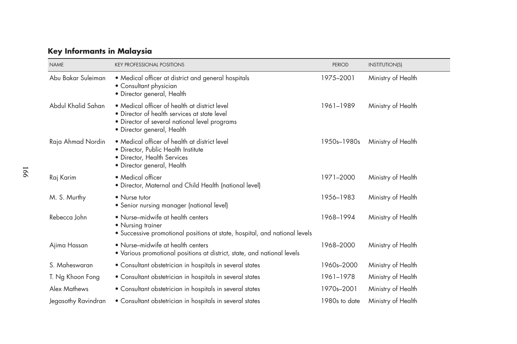#### **Key Informants in Malaysia**

| <b>NAME</b>         | <b>KEY PROFESSIONAL POSITIONS</b>                                                                                                                                            | <b>PERIOD</b> | <b>INSTITUTION(S)</b> |
|---------------------|------------------------------------------------------------------------------------------------------------------------------------------------------------------------------|---------------|-----------------------|
| Abu Bakar Suleiman  | • Medical officer at district and general hospitals<br>• Consultant physician<br>• Director general, Health                                                                  | 1975-2001     | Ministry of Health    |
| Abdul Khalid Sahan  | • Medical officer of health at district level<br>• Director of health services at state level<br>• Director of several national level programs<br>• Director general, Health | 1961-1989     | Ministry of Health    |
| Raja Ahmad Nordin   | • Medical officer of health at district level<br>• Director, Public Health Institute<br>• Director, Health Services<br>• Director general, Health                            | 1950s-1980s   | Ministry of Health    |
| Raj Karim           | • Medical officer<br>• Director, Maternal and Child Health (national level)                                                                                                  | 1971-2000     | Ministry of Health    |
| M. S. Murthy        | • Nurse tutor<br>• Senior nursing manager (national level)                                                                                                                   | 1956-1983     | Ministry of Health    |
| Rebecca John        | • Nurse-midwife at health centers<br>• Nursing trainer<br>• Successive promotional positions at state, hospital, and national levels                                         | 1968-1994     | Ministry of Health    |
| Ajima Hassan        | • Nurse-midwife at health centers<br>• Various promotional positions at district, state, and national levels                                                                 | 1968-2000     | Ministry of Health    |
| S. Maheswaran       | • Consultant obstetrician in hospitals in several states                                                                                                                     | 1960s-2000    | Ministry of Health    |
| T. Ng Khoon Fong    | · Consultant obstetrician in hospitals in several states                                                                                                                     | 1961-1978     | Ministry of Health    |
| Alex Mathews        | • Consultant obstetrician in hospitals in several states                                                                                                                     | 1970s-2001    | Ministry of Health    |
| Jegasothy Ravindran | • Consultant obstetrician in hospitals in several states                                                                                                                     | 1980s to date | Ministry of Health    |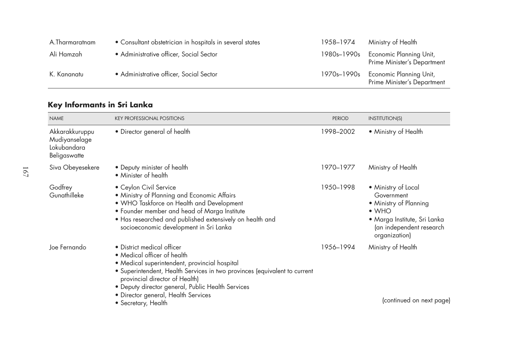| A.Tharmaratnam | • Consultant obstetrician in hospitals in several states | 1958–1974 | Ministry of Health                                                 |
|----------------|----------------------------------------------------------|-----------|--------------------------------------------------------------------|
| Ali Hamzah     | • Administrative officer, Social Sector                  |           | 1980s-1990s Economic Planning Unit,<br>Prime Minister's Department |
| K. Kananatu    | • Administrative officer, Social Sector                  |           | 1970s-1990s Economic Planning Unit,<br>Prime Minister's Department |

#### **Key Informants in Sri Lanka**

| <b>NAME</b>                                                    | <b>KEY PROFESSIONAL POSITIONS</b>                                                                                                                                                                                                                                                                                                            | <b>PERIOD</b> | <b>INSTITUTION(S)</b>                                                                                                                                     |
|----------------------------------------------------------------|----------------------------------------------------------------------------------------------------------------------------------------------------------------------------------------------------------------------------------------------------------------------------------------------------------------------------------------------|---------------|-----------------------------------------------------------------------------------------------------------------------------------------------------------|
| Akkarakkuruppu<br>Mudiyanselage<br>Lokubandara<br>Beligaswatte | • Director general of health                                                                                                                                                                                                                                                                                                                 | 1998-2002     | • Ministry of Health                                                                                                                                      |
| Siva Obeyesekere                                               | • Deputy minister of health<br>• Minister of health                                                                                                                                                                                                                                                                                          | 1970-1977     | Ministry of Health                                                                                                                                        |
| Godfrey<br>Gunathilleke                                        | • Ceylon Civil Service<br>• Ministry of Planning and Economic Affairs<br>. WHO Taskforce on Health and Development<br>• Founder member and head of Marga Institute<br>• Has researched and published extensively on health and<br>socioeconomic development in Sri Lanka                                                                     | 1950-1998     | • Ministry of Local<br>Government<br>• Ministry of Planning<br>$\bullet$ WHO<br>· Marga Institute, Sri Lanka<br>(an independent research<br>organization) |
| Joe Fernando                                                   | • District medical officer<br>• Medical officer of health<br>• Medical superintendent, provincial hospital<br>• Superintendent, Health Services in two provinces (equivalent to current<br>provincial director of Health)<br>• Deputy director general, Public Health Services<br>• Director general, Health Services<br>• Secretary, Health | 1956-1994     | Ministry of Health<br>(continued on next page)                                                                                                            |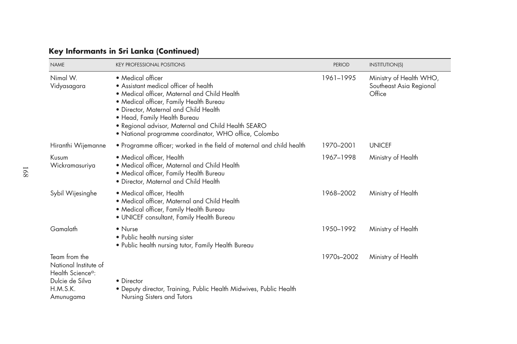| <b>NAME</b>                                                                                                         | <b>KEY PROFESSIONAL POSITIONS</b>                                                                                                                                                                                                                                                                                                              | <b>PERIOD</b> | <b>INSTITUTION(S)</b>                                        |
|---------------------------------------------------------------------------------------------------------------------|------------------------------------------------------------------------------------------------------------------------------------------------------------------------------------------------------------------------------------------------------------------------------------------------------------------------------------------------|---------------|--------------------------------------------------------------|
| Nimal W.<br>Vidyasagara                                                                                             | • Medical officer<br>• Assistant medical officer of health<br>• Medical officer, Maternal and Child Health<br>• Medical officer, Family Health Bureau<br>· Director, Maternal and Child Health<br>· Head, Family Health Bureau<br>. Regional advisor, Maternal and Child Health SEARO<br>• National programme coordinator, WHO office, Colombo | 1961-1995     | Ministry of Health WHO,<br>Southeast Asia Regional<br>Office |
| Hiranthi Wijemanne                                                                                                  | • Programme officer; worked in the field of maternal and child health                                                                                                                                                                                                                                                                          | 1970-2001     | <b>UNICEF</b>                                                |
| Kusum<br>Wickramasuriya                                                                                             | • Medical officer, Health<br>• Medical officer, Maternal and Child Health<br>· Medical officer, Family Health Bureau<br>• Director, Maternal and Child Health                                                                                                                                                                                  | 1967-1998     | Ministry of Health                                           |
| Sybil Wijesinghe                                                                                                    | · Medical officer, Health<br>· Medical officer, Maternal and Child Health<br>• Medical officer, Family Health Bureau<br>• UNICEF consultant, Family Health Bureau                                                                                                                                                                              | 1968-2002     | Ministry of Health                                           |
| Gamalath                                                                                                            | $\bullet$ Nurse<br>• Public health nursing sister<br>• Public health nursing tutor, Family Health Bureau                                                                                                                                                                                                                                       | 1950-1992     | Ministry of Health                                           |
| Team from the<br>National Institute of<br>Health Science <sup>a</sup> :<br>Dulcie de Silva<br>H.M.S.K.<br>Amunugama | • Director<br>. Deputy director, Training, Public Health Midwives, Public Health<br>Nursing Sisters and Tutors                                                                                                                                                                                                                                 | 1970s-2002    | Ministry of Health                                           |

### **Key Informants in Sri Lanka (Continued)**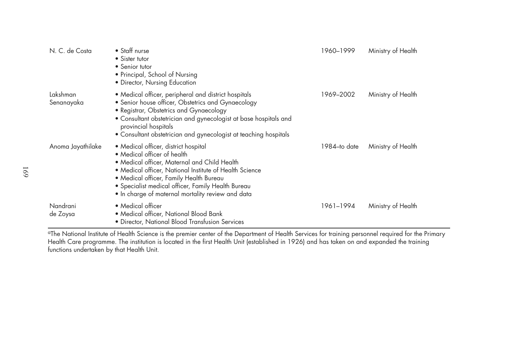| N. C. de Costa         | • Staff nurse<br>• Sister tutor<br>• Senior tutor<br>• Principal, School of Nursing<br>• Director, Nursing Education                                                                                                                                                                                                                 | 1960-1999    | Ministry of Health |
|------------------------|--------------------------------------------------------------------------------------------------------------------------------------------------------------------------------------------------------------------------------------------------------------------------------------------------------------------------------------|--------------|--------------------|
| Lakshman<br>Senanayaka | · Medical officer, peripheral and district hospitals<br>• Senior house officer, Obstetrics and Gynaecology<br>• Registrar, Obstetrics and Gynaecology<br>• Consultant obstetrician and gynecologist at base hospitals and<br>provincial hospitals<br>• Consultant obstetrician and gynecologist at teaching hospitals                | 1969–2002    | Ministry of Health |
| Anoma Jayathilake      | · Medical officer, district hospital<br>• Medical officer of health<br>• Medical officer, Maternal and Child Health<br>• Medical officer, National Institute of Health Science<br>• Medical officer, Family Health Bureau<br>• Specialist medical officer, Family Health Bureau<br>• In charge of maternal mortality review and data | 1984-to date | Ministry of Health |
| Nandrani<br>de Zoysa   | • Medical officer<br>• Medical officer, National Blood Bank<br>· Director, National Blood Transfusion Services                                                                                                                                                                                                                       | 1961–1994    | Ministry of Health |

aThe National Institute of Health Science is the premier center of the Department of Health Services for training personnel required for the Primary Health Care programme. The institution is located in the first Health Unit (established in 1926) and has taken on and expanded the training functions undertaken by that Health Unit.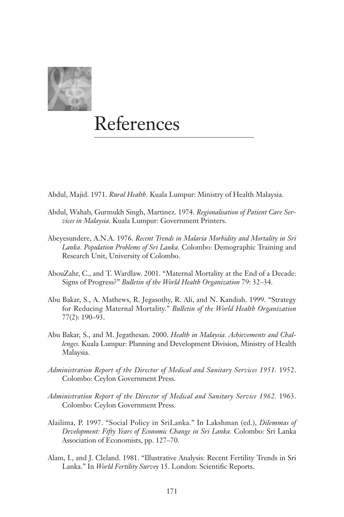

# References

Abdul, Majid. 1971. *Rural Health.* Kuala Lumpur: Ministry of Health Malaysia.

- Abdul, Wahab, Gurmukh Singh, Martinez. 1974. *Regionalisation of Patient Care Services in Malaysia.* Kuala Lumpur: Government Printers.
- Abeyesundere, A.N.A. 1976. *Recent Trends in Malaria Morbidity and Mortality in Sri Lanka. Population Problems of Sri Lanka.* Colombo: Demographic Training and Research Unit, University of Colombo.
- AbouZahr, C., and T. Wardlaw. 2001. "Maternal Mortality at the End of a Decade: Signs of Progress?" *Bulletin of the World Health Organization* 79: 32–34.
- Abu Bakar, S., A. Mathews, R. Jegasothy, R. Ali, and N. Kandiah. 1999. "Strategy for Reducing Maternal Mortality." *Bulletin of the World Health Organization* 77(2): 190–93.
- Abu Bakar, S., and M. Jegathesan. 2000. *Health in Malaysia. Achievements and Challenges.* Kuala Lumpur: Planning and Development Division, Ministry of Health Malaysia.
- *Administration Report of the Director of Medical and Sanitary Services 1951.* 1952. Colombo: Ceylon Government Press.
- *Administration Report of the Director of Medical and Sanitary Service 1962.* 1963. Colombo: Ceylon Government Press.
- Alailima, P. 1997. "Social Policy in SriLanka." In Lakshman (ed.), *Dilemmas of Development: Fifty Years of Economic Change in Sri Lanka.* Colombo: Sri Lanka Association of Economists, pp. 127–70.
- Alam, I., and J. Cleland. 1981. "Illustrative Analysis: Recent Fertility Trends in Sri Lanka." In *World Fertility Survey* 15. London: Scientific Reports.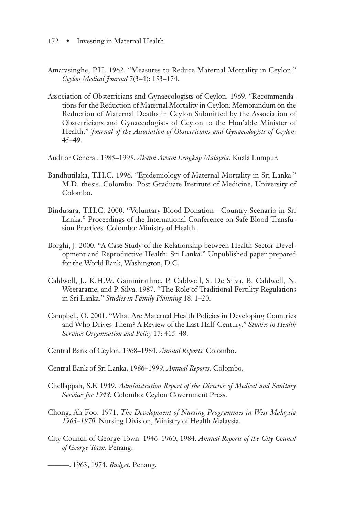- 172 Investing in Maternal Health
- Amarasinghe, P.H. 1962. "Measures to Reduce Maternal Mortality in Ceylon." *Ceylon Medical Journal* 7(3–4): 153–174.
- Association of Obstetricians and Gynaecologists of Ceylon. 1969. "Recommendations for the Reduction of Maternal Mortality in Ceylon: Memorandum on the Reduction of Maternal Deaths in Ceylon Submitted by the Association of Obstetricians and Gynaecologists of Ceylon to the Hon'able Minister of Health." *Journal of the Association of Obstetricians and Gynaecologists of Ceylon*: 45–49.
- Auditor General. 1985–1995. *Akaun Awam Lengkap Malaysia.* Kuala Lumpur.
- Bandhutilaka, T.H.C. 1996. "Epidemiology of Maternal Mortality in Sri Lanka." M.D. thesis. Colombo: Post Graduate Institute of Medicine, University of Colombo.
- Bindusara, T.H.C. 2000. "Voluntary Blood Donation—Country Scenario in Sri Lanka." Proceedings of the International Conference on Safe Blood Transfusion Practices. Colombo: Ministry of Health.
- Borghi, J. 2000. "A Case Study of the Relationship between Health Sector Development and Reproductive Health: Sri Lanka." Unpublished paper prepared for the World Bank, Washington, D.C.
- Caldwell, J., K.H.W. Gaminirathne, P. Caldwell, S. De Silva, B. Caldwell, N. Weeraratne, and P. Silva. 1987. "The Role of Traditional Fertility Regulations in Sri Lanka." *Studies in Family Planning* 18: 1–20.
- Campbell, O. 2001. "What Are Maternal Health Policies in Developing Countries and Who Drives Them? A Review of the Last Half-Century." *Studies in Health Services Organisation and Policy* 17: 415–48.
- Central Bank of Ceylon. 1968–1984. *Annual Reports.* Colombo.
- Central Bank of Sri Lanka. 1986–1999. *Annual Reports.* Colombo.
- Chellappah, S.F. 1949. *Administration Report of the Director of Medical and Sanitary Services for 1948.* Colombo: Ceylon Government Press.
- Chong, Ah Foo. 1971. *The Development of Nursing Programmes in West Malaysia 1963–1970.* Nursing Division, Ministry of Health Malaysia.
- City Council of George Town. 1946–1960, 1984. *Annual Reports of the City Council of George Town.* Penang.
- ———. 1963, 1974. *Budget.* Penang.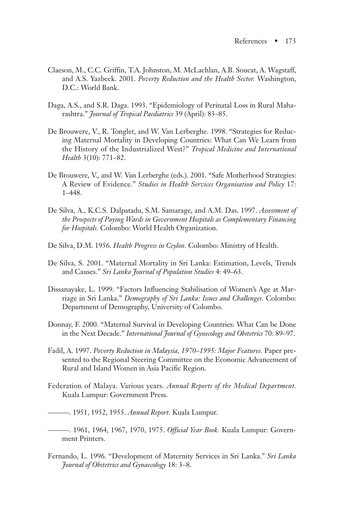- Claeson, M., C.C. Griffin, T.A. Johnston, M. McLachlan, A.B. Soucat, A. Wagstaff, and A.S. Yazbeck. 2001. *Poverty Reduction and the Health Sector.* Washington, D.C.: World Bank.
- Daga, A.S., and S.R. Daga. 1993. "Epidemiology of Perinatal Loss in Rural Maharashtra." *Journal of Tropical Paediatrics* 39 (April): 83–85.
- De Brouwere, V., R. Tonglet, and W. Van Lerberghe. 1998. "Strategies for Reducing Maternal Mortality in Developing Countries: What Can We Learn from the History of the Industrialized West?" *Tropical Medicine and International Health* 3(10): 771–82.
- De Brouwere, V., and W. Van Lerberghe (eds.). 2001. "Safe Motherhood Strategies: A Review of Evidence." *Studies in Health Services Organisation and Policy* 17: 1–448.
- De Silva, A., K.C.S. Dalpatadu, S.M. Samarage, and A.M. Das. 1997. *Assessment of the Prospects of Paying Wards in Government Hospitals as Complementary Financing for Hospitals.* Colombo: World Health Organization.
- De Silva, D.M. 1956. *Health Progress in Ceylon.* Colombo: Ministry of Health.
- De Silva, S. 2001. "Maternal Mortality in Sri Lanka: Estimation, Levels, Trends and Causes." *Sri Lanka Journal of Population Studies* 4: 49–63.
- Dissanayake, L. 1999. "Factors Influencing Stabilisation of Women's Age at Marriage in Sri Lanka." *Demography of Sri Lanka: Issues and Challenges.* Colombo: Department of Demography, University of Colombo.
- Donnay, F. 2000. "Maternal Survival in Developing Countries: What Can be Done in the Next Decade." *International Journal of Gynecology and Obstetrics* 70: 89–97.
- Fadil, A. 1997. *Poverty Reduction in Malaysia, 1970–1995: Major Features.* Paper presented to the Regional Steering Committee on the Economic Advancement of Rural and Island Women in Asia Pacific Region.
- Federation of Malaya. Various years. *Annual Reports of the Medical Department.* Kuala Lumpur: Government Press.
- ———. 1951, 1952, 1955. *Annual Report.* Kuala Lumpur.
- ———. 1961, 1964, 1967, 1970, 1975. *Official Year Book.* Kuala Lumpur: Government Printers.
- Fernando, L. 1996. "Development of Maternity Services in Sri Lanka." *Sri Lanka Journal of Obstetrics and Gynaecology* 18: 3–8.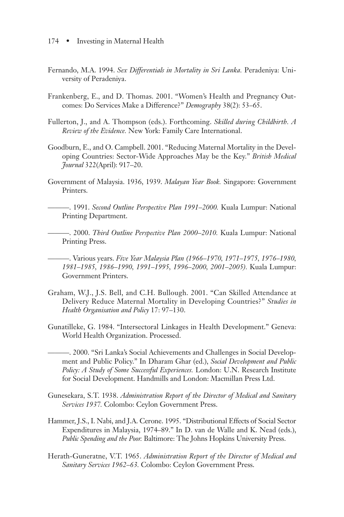- Fernando, M.A. 1994. *Sex Differentials in Mortality in Sri Lanka.* Peradeniya: University of Peradeniya.
- Frankenberg, E., and D. Thomas. 2001. "Women's Health and Pregnancy Outcomes: Do Services Make a Difference?" *Demography* 38(2): 53–65.
- Fullerton, J., and A. Thompson (eds.). Forthcoming. *Skilled during Childbirth. A Review of the Evidence.* New York: Family Care International.
- Goodburn, E., and O. Campbell. 2001. "Reducing Maternal Mortality in the Developing Countries: Sector-Wide Approaches May be the Key." *British Medical Journal* 322(April): 917–20.
- Government of Malaysia. 1936, 1939. *Malayan Year Book.* Singapore: Government Printers.

———. 1991. *Second Outline Perspective Plan 1991–2000.* Kuala Lumpur: National Printing Department.

- ———. 2000. *Third Outline Perspective Plan 2000–2010.* Kuala Lumpur: National Printing Press.
- ———. Various years. *Five Year Malaysia Plan (1966–1970, 1971–1975, 1976–1980, 1981–1985, 1986–1990, 1991–1995, 1996–2000, 2001–2005).* Kuala Lumpur: Government Printers.
- Graham, W.J., J.S. Bell, and C.H. Bullough. 2001. "Can Skilled Attendance at Delivery Reduce Maternal Mortality in Developing Countries?" *Studies in Health Organisation and Policy* 17: 97–130.
- Gunatilleke, G. 1984. "Intersectoral Linkages in Health Development." Geneva: World Health Organization. Processed.
	- ———. 2000. "Sri Lanka's Social Achievements and Challenges in Social Development and Public Policy." In Dharam Ghar (ed.), *Social Development and Public Policy: A Study of Some Successful Experiences.* London: U.N. Research Institute for Social Development. Handmills and London: Macmillan Press Ltd.
- Gunesekara, S.T. 1938. *Administration Report of the Director of Medical and Sanitary Services 1937.* Colombo: Ceylon Government Press.
- Hammer, J.S., I. Nabi, and J.A. Cerone. 1995. "Distributional Effects of Social Sector Expenditures in Malaysia, 1974–89." In D. van de Walle and K. Nead (eds.), *Public Spending and the Poor.* Baltimore: The Johns Hopkins University Press.
- Herath-Guneratne, V.T. 1965. *Administration Report of the Director of Medical and Sanitary Services 1962–63.* Colombo: Ceylon Government Press.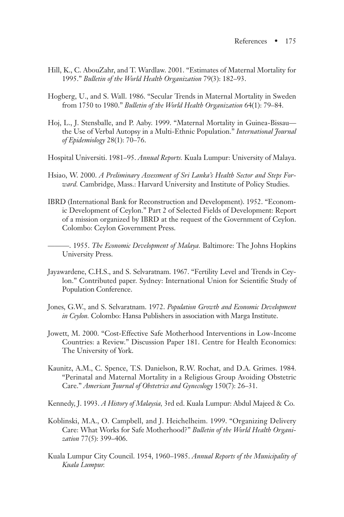- Hill, K., C. AbouZahr, and T. Wardlaw. 2001. "Estimates of Maternal Mortality for 1995." *Bulletin of the World Health Organization* 79(3): 182–93.
- Hogberg, U., and S. Wall. 1986. "Secular Trends in Maternal Mortality in Sweden from 1750 to 1980." *Bulletin of the World Health Organization* 64(1): 79–84.
- Hoj, L., J. Stensballe, and P. Aaby. 1999. "Maternal Mortality in Guinea-Bissau the Use of Verbal Autopsy in a Multi-Ethnic Population." *International Journal of Epidemiology* 28(1): 70–76.
- Hospital Universiti. 1981–95. *Annual Reports.* Kuala Lumpur: University of Malaya.
- Hsiao, W. 2000. *A Preliminary Assessment of Sri Lanka's Health Sector and Steps Forward.* Cambridge, Mass.: Harvard University and Institute of Policy Studies.
- IBRD (International Bank for Reconstruction and Development). 1952. "Economic Development of Ceylon." Part 2 of Selected Fields of Development: Report of a mission organized by IBRD at the request of the Government of Ceylon. Colombo: Ceylon Government Press.

———. 1955. *The Economic Development of Malaya.* Baltimore: The Johns Hopkins University Press.

- Jayawardene, C.H.S., and S. Selvaratnam. 1967. "Fertility Level and Trends in Ceylon." Contributed paper. Sydney: International Union for Scientific Study of Population Conference.
- Jones, G.W., and S. Selvaratnam. 1972. *Population Growth and Economic Development in Ceylon.* Colombo: Hansa Publishers in association with Marga Institute.
- Jowett, M. 2000. "Cost-Effective Safe Motherhood Interventions in Low-Income Countries: a Review." Discussion Paper 181. Centre for Health Economics: The University of York.
- Kaunitz, A.M., C. Spence, T.S. Danielson, R.W. Rochat, and D.A. Grimes. 1984. "Perinatal and Maternal Mortality in a Religious Group Avoiding Obstetric Care." *American Journal of Obstetrics and Gynecology* 150(7): 26–31.
- Kennedy, J. 1993. *A History of Malaysia,* 3rd ed. Kuala Lumpur: Abdul Majeed & Co.
- Koblinski, M.A., O. Campbell, and J. Heichelheim. 1999. "Organizing Delivery Care: What Works for Safe Motherhood?" *Bulletin of the World Health Organization* 77(5): 399–406.
- Kuala Lumpur City Council. 1954, 1960–1985. *Annual Reports of the Municipality of Kuala Lumpur.*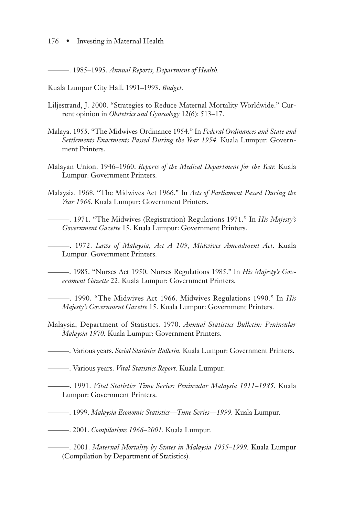———. 1985–1995. *Annual Reports, Department of Health.* 

Kuala Lumpur City Hall. 1991–1993. *Budget.* 

- Liljestrand, J. 2000. "Strategies to Reduce Maternal Mortality Worldwide." Current opinion in *Obstetrics and Gynecology* 12(6): 513–17.
- Malaya. 1955. "The Midwives Ordinance 1954." In *Federal Ordinances and State and Settlements Enactments Passed During the Year 1954.* Kuala Lumpur: Government Printers.
- Malayan Union. 1946–1960. *Reports of the Medical Department for the Year.* Kuala Lumpur: Government Printers.
- Malaysia. 1968. "The Midwives Act 1966." In *Acts of Parliament Passed During the Year 1966.* Kuala Lumpur: Government Printers.
	- ———. 1971. "The Midwives (Registration) Regulations 1971." In *His Majesty's Government Gazette* 15. Kuala Lumpur: Government Printers.
	- ———. 1972. *Laws of Malaysia, Act A 109, Midwives Amendment Act.* Kuala Lumpur: Government Printers.
- ———. 1985. "Nurses Act 1950. Nurses Regulations 1985." In *His Majesty's Government Gazette* 22. Kuala Lumpur: Government Printers.
- ———. 1990. "The Midwives Act 1966. Midwives Regulations 1990." In *His Majesty's Government Gazette* 15. Kuala Lumpur: Government Printers.
- Malaysia, Department of Statistics. 1970. *Annual Statistics Bulletin: Peninsular Malaysia 1970.* Kuala Lumpur: Government Printers.
- ———. Various years. *Social Statistics Bulletin.* Kuala Lumpur: Government Printers.
- ———. Various years. *Vital Statistics Report.* Kuala Lumpur.
- ———. 1991. *Vital Statistics Time Series: Peninsular Malaysia 1911–1985.* Kuala Lumpur: Government Printers.
- ———. 1999. *Malaysia Economic Statistics—Time Series—1999.* Kuala Lumpur.
- ———. 2001. *Compilations 1966–2001.* Kuala Lumpur.
	- ———. 2001. *Maternal Mortality by States in Malaysia 1955–1999.* Kuala Lumpur (Compilation by Department of Statistics).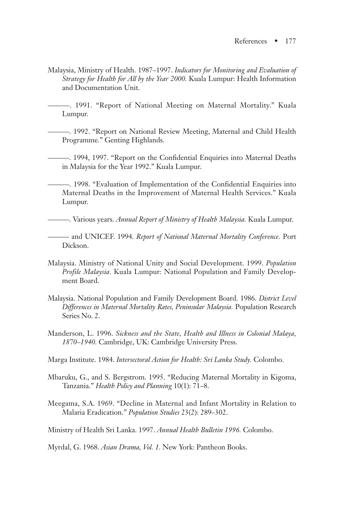Malaysia, Ministry of Health. 1987–1997. *Indicators for Monitoring and Evaluation of Strategy for Health for All by the Year 2000.* Kuala Lumpur: Health Information and Documentation Unit.

———. 1991. "Report of National Meeting on Maternal Mortality." Kuala Lumpur.

———. 1992. "Report on National Review Meeting, Maternal and Child Health Programme." Genting Highlands.

———. 1994, 1997. "Report on the Confidential Enquiries into Maternal Deaths in Malaysia for the Year 1992." Kuala Lumpur.

———. 1998. "Evaluation of Implementation of the Confidential Enquiries into Maternal Deaths in the Improvement of Maternal Health Services." Kuala Lumpur.

———. Various years. *Annual Report of Ministry of Health Malaysia.* Kuala Lumpur.

——— and UNICEF. 1994. *Report of National Maternal Mortality Conference.* Port Dickson.

- Malaysia. Ministry of National Unity and Social Development. 1999. *Population Profile Malaysia.* Kuala Lumpur: National Population and Family Development Board.
- Malaysia. National Population and Family Development Board. 1986. *District Level Differences in Maternal Mortality Rates, Peninsular Malaysia.* Population Research Series No. 2.
- Manderson, L. 1996. *Sickness and the State, Health and Illness in Colonial Malaya, 1870–1940.* Cambridge, UK: Cambridge University Press.

Marga Institute. 1984. *Intersectoral Action for Health: Sri Lanka Study.* Colombo.

- Mbaruku, G., and S. Bergstrom. 1995. "Reducing Maternal Mortality in Kigoma, Tanzania." *Health Policy and Planning* 10(1): 71–8.
- Meegama, S.A. 1969. "Decline in Maternal and Infant Mortality in Relation to Malaria Eradication." *Population Studies* 23(2): 289–302.
- Ministry of Health Sri Lanka. 1997. *Annual Health Bulletin 1996.* Colombo.

Myrdal, G. 1968. *Asian Drama, Vol. 1.* New York: Pantheon Books.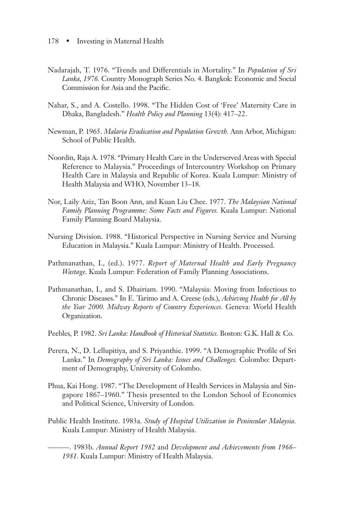- 178 Investing in Maternal Health
- Nadarajah, T. 1976. "Trends and Differentials in Mortality." In *Population of Sri Lanka, 1976.* Country Monograph Series No. 4. Bangkok: Economic and Social Commission for Asia and the Pacific.
- Nahar, S., and A. Costello. 1998. "The Hidden Cost of 'Free' Maternity Care in Dhaka, Bangladesh." *Health Policy and Planning* 13(4): 417–22.
- Newman, P. 1965. *Malaria Eradication and Population Growth.* Ann Arbor, Michigan: School of Public Health.
- Noordin, Raja A. 1978. "Primary Health Care in the Underserved Areas with Special Reference to Malaysia." Proceedings of Intercountry Workshop on Primary Health Care in Malaysia and Republic of Korea. Kuala Lumpur: Ministry of Health Malaysia and WHO, November 13–18.
- Nor, Laily Aziz, Tan Boon Ann, and Kuan Liu Chee. 1977. *The Malaysian National Family Planning Programme: Some Facts and Figures.* Kuala Lumpur: National Family Planning Board Malaysia.
- Nursing Division. 1988. "Historical Perspective in Nursing Service and Nursing Education in Malaysia." Kuala Lumpur: Ministry of Health. Processed.
- Pathmanathan, I., (ed.). 1977. *Report of Maternal Health and Early Pregnancy Wastage.* Kuala Lumpur: Federation of Family Planning Associations.
- Pathmanathan, I., and S. Dhairiam. 1990. "Malaysia: Moving from Infectious to Chronic Diseases." In E. Tarimo and A. Creese (eds.), *Achieving Health for All by the Year 2000. Midway Reports of Country Experiences.* Geneva: World Health Organization.
- Peebles, P. 1982. *Sri Lanka: Handbook of Historical Statistics.* Boston: G.K. Hall & Co.
- Perera, N., D. Lellupitiya, and S. Priyanthie. 1999. "A Demographic Profile of Sri Lanka." In *Demography of Sri Lanka: Issues and Challenges.* Colombo: Department of Demography, University of Colombo.
- Phua, Kai Hong. 1987. "The Development of Health Services in Malaysia and Singapore 1867–1960." Thesis presented to the London School of Economics and Political Science, University of London.
- Public Health Institute. 1983a. *Study of Hospital Utilization in Peninsular Malaysia.* Kuala Lumpur: Ministry of Health Malaysia.

———. 1983b. *Annual Report 1982* and *Development and Achievements from 1966– 1981.* Kuala Lumpur: Ministry of Health Malaysia.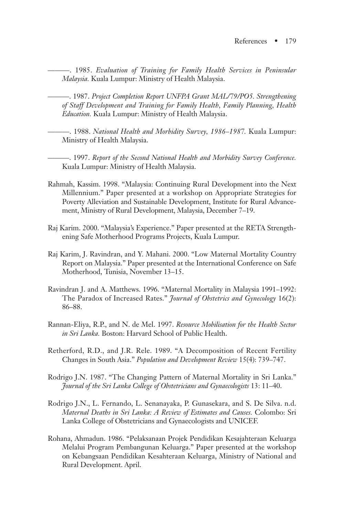———. 1985. *Evaluation of Training for Family Health Services in Peninsular Malaysia.* Kuala Lumpur: Ministry of Health Malaysia.

———. 1987. *Project Completion Report UNFPA Grant MAL/79/PO5. Strengthening of Staff Development and Training for Family Health, Family Planning, Health Education.* Kuala Lumpur: Ministry of Health Malaysia.

———. 1988. *National Health and Morbidity Survey, 1986–1987.* Kuala Lumpur: Ministry of Health Malaysia.

- ———. 1997. *Report of the Second National Health and Morbidity Survey Conference.* Kuala Lumpur: Ministry of Health Malaysia.
- Rahmah, Kassim. 1998. "Malaysia: Continuing Rural Development into the Next Millennium." Paper presented at a workshop on Appropriate Strategies for Poverty Alleviation and Sustainable Development, Institute for Rural Advancement, Ministry of Rural Development, Malaysia, December 7–19.
- Raj Karim. 2000. "Malaysia's Experience." Paper presented at the RETA Strengthening Safe Motherhood Programs Projects, Kuala Lumpur.
- Raj Karim, J. Ravindran, and Y. Mahani. 2000. "Low Maternal Mortality Country Report on Malaysia." Paper presented at the International Conference on Safe Motherhood, Tunisia, November 13–15.
- Ravindran J. and A. Matthews. 1996. "Maternal Mortality in Malaysia 1991–1992: The Paradox of Increased Rates." *Journal of Obstetrics and Gynecology* 16(2): 86–88.
- Rannan-Eliya, R.P., and N. de Mel. 1997. *Resource Mobilisation for the Health Sector in Sri Lanka.* Boston: Harvard School of Public Health.
- Retherford, R.D., and J.R. Rele. 1989. "A Decomposition of Recent Fertility Changes in South Asia." *Population and Development Review* 15(4): 739–747.
- Rodrigo J.N. 1987. "The Changing Pattern of Maternal Mortality in Sri Lanka." *Journal of the Sri Lanka College of Obstetricians and Gynaecologists* 13: 11–40.
- Rodrigo J.N., L. Fernando, L. Senanayaka, P. Gunasekara, and S. De Silva. n.d. *Maternal Deaths in Sri Lanka: A Review of Estimates and Causes.* Colombo: Sri Lanka College of Obstetricians and Gynaecologists and UNICEF.
- Rohana, Ahmadun. 1986. "Pelaksanaan Projek Pendidikan Kesajahteraan Keluarga Melalui Program Pembangunan Keluarga." Paper presented at the workshop on Kebangsaan Pendidikan Kesahteraan Keluarga, Ministry of National and Rural Development. April.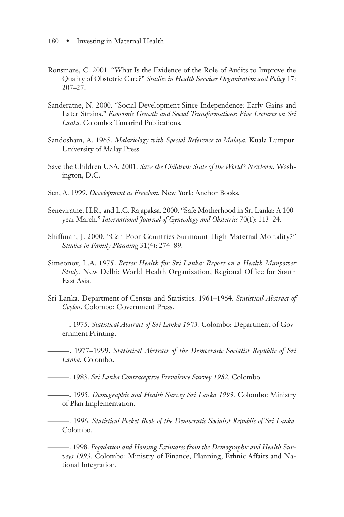- Ronsmans, C. 2001. "What Is the Evidence of the Role of Audits to Improve the Quality of Obstetric Care?" *Studies in Health Services Organisation and Policy* 17: 207–27.
- Sanderatne, N. 2000. "Social Development Since Independence: Early Gains and Later Strains." *Economic Growth and Social Transformations: Five Lectures on Sri Lanka.* Colombo: Tamarind Publications.
- Sandosham, A. 1965. *Malariology with Special Reference to Malaya.* Kuala Lumpur: University of Malay Press.
- Save the Children USA. 2001. *Save the Children: State of the World's Newborn.* Washington, D.C.
- Sen, A. 1999. *Development as Freedom.* New York: Anchor Books.
- Seneviratne, H.R., and L.C. Rajapaksa. 2000. "Safe Motherhood in Sri Lanka: A 100 year March." *International Journal of Gynecology and Obstetrics* 70(1): 113–24.
- Shiffman, J. 2000. "Can Poor Countries Surmount High Maternal Mortality?" *Studies in Family Planning* 31(4): 274–89.
- Simeonov, L.A. 1975. *Better Health for Sri Lanka: Report on a Health Manpower Study.* New Delhi: World Health Organization, Regional Office for South East Asia.
- Sri Lanka. Department of Census and Statistics. 1961–1964. *Statistical Abstract of Ceylon.* Colombo: Government Press.
	- ———. 1975. *Statistical Abstract of Sri Lanka 1973.* Colombo: Department of Government Printing.
- ———. 1977–1999. *Statistical Abstract of the Democratic Socialist Republic of Sri Lanka.* Colombo.
- ———. 1983. *Sri Lanka Contraceptive Prevalence Survey 1982.* Colombo.
- ———. 1995. *Demographic and Health Survey Sri Lanka 1993.* Colombo: Ministry of Plan Implementation.
- ———. 1996. *Statistical Pocket Book of the Democratic Socialist Republic of Sri Lanka.* Colombo.
- ———. 1998. *Population and Housing Estimates from the Demographic and Health Surveys 1993.* Colombo: Ministry of Finance, Planning, Ethnic Affairs and National Integration.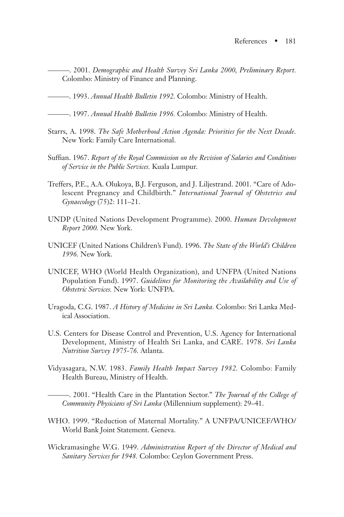- ———. 2001. *Demographic and Health Survey Sri Lanka 2000, Preliminary Report.* Colombo: Ministry of Finance and Planning.
- ———. 1993. *Annual Health Bulletin 1992.* Colombo: Ministry of Health.
- ———. 1997. *Annual Health Bulletin 1996.* Colombo: Ministry of Health.
- Starrs, A. 1998. *The Safe Motherhood Action Agenda: Priorities for the Next Decade.* New York: Family Care International.
- Suffian. 1967. *Report of the Royal Commission on the Revision of Salaries and Conditions of Service in the Public Services.* Kuala Lumpur.
- Treffers, P.E., A.A. Olukoya, B.J. Ferguson, and J. Liljestrand. 2001. "Care of Adolescent Pregnancy and Childbirth." *International Journal of Obstetrics and Gynaecology* (75)2: 111–21.
- UNDP (United Nations Development Programme). 2000. *Human Development Report 2000.* New York.
- UNICEF (United Nations Children's Fund). 1996. *The State of the World's Children 1996.* New York.
- UNICEF, WHO (World Health Organization), and UNFPA (United Nations Population Fund). 1997. *Guidelines for Monitoring the Availability and Use of Obstetric Services.* New York: UNFPA.
- Uragoda, C.G. 1987. *A History of Medicine in Sri Lanka.* Colombo: Sri Lanka Medical Association.
- U.S. Centers for Disease Control and Prevention, U.S. Agency for International Development, Ministry of Health Sri Lanka, and CARE. 1978. *Sri Lanka Nutrition Survey 1975-76.* Atlanta.
- Vidyasagara, N.W. 1983. *Family Health Impact Survey 1982.* Colombo: Family Health Bureau, Ministry of Health.
	- ———. 2001. "Health Care in the Plantation Sector." *The Journal of the College of Community Physicians of Sri Lanka* (Millennium supplement): 29–41.
- WHO. 1999. "Reduction of Maternal Mortality." A UNFPA/UNICEF/WHO/ World Bank Joint Statement. Geneva.
- Wickramasinghe W.G. 1949. *Administration Report of the Director of Medical and Sanitary Services for 1948.* Colombo: Ceylon Government Press.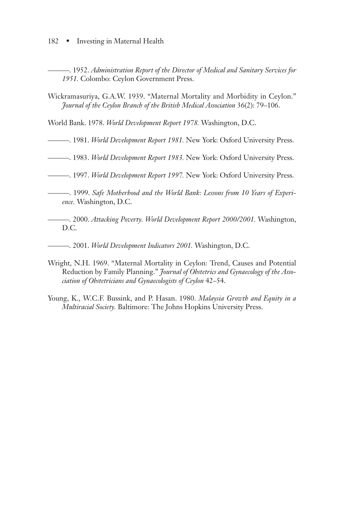182 • Investing in Maternal Health

———. 1952. *Administration Report of the Director of Medical and Sanitary Services for 1951.* Colombo: Ceylon Government Press.

Wickramasuriya, G.A.W. 1939. "Maternal Mortality and Morbidity in Ceylon." *Journal of the Ceylon Branch of the British Medical Association* 36(2): 79–106.

World Bank. 1978. *World Development Report 1978.* Washington, D.C.

- ———. 1981. *World Development Report 1981.* New York: Oxford University Press.
- ———. 1983. *World Development Report 1983.* New York: Oxford University Press.
- ———. 1997. *World Development Report 1997.* New York: Oxford University Press.
	- ———. 1999. *Safe Motherhood and the World Bank: Lessons from 10 Years of Experience.* Washington, D.C.
- ———. 2000. *Attacking Poverty. World Development Report 2000/2001.* Washington, D.C.
- ———. 2001. *World Development Indicators 2001.* Washington, D.C.
- Wright, N.H. 1969. "Maternal Mortality in Ceylon: Trend, Causes and Potential Reduction by Family Planning." *Journal of Obstetrics and Gynaecology of the Association of Obstetricians and Gynaecologists of Ceylon* 42–54.
- Young, K., W.C.F. Bussink, and P. Hasan. 1980. *Malaysia Growth and Equity in a Multiracial Society.* Baltimore: The Johns Hopkins University Press.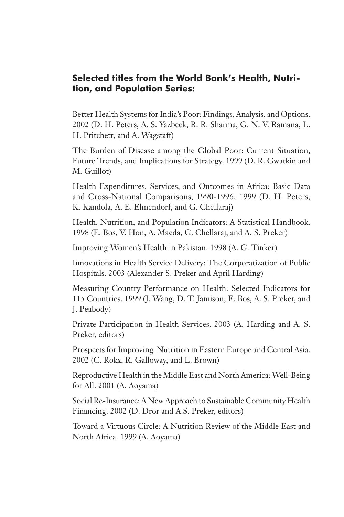#### **Selected titles from the World Bank's Health, Nutrition, and Population Series:**

Better Health Systems for India's Poor: Findings, Analysis, and Options. 2002 (D. H. Peters, A. S. Yazbeck, R. R. Sharma, G. N. V. Ramana, L. H. Pritchett, and A. Wagstaff)

The Burden of Disease among the Global Poor: Current Situation, Future Trends, and Implications for Strategy. 1999 (D. R. Gwatkin and M. Guillot)

Health Expenditures, Services, and Outcomes in Africa: Basic Data and Cross-National Comparisons, 1990-1996. 1999 (D. H. Peters, K. Kandola, A. E. Elmendorf, and G. Chellaraj)

Health, Nutrition, and Population Indicators: A Statistical Handbook. 1998 (E. Bos, V. Hon, A. Maeda, G. Chellaraj, and A. S. Preker)

Improving Women's Health in Pakistan. 1998 (A. G. Tinker)

Innovations in Health Service Delivery: The Corporatization of Public Hospitals. 2003 (Alexander S. Preker and April Harding)

Measuring Country Performance on Health: Selected Indicators for 115 Countries. 1999 (J. Wang, D. T. Jamison, E. Bos, A. S. Preker, and J. Peabody)

Private Participation in Health Services. 2003 (A. Harding and A. S. Preker, editors)

Prospects for Improving Nutrition in Eastern Europe and Central Asia. 2002 (C. Rokx, R. Galloway, and L. Brown)

Reproductive Health in the Middle East and North America: Well-Being for All. 2001 (A. Aoyama)

Social Re-Insurance: A New Approach to Sustainable Community Health Financing. 2002 (D. Dror and A.S. Preker, editors)

Toward a Virtuous Circle: A Nutrition Review of the Middle East and North Africa. 1999 (A. Aoyama)